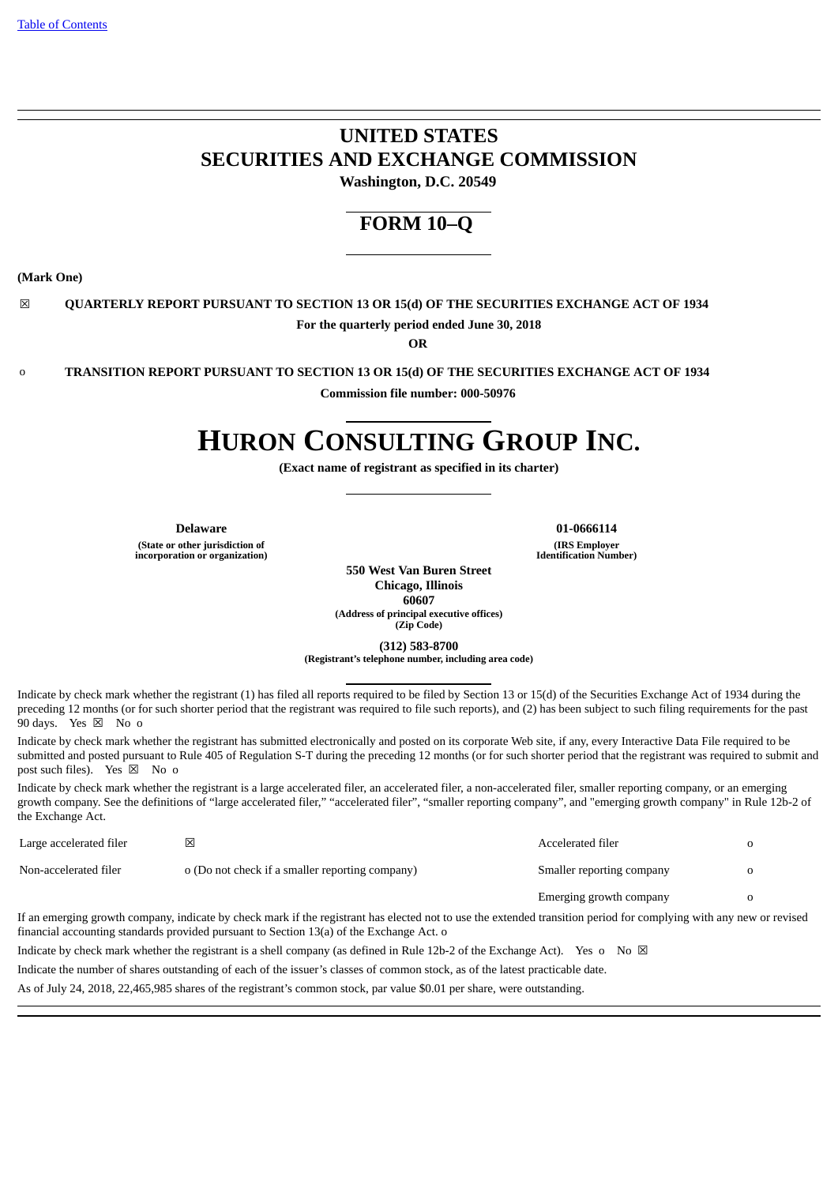# **UNITED STATES SECURITIES AND EXCHANGE COMMISSION**

**Washington, D.C. 20549**

# **FORM 10–Q**

**(Mark One)**

☒ **QUARTERLY REPORT PURSUANT TO SECTION 13 OR 15(d) OF THE SECURITIES EXCHANGE ACT OF 1934 For the quarterly period ended June 30, 2018**

**OR**

o **TRANSITION REPORT PURSUANT TO SECTION 13 OR 15(d) OF THE SECURITIES EXCHANGE ACT OF 1934**

**Commission file number: 000-50976**

# **HURON CONSULTING GROUP INC.**

**(Exact name of registrant as specified in its charter)**

**(State or other jurisdiction of incorporation or organization)**

**Delaware 01-0666114 (IRS Employer Identification Number)**

**550 West Van Buren Street Chicago, Illinois 60607 (Address of principal executive offices) (Zip Code)**

**(312) 583-8700**

**(Registrant's telephone number, including area code)**

Indicate by check mark whether the registrant (1) has filed all reports required to be filed by Section 13 or 15(d) of the Securities Exchange Act of 1934 during the preceding 12 months (or for such shorter period that the registrant was required to file such reports), and (2) has been subject to such filing requirements for the past 90 days. Yes  $\boxtimes$  No o

Indicate by check mark whether the registrant has submitted electronically and posted on its corporate Web site, if any, every Interactive Data File required to be submitted and posted pursuant to Rule 405 of Regulation S-T during the preceding 12 months (or for such shorter period that the registrant was required to submit and post such files). Yes  $\boxtimes$  No o

Indicate by check mark whether the registrant is a large accelerated filer, an accelerated filer, a non-accelerated filer, smaller reporting company, or an emerging growth company. See the definitions of "large accelerated filer," "accelerated filer", "smaller reporting company", and "emerging growth company" in Rule 12b-2 of the Exchange Act.

| Large accelerated filer | ⊠                                                                                                                                                                                                                                                               | Accelerated filer         |  |
|-------------------------|-----------------------------------------------------------------------------------------------------------------------------------------------------------------------------------------------------------------------------------------------------------------|---------------------------|--|
| Non-accelerated filer   | o (Do not check if a smaller reporting company)                                                                                                                                                                                                                 | Smaller reporting company |  |
|                         |                                                                                                                                                                                                                                                                 | Emerging growth company   |  |
|                         | If an emerging growth company, indicate by check mark if the registrant has elected not to use the extended transition period for complying with any new or revised<br>financial accounting standards provided pursuant to Section 13(a) of the Exchange Act. o |                           |  |
|                         |                                                                                                                                                                                                                                                                 |                           |  |

Indicate by check mark whether the registrant is a shell company (as defined in Rule 12b-2 of the Exchange Act). Yes o No  $\boxtimes$ 

Indicate the number of shares outstanding of each of the issuer's classes of common stock, as of the latest practicable date.

As of July 24, 2018, 22,465,985 shares of the registrant's common stock, par value \$0.01 per share, were outstanding.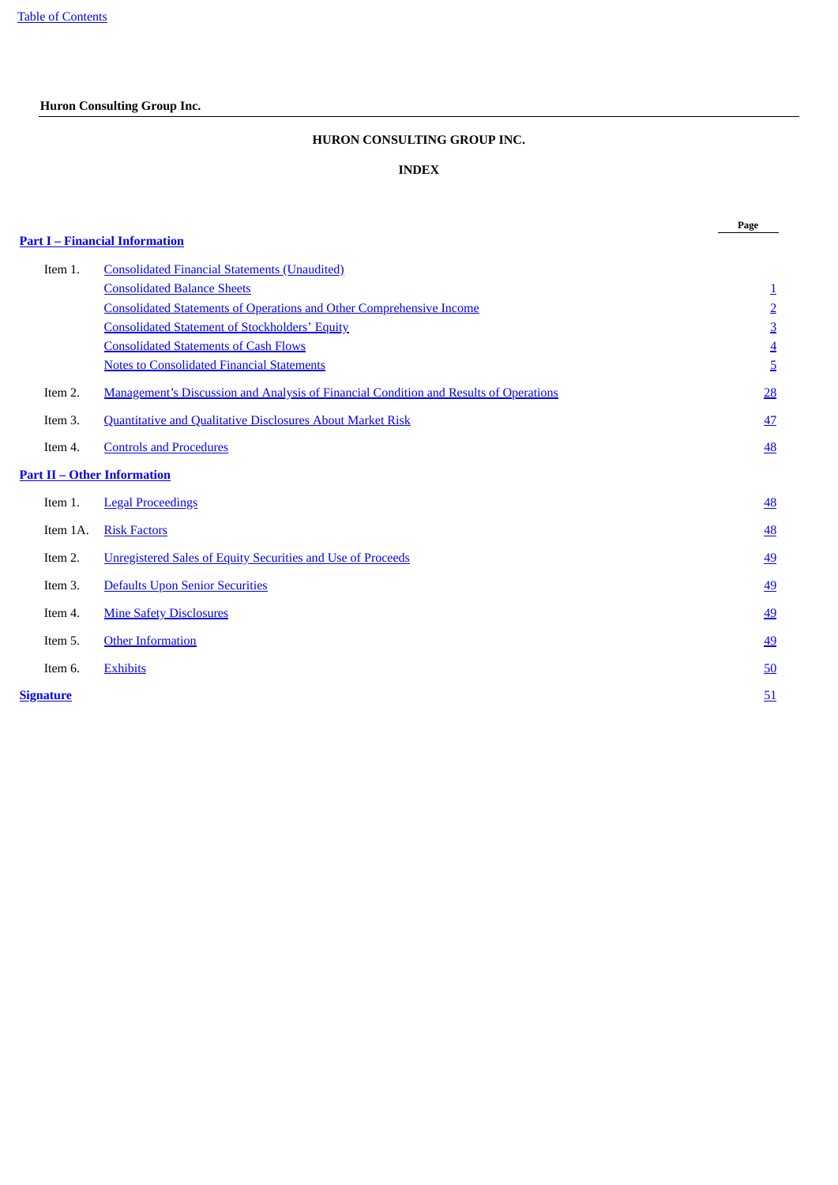# <span id="page-1-0"></span>**Huron Consulting Group Inc.**

# **HURON CONSULTING GROUP INC.**

# **INDEX**

**Page**

|           |                                                                                       | Page           |
|-----------|---------------------------------------------------------------------------------------|----------------|
|           | <b>Part I – Financial Information</b>                                                 |                |
| Item 1.   | <b>Consolidated Financial Statements (Unaudited)</b>                                  |                |
|           | <b>Consolidated Balance Sheets</b>                                                    | $\overline{1}$ |
|           | <b>Consolidated Statements of Operations and Other Comprehensive Income</b>           | $\overline{2}$ |
|           | <b>Consolidated Statement of Stockholders' Equity</b>                                 | $\overline{3}$ |
|           | <b>Consolidated Statements of Cash Flows</b>                                          | $\overline{4}$ |
|           | <b>Notes to Consolidated Financial Statements</b>                                     | $\overline{5}$ |
| Item 2.   | Management's Discussion and Analysis of Financial Condition and Results of Operations | 28             |
| Item 3.   | <b>Quantitative and Qualitative Disclosures About Market Risk</b>                     | 47             |
| Item 4.   | <b>Controls and Procedures</b>                                                        | 48             |
|           | <u> Part II – Other Information</u>                                                   |                |
| Item 1.   | <b>Legal Proceedings</b>                                                              | 48             |
| Item 1A.  | <b>Risk Factors</b>                                                                   | <b>48</b>      |
| Item 2.   | <b>Unregistered Sales of Equity Securities and Use of Proceeds</b>                    | <u>49</u>      |
| Item 3.   | <b>Defaults Upon Senior Securities</b>                                                | 49             |
| Item 4.   | <b>Mine Safety Disclosures</b>                                                        | <u>49</u>      |
| Item 5.   | <b>Other Information</b>                                                              | 49             |
| Item 6.   | <b>Exhibits</b>                                                                       | 50             |
| Signature |                                                                                       | 51             |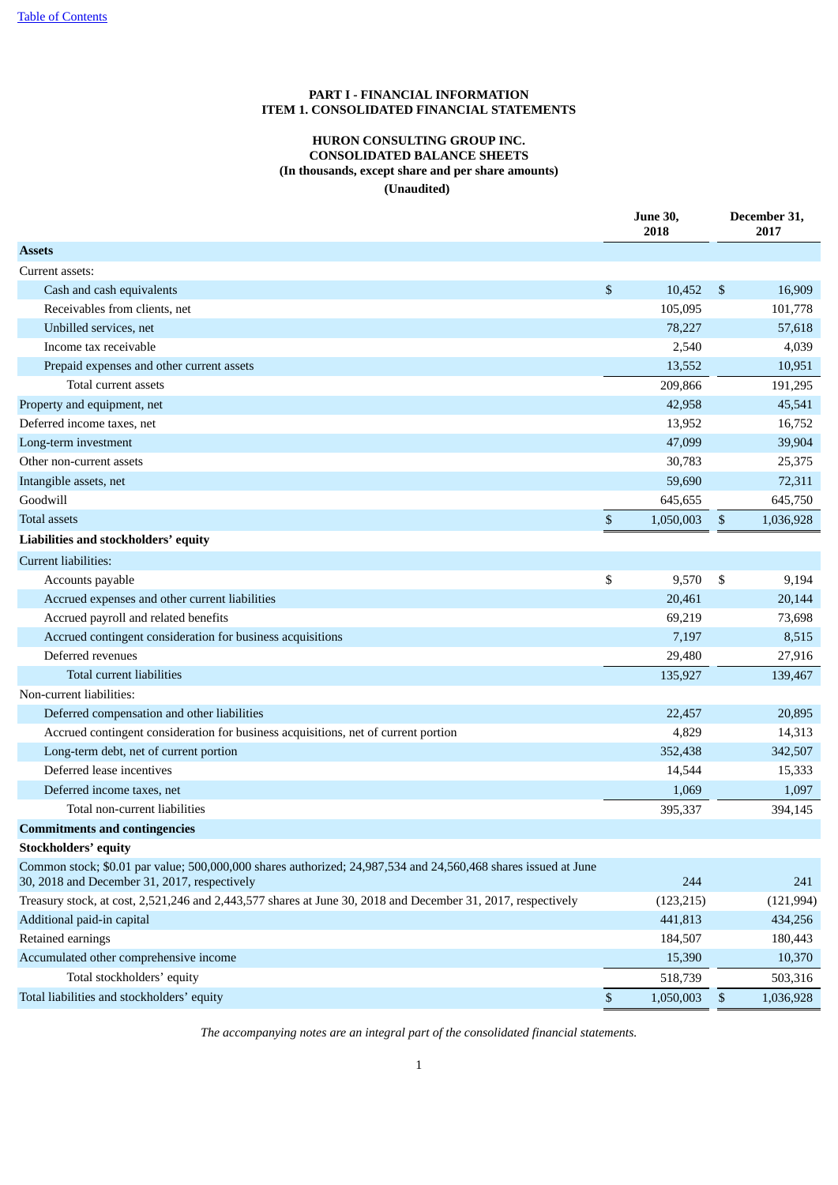# **PART I - FINANCIAL INFORMATION ITEM 1. CONSOLIDATED FINANCIAL STATEMENTS**

# **HURON CONSULTING GROUP INC. CONSOLIDATED BALANCE SHEETS (In thousands, except share and per share amounts) (Unaudited)**

<span id="page-2-2"></span><span id="page-2-1"></span><span id="page-2-0"></span>

|                                                                                                                                                                |      | <b>June 30,</b><br>2018 |                | December 31,<br>2017 |
|----------------------------------------------------------------------------------------------------------------------------------------------------------------|------|-------------------------|----------------|----------------------|
| <b>Assets</b>                                                                                                                                                  |      |                         |                |                      |
| Current assets:                                                                                                                                                |      |                         |                |                      |
| Cash and cash equivalents                                                                                                                                      | \$   | 10,452                  | $\mathfrak{S}$ | 16,909               |
| Receivables from clients, net                                                                                                                                  |      | 105,095                 |                | 101,778              |
| Unbilled services, net                                                                                                                                         |      | 78,227                  |                | 57,618               |
| Income tax receivable                                                                                                                                          |      | 2,540                   |                | 4,039                |
| Prepaid expenses and other current assets                                                                                                                      |      | 13,552                  |                | 10,951               |
| Total current assets                                                                                                                                           |      | 209,866                 |                | 191,295              |
| Property and equipment, net                                                                                                                                    |      | 42,958                  |                | 45,541               |
| Deferred income taxes, net                                                                                                                                     |      | 13,952                  |                | 16,752               |
| Long-term investment                                                                                                                                           |      | 47,099                  |                | 39,904               |
| Other non-current assets                                                                                                                                       |      | 30,783                  |                | 25,375               |
| Intangible assets, net                                                                                                                                         |      | 59,690                  |                | 72,311               |
| Goodwill                                                                                                                                                       |      | 645,655                 |                | 645,750              |
| <b>Total assets</b>                                                                                                                                            | \$   | 1,050,003               | $\mathbb{S}$   | 1,036,928            |
| Liabilities and stockholders' equity                                                                                                                           |      |                         |                |                      |
| Current liabilities:                                                                                                                                           |      |                         |                |                      |
| Accounts payable                                                                                                                                               | \$   | 9,570                   | \$             | 9,194                |
| Accrued expenses and other current liabilities                                                                                                                 |      | 20,461                  |                | 20,144               |
| Accrued payroll and related benefits                                                                                                                           |      | 69,219                  |                | 73,698               |
| Accrued contingent consideration for business acquisitions                                                                                                     |      | 7,197                   |                | 8,515                |
| Deferred revenues                                                                                                                                              |      | 29,480                  |                | 27,916               |
| Total current liabilities                                                                                                                                      |      | 135,927                 |                | 139,467              |
| Non-current liabilities:                                                                                                                                       |      |                         |                |                      |
| Deferred compensation and other liabilities                                                                                                                    |      | 22,457                  |                | 20,895               |
| Accrued contingent consideration for business acquisitions, net of current portion                                                                             |      | 4,829                   |                | 14,313               |
| Long-term debt, net of current portion                                                                                                                         |      | 352,438                 |                | 342,507              |
| Deferred lease incentives                                                                                                                                      |      | 14,544                  |                | 15,333               |
| Deferred income taxes, net                                                                                                                                     |      | 1,069                   |                | 1,097                |
| Total non-current liabilities                                                                                                                                  |      | 395,337                 |                | 394,145              |
| <b>Commitments and contingencies</b>                                                                                                                           |      |                         |                |                      |
| <b>Stockholders' equity</b>                                                                                                                                    |      |                         |                |                      |
| Common stock; \$0.01 par value; 500,000,000 shares authorized; 24,987,534 and 24,560,468 shares issued at June<br>30, 2018 and December 31, 2017, respectively |      | 244                     |                | 241                  |
| Treasury stock, at cost, 2,521,246 and 2,443,577 shares at June 30, 2018 and December 31, 2017, respectively                                                   |      | (123, 215)              |                | (121, 994)           |
| Additional paid-in capital                                                                                                                                     |      | 441,813                 |                | 434,256              |
| Retained earnings                                                                                                                                              |      | 184,507                 |                | 180,443              |
| Accumulated other comprehensive income                                                                                                                         |      | 15,390                  |                | 10,370               |
| Total stockholders' equity                                                                                                                                     |      | 518,739                 |                | 503,316              |
| Total liabilities and stockholders' equity                                                                                                                     | $\$$ | 1,050,003               | $\mathfrak{S}$ | 1,036,928            |

*The accompanying notes are an integral part of the consolidated financial statements.*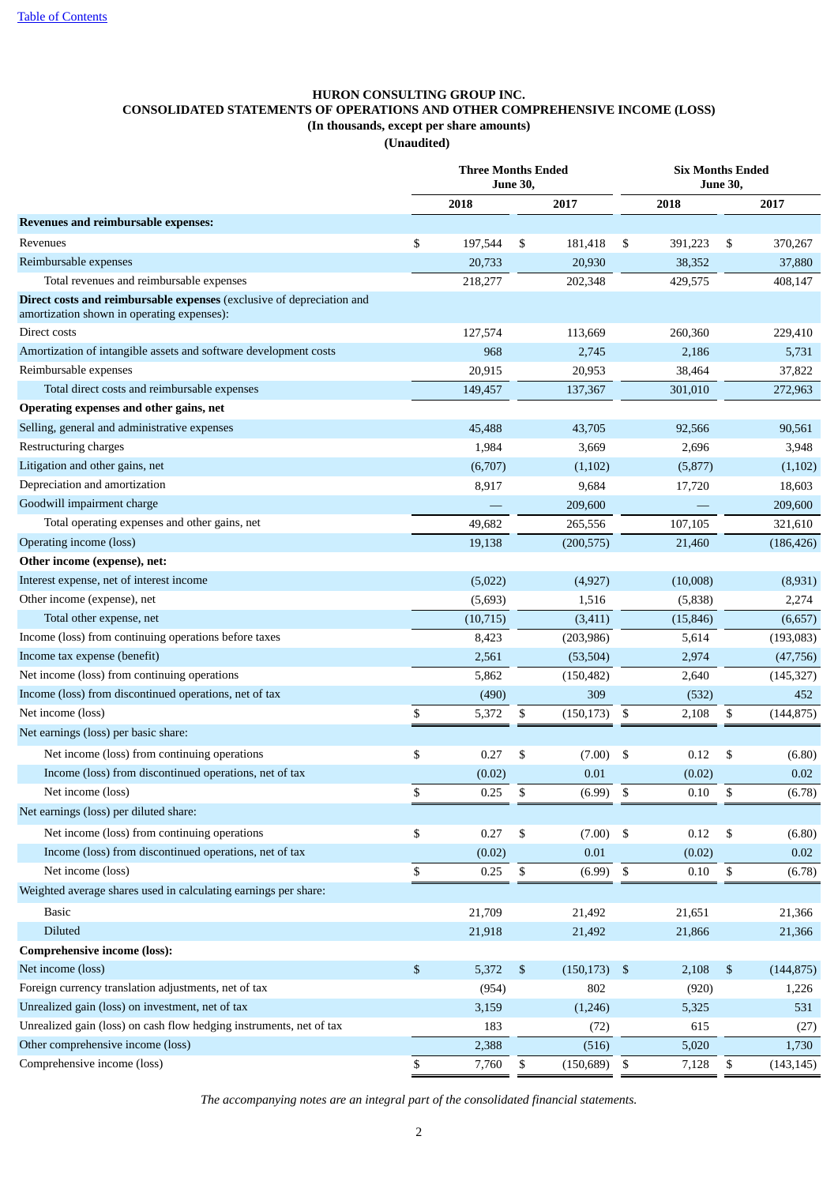# <span id="page-3-0"></span>**HURON CONSULTING GROUP INC. CONSOLIDATED STATEMENTS OF OPERATIONS AND OTHER COMPREHENSIVE INCOME (LOSS) (In thousands, except per share amounts) (Unaudited)**

|                                                                                                                     |               | <b>Three Months Ended</b><br><b>Six Months Ended</b><br><b>June 30,</b><br><b>June 30,</b> |                 |               |           |              |            |  |
|---------------------------------------------------------------------------------------------------------------------|---------------|--------------------------------------------------------------------------------------------|-----------------|---------------|-----------|--------------|------------|--|
|                                                                                                                     | 2018          |                                                                                            | 2017            |               | 2018      |              | 2017       |  |
| Revenues and reimbursable expenses:                                                                                 |               |                                                                                            |                 |               |           |              |            |  |
| Revenues                                                                                                            | \$<br>197,544 | \$                                                                                         | 181,418         | \$            | 391,223   | \$           | 370,267    |  |
| Reimbursable expenses                                                                                               | 20,733        |                                                                                            | 20,930          |               | 38,352    |              | 37,880     |  |
| Total revenues and reimbursable expenses                                                                            | 218,277       |                                                                                            | 202,348         |               | 429,575   |              | 408,147    |  |
| Direct costs and reimbursable expenses (exclusive of depreciation and<br>amortization shown in operating expenses): |               |                                                                                            |                 |               |           |              |            |  |
| Direct costs                                                                                                        | 127,574       |                                                                                            | 113,669         |               | 260,360   |              | 229,410    |  |
| Amortization of intangible assets and software development costs                                                    | 968           |                                                                                            | 2,745           |               | 2,186     |              | 5,731      |  |
| Reimbursable expenses                                                                                               | 20,915        |                                                                                            | 20,953          |               | 38,464    |              | 37,822     |  |
| Total direct costs and reimbursable expenses                                                                        | 149,457       |                                                                                            | 137,367         |               | 301,010   |              | 272,963    |  |
| Operating expenses and other gains, net                                                                             |               |                                                                                            |                 |               |           |              |            |  |
| Selling, general and administrative expenses                                                                        | 45,488        |                                                                                            | 43,705          |               | 92,566    |              | 90,561     |  |
| Restructuring charges                                                                                               | 1,984         |                                                                                            | 3,669           |               | 2,696     |              | 3,948      |  |
| Litigation and other gains, net                                                                                     | (6,707)       |                                                                                            | (1,102)         |               | (5,877)   |              | (1,102)    |  |
| Depreciation and amortization                                                                                       | 8,917         |                                                                                            | 9,684           |               | 17,720    |              | 18,603     |  |
| Goodwill impairment charge                                                                                          |               |                                                                                            | 209,600         |               |           |              | 209,600    |  |
| Total operating expenses and other gains, net                                                                       | 49,682        |                                                                                            | 265,556         |               | 107,105   |              | 321,610    |  |
| Operating income (loss)                                                                                             | 19,138        |                                                                                            | (200, 575)      |               | 21,460    |              | (186, 426) |  |
| Other income (expense), net:                                                                                        |               |                                                                                            |                 |               |           |              |            |  |
| Interest expense, net of interest income                                                                            | (5,022)       |                                                                                            | (4,927)         |               | (10,008)  |              | (8,931)    |  |
| Other income (expense), net                                                                                         | (5,693)       |                                                                                            | 1,516           |               | (5,838)   |              | 2,274      |  |
| Total other expense, net                                                                                            | (10, 715)     |                                                                                            | (3, 411)        |               | (15, 846) |              | (6,657)    |  |
| Income (loss) from continuing operations before taxes                                                               | 8,423         |                                                                                            | (203, 986)      |               | 5,614     |              | (193,083)  |  |
| Income tax expense (benefit)                                                                                        | 2,561         |                                                                                            | (53, 504)       |               | 2,974     |              | (47,756)   |  |
| Net income (loss) from continuing operations                                                                        | 5,862         |                                                                                            | (150, 482)      |               | 2,640     |              | (145, 327) |  |
| Income (loss) from discontinued operations, net of tax                                                              | (490)         |                                                                                            | 309             |               | (532)     |              | 452        |  |
| Net income (loss)                                                                                                   | \$<br>5,372   | \$                                                                                         | (150, 173)      | \$            | 2,108     | \$           | (144, 875) |  |
| Net earnings (loss) per basic share:                                                                                |               |                                                                                            |                 |               |           |              |            |  |
| Net income (loss) from continuing operations                                                                        | \$<br>0.27    | \$                                                                                         | (7.00)          | \$            | 0.12      | \$           | (6.80)     |  |
| Income (loss) from discontinued operations, net of tax                                                              | (0.02)        |                                                                                            | 0.01            |               | (0.02)    |              | 0.02       |  |
| Net income (loss)                                                                                                   | \$<br>0.25    | \$                                                                                         | (6.99)          | \$            | 0.10      | \$           | (6.78)     |  |
| Net earnings (loss) per diluted share:                                                                              |               |                                                                                            |                 |               |           |              |            |  |
| Net income (loss) from continuing operations                                                                        | \$<br>0.27    | \$                                                                                         | (7.00)          | \$            | 0.12      | \$           | (6.80)     |  |
| Income (loss) from discontinued operations, net of tax                                                              | (0.02)        |                                                                                            | 0.01            |               | (0.02)    |              | 0.02       |  |
| Net income (loss)                                                                                                   | \$<br>0.25    | \$                                                                                         | (6.99)          | ${\mathbb S}$ | 0.10      | $\mathbb{S}$ | (6.78)     |  |
| Weighted average shares used in calculating earnings per share:                                                     |               |                                                                                            |                 |               |           |              |            |  |
| <b>Basic</b>                                                                                                        | 21,709        |                                                                                            | 21,492          |               | 21,651    |              | 21,366     |  |
| <b>Diluted</b>                                                                                                      | 21,918        |                                                                                            | 21,492          |               | 21,866    |              | 21,366     |  |
| <b>Comprehensive income (loss):</b>                                                                                 |               |                                                                                            |                 |               |           |              |            |  |
| Net income (loss)                                                                                                   | \$<br>5,372   | \$                                                                                         | $(150, 173)$ \$ |               | 2,108     | \$           | (144, 875) |  |
| Foreign currency translation adjustments, net of tax                                                                | (954)         |                                                                                            | 802             |               | (920)     |              | 1,226      |  |
| Unrealized gain (loss) on investment, net of tax                                                                    | 3,159         |                                                                                            | (1,246)         |               | 5,325     |              | 531        |  |
| Unrealized gain (loss) on cash flow hedging instruments, net of tax                                                 | 183           |                                                                                            | (72)            |               | 615       |              | (27)       |  |
| Other comprehensive income (loss)                                                                                   | 2,388         |                                                                                            | (516)           |               | 5,020     |              | 1,730      |  |
| Comprehensive income (loss)                                                                                         | \$<br>7,760   | \$                                                                                         | $(150,689)$ \$  |               | 7,128     | \$           | (143, 145) |  |

*The accompanying notes are an integral part of the consolidated financial statements.*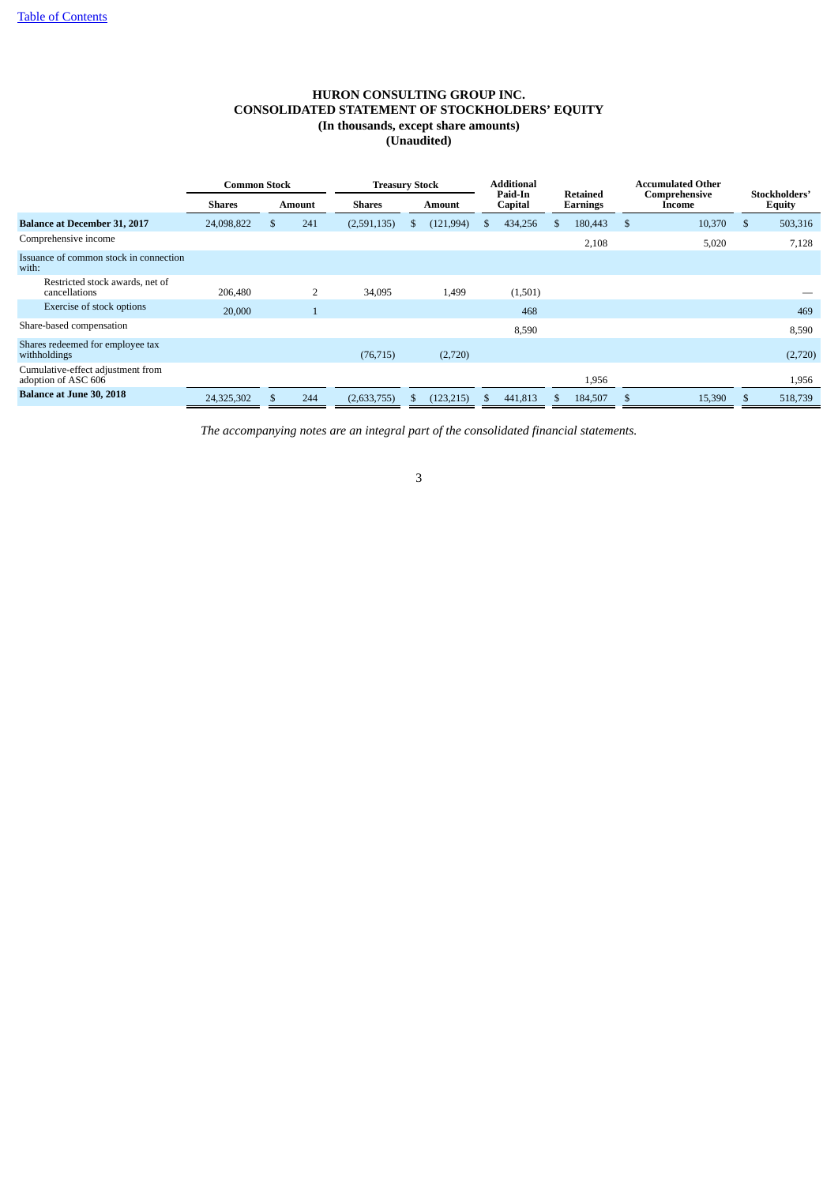# **HURON CONSULTING GROUP INC. CONSOLIDATED STATEMENT OF STOCKHOLDERS' EQUITY (In thousands, except share amounts) (Unaudited)**

<span id="page-4-0"></span>

|                                                          | <b>Common Stock</b> |          |                | <b>Treasury Stock</b> |     |               |    | Additional         |                      |         |    |        |          | <b>Accumulated Other</b> |  |  |  |                         |  |                                |
|----------------------------------------------------------|---------------------|----------|----------------|-----------------------|-----|---------------|----|--------------------|----------------------|---------|----|--------|----------|--------------------------|--|--|--|-------------------------|--|--------------------------------|
|                                                          | <b>Shares</b>       |          | <b>Amount</b>  | <b>Shares</b>         |     | <b>Amount</b> |    | Paid-In<br>Capital | Retained<br>Earnings |         |    |        |          |                          |  |  |  | Comprehensive<br>Income |  | Stockholders'<br><b>Equity</b> |
| <b>Balance at December 31, 2017</b>                      | 24,098,822          | <b>S</b> | 241            | (2,591,135)           | Эħ. | (121, 994)    | ö. | 434,256            |                      | 180,443 | -S | 10,370 | S        | 503,316                  |  |  |  |                         |  |                                |
| Comprehensive income                                     |                     |          |                |                       |     |               |    |                    |                      | 2,108   |    | 5,020  |          | 7,128                    |  |  |  |                         |  |                                |
| Issuance of common stock in connection<br>with:          |                     |          |                |                       |     |               |    |                    |                      |         |    |        |          |                          |  |  |  |                         |  |                                |
| Restricted stock awards, net of<br>cancellations         | 206,480             |          | $\overline{2}$ | 34,095                |     | 1,499         |    | (1,501)            |                      |         |    |        |          |                          |  |  |  |                         |  |                                |
| Exercise of stock options                                | 20,000              |          |                |                       |     |               |    | 468                |                      |         |    |        |          | 469                      |  |  |  |                         |  |                                |
| Share-based compensation                                 |                     |          |                |                       |     |               |    | 8,590              |                      |         |    |        |          | 8,590                    |  |  |  |                         |  |                                |
| Shares redeemed for employee tax<br>withholdings         |                     |          |                | (76, 715)             |     | (2,720)       |    |                    |                      |         |    |        |          | (2,720)                  |  |  |  |                         |  |                                |
| Cumulative-effect adjustment from<br>adoption of ASC 606 |                     |          |                |                       |     |               |    |                    |                      | 1,956   |    |        |          | 1,956                    |  |  |  |                         |  |                                |
| <b>Balance at June 30, 2018</b>                          | 24,325,302          |          | 244            | (2,633,755)           |     | (123, 215)    | S. | 441,813            |                      | 184,507 | -8 | 15,390 | <b>S</b> | 518,739                  |  |  |  |                         |  |                                |

*The accompanying notes are an integral part of the consolidated financial statements.*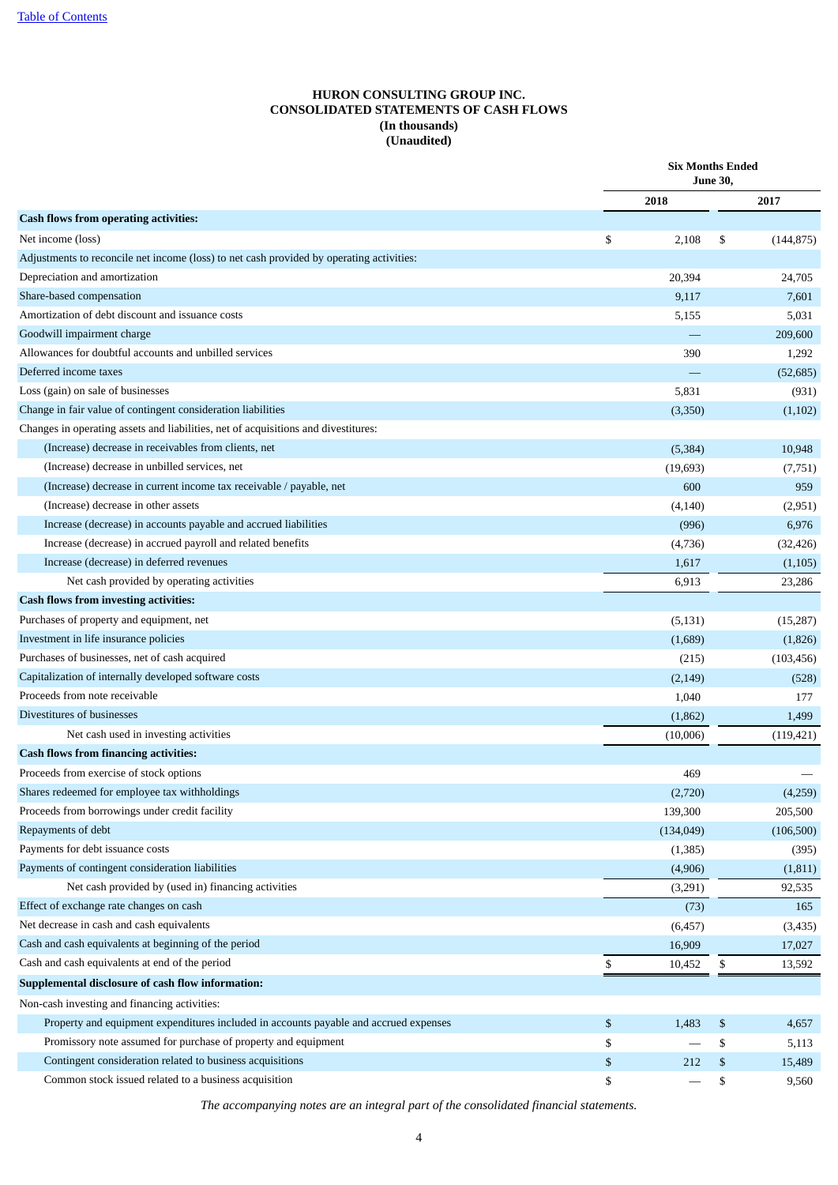# **HURON CONSULTING GROUP INC. CONSOLIDATED STATEMENTS OF CASH FLOWS (In thousands) (Unaudited)**

<span id="page-5-0"></span>

|                                                                                          | <b>Six Months Ended</b><br><b>June 30,</b> |    |            |  |  |
|------------------------------------------------------------------------------------------|--------------------------------------------|----|------------|--|--|
|                                                                                          | 2018                                       |    | 2017       |  |  |
| <b>Cash flows from operating activities:</b>                                             |                                            |    |            |  |  |
| Net income (loss)                                                                        | \$<br>2,108                                | \$ | (144, 875) |  |  |
| Adjustments to reconcile net income (loss) to net cash provided by operating activities: |                                            |    |            |  |  |
| Depreciation and amortization                                                            | 20,394                                     |    | 24,705     |  |  |
| Share-based compensation                                                                 | 9,117                                      |    | 7,601      |  |  |
| Amortization of debt discount and issuance costs                                         | 5,155                                      |    | 5,031      |  |  |
| Goodwill impairment charge                                                               |                                            |    | 209,600    |  |  |
| Allowances for doubtful accounts and unbilled services                                   | 390                                        |    | 1,292      |  |  |
| Deferred income taxes                                                                    |                                            |    | (52, 685)  |  |  |
| Loss (gain) on sale of businesses                                                        | 5,831                                      |    | (931)      |  |  |
| Change in fair value of contingent consideration liabilities                             | (3,350)                                    |    | (1,102)    |  |  |
| Changes in operating assets and liabilities, net of acquisitions and divestitures:       |                                            |    |            |  |  |
| (Increase) decrease in receivables from clients, net                                     | (5, 384)                                   |    | 10,948     |  |  |
| (Increase) decrease in unbilled services, net                                            | (19, 693)                                  |    | (7,751)    |  |  |
| (Increase) decrease in current income tax receivable / payable, net                      | 600                                        |    | 959        |  |  |
| (Increase) decrease in other assets                                                      | (4, 140)                                   |    | (2,951)    |  |  |
| Increase (decrease) in accounts payable and accrued liabilities                          | (996)                                      |    | 6,976      |  |  |
| Increase (decrease) in accrued payroll and related benefits                              | (4,736)                                    |    | (32, 426)  |  |  |
| Increase (decrease) in deferred revenues                                                 | 1,617                                      |    | (1,105)    |  |  |
| Net cash provided by operating activities                                                | 6,913                                      |    | 23,286     |  |  |
| <b>Cash flows from investing activities:</b>                                             |                                            |    |            |  |  |
| Purchases of property and equipment, net                                                 | (5, 131)                                   |    | (15,287)   |  |  |
| Investment in life insurance policies                                                    | (1,689)                                    |    | (1,826)    |  |  |
| Purchases of businesses, net of cash acquired                                            | (215)                                      |    | (103, 456) |  |  |
| Capitalization of internally developed software costs                                    | (2, 149)                                   |    | (528)      |  |  |
| Proceeds from note receivable                                                            | 1,040                                      |    | 177        |  |  |
| Divestitures of businesses                                                               | (1,862)                                    |    | 1,499      |  |  |
| Net cash used in investing activities                                                    | (10,006)                                   |    | (119, 421) |  |  |
| <b>Cash flows from financing activities:</b>                                             |                                            |    |            |  |  |
| Proceeds from exercise of stock options                                                  | 469                                        |    |            |  |  |
| Shares redeemed for employee tax withholdings                                            | (2,720)                                    |    | (4,259)    |  |  |
| Proceeds from borrowings under credit facility                                           | 139,300                                    |    | 205,500    |  |  |
| Repayments of debt                                                                       | (134, 049)                                 |    | (106, 500) |  |  |
| Payments for debt issuance costs                                                         | (1, 385)                                   |    | (395)      |  |  |
| Payments of contingent consideration liabilities                                         | (4,906)                                    |    | (1, 811)   |  |  |
| Net cash provided by (used in) financing activities                                      | (3,291)                                    |    | 92,535     |  |  |
| Effect of exchange rate changes on cash                                                  | (73)                                       |    | 165        |  |  |
| Net decrease in cash and cash equivalents                                                | (6, 457)                                   |    | (3, 435)   |  |  |
| Cash and cash equivalents at beginning of the period                                     | 16,909                                     |    | 17,027     |  |  |
| Cash and cash equivalents at end of the period                                           | \$<br>10,452                               | \$ | 13,592     |  |  |
| Supplemental disclosure of cash flow information:                                        |                                            |    |            |  |  |
| Non-cash investing and financing activities:                                             |                                            |    |            |  |  |
| Property and equipment expenditures included in accounts payable and accrued expenses    | \$<br>1,483                                | \$ | 4,657      |  |  |
| Promissory note assumed for purchase of property and equipment                           | \$                                         | \$ | 5,113      |  |  |
| Contingent consideration related to business acquisitions                                | \$<br>212                                  | \$ | 15,489     |  |  |
| Common stock issued related to a business acquisition                                    | \$                                         | \$ | 9,560      |  |  |

*The accompanying notes are an integral part of the consolidated financial statements.*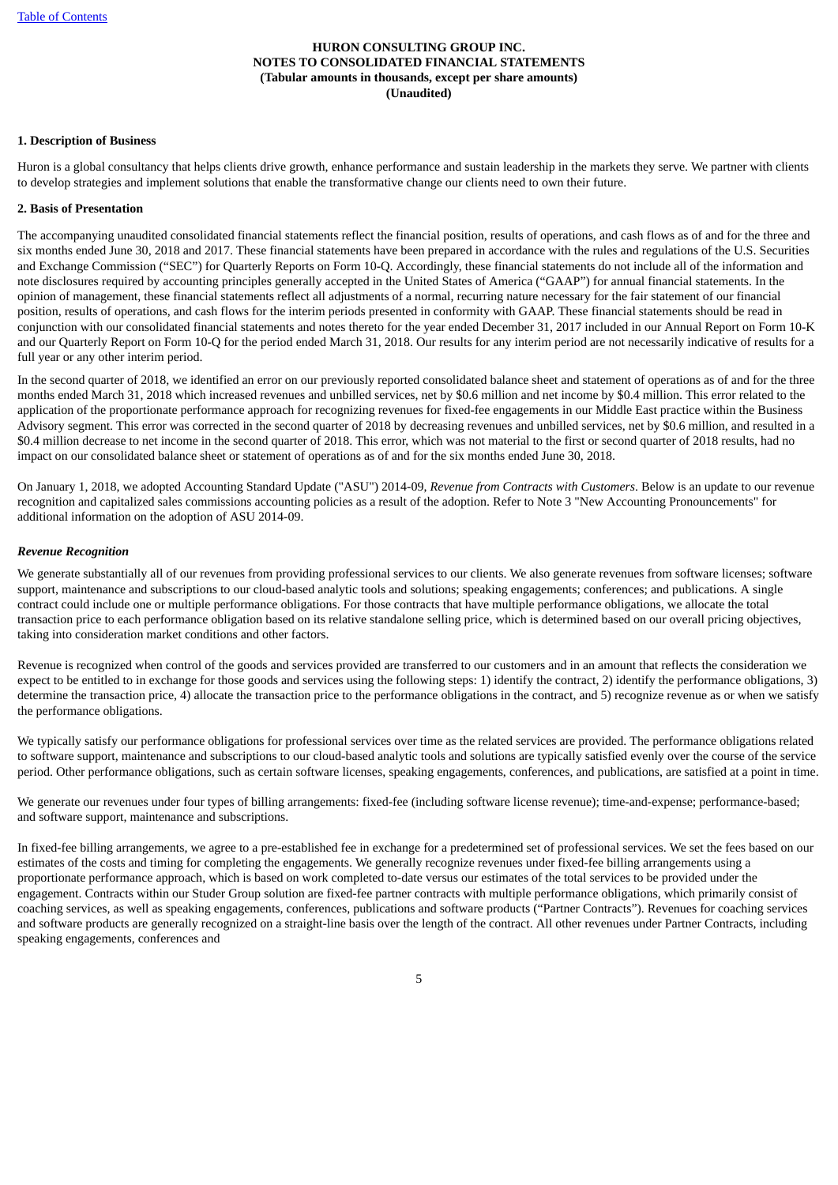#### <span id="page-6-0"></span>**1. Description of Business**

Huron is a global consultancy that helps clients drive growth, enhance performance and sustain leadership in the markets they serve. We partner with clients to develop strategies and implement solutions that enable the transformative change our clients need to own their future.

#### **2. Basis of Presentation**

The accompanying unaudited consolidated financial statements reflect the financial position, results of operations, and cash flows as of and for the three and six months ended June 30, 2018 and 2017. These financial statements have been prepared in accordance with the rules and regulations of the U.S. Securities and Exchange Commission ("SEC") for Quarterly Reports on Form 10-Q. Accordingly, these financial statements do not include all of the information and note disclosures required by accounting principles generally accepted in the United States of America ("GAAP") for annual financial statements. In the opinion of management, these financial statements reflect all adjustments of a normal, recurring nature necessary for the fair statement of our financial position, results of operations, and cash flows for the interim periods presented in conformity with GAAP. These financial statements should be read in conjunction with our consolidated financial statements and notes thereto for the year ended December 31, 2017 included in our Annual Report on Form 10-K and our Quarterly Report on Form 10-Q for the period ended March 31, 2018. Our results for any interim period are not necessarily indicative of results for a full year or any other interim period.

In the second quarter of 2018, we identified an error on our previously reported consolidated balance sheet and statement of operations as of and for the three months ended March 31, 2018 which increased revenues and unbilled services, net by \$0.6 million and net income by \$0.4 million. This error related to the application of the proportionate performance approach for recognizing revenues for fixed-fee engagements in our Middle East practice within the Business Advisory segment. This error was corrected in the second quarter of 2018 by decreasing revenues and unbilled services, net by \$0.6 million, and resulted in a \$0.4 million decrease to net income in the second quarter of 2018. This error, which was not material to the first or second quarter of 2018 results, had no impact on our consolidated balance sheet or statement of operations as of and for the six months ended June 30, 2018.

On January 1, 2018, we adopted Accounting Standard Update ("ASU") 2014-09, *Revenue from Contracts with Customers*. Below is an update to our revenue recognition and capitalized sales commissions accounting policies as a result of the adoption. Refer to Note 3 "New Accounting Pronouncements" for additional information on the adoption of ASU 2014-09.

#### *Revenue Recognition*

We generate substantially all of our revenues from providing professional services to our clients. We also generate revenues from software licenses; software support, maintenance and subscriptions to our cloud-based analytic tools and solutions; speaking engagements; conferences; and publications. A single contract could include one or multiple performance obligations. For those contracts that have multiple performance obligations, we allocate the total transaction price to each performance obligation based on its relative standalone selling price, which is determined based on our overall pricing objectives, taking into consideration market conditions and other factors.

Revenue is recognized when control of the goods and services provided are transferred to our customers and in an amount that reflects the consideration we expect to be entitled to in exchange for those goods and services using the following steps: 1) identify the contract, 2) identify the performance obligations, 3) determine the transaction price, 4) allocate the transaction price to the performance obligations in the contract, and 5) recognize revenue as or when we satisfy the performance obligations.

We typically satisfy our performance obligations for professional services over time as the related services are provided. The performance obligations related to software support, maintenance and subscriptions to our cloud-based analytic tools and solutions are typically satisfied evenly over the course of the service period. Other performance obligations, such as certain software licenses, speaking engagements, conferences, and publications, are satisfied at a point in time.

We generate our revenues under four types of billing arrangements: fixed-fee (including software license revenue); time-and-expense; performance-based; and software support, maintenance and subscriptions.

In fixed-fee billing arrangements, we agree to a pre-established fee in exchange for a predetermined set of professional services. We set the fees based on our estimates of the costs and timing for completing the engagements. We generally recognize revenues under fixed-fee billing arrangements using a proportionate performance approach, which is based on work completed to-date versus our estimates of the total services to be provided under the engagement. Contracts within our Studer Group solution are fixed-fee partner contracts with multiple performance obligations, which primarily consist of coaching services, as well as speaking engagements, conferences, publications and software products ("Partner Contracts"). Revenues for coaching services and software products are generally recognized on a straight-line basis over the length of the contract. All other revenues under Partner Contracts, including speaking engagements, conferences and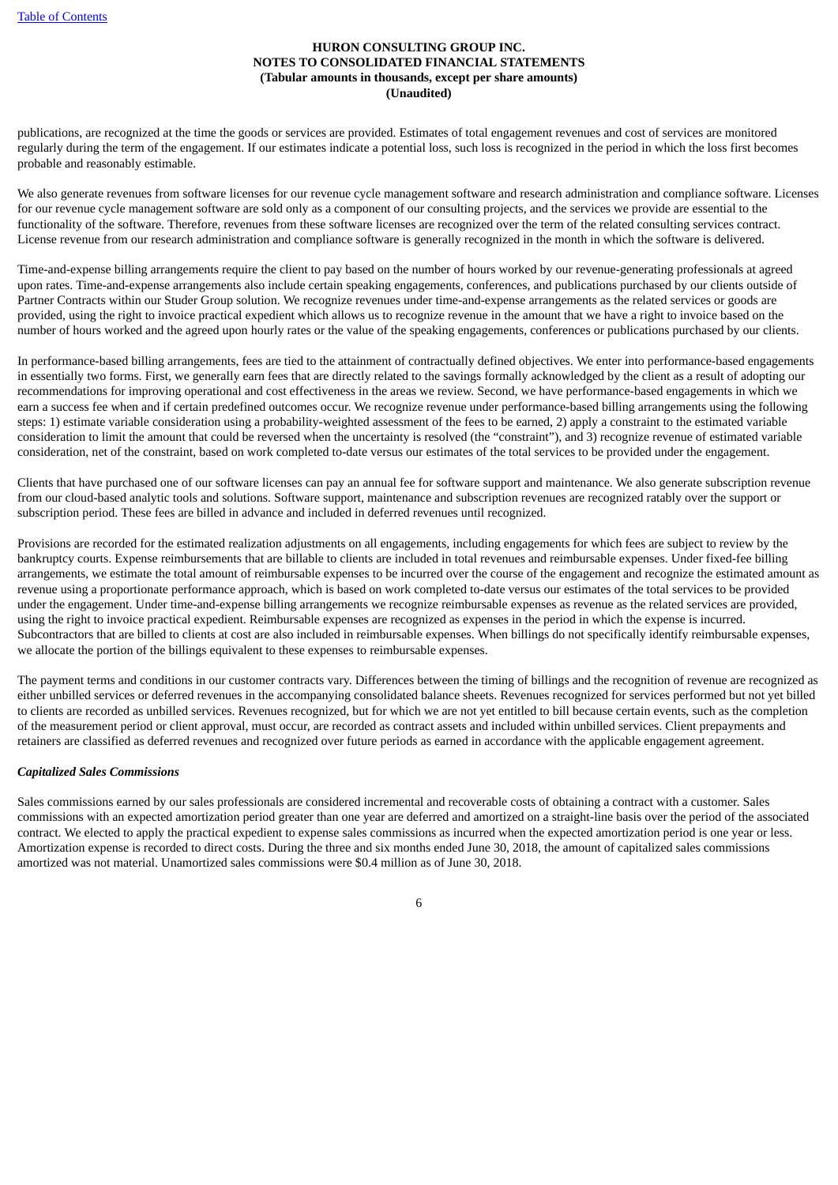publications, are recognized at the time the goods or services are provided. Estimates of total engagement revenues and cost of services are monitored regularly during the term of the engagement. If our estimates indicate a potential loss, such loss is recognized in the period in which the loss first becomes probable and reasonably estimable.

We also generate revenues from software licenses for our revenue cycle management software and research administration and compliance software. Licenses for our revenue cycle management software are sold only as a component of our consulting projects, and the services we provide are essential to the functionality of the software. Therefore, revenues from these software licenses are recognized over the term of the related consulting services contract. License revenue from our research administration and compliance software is generally recognized in the month in which the software is delivered.

Time-and-expense billing arrangements require the client to pay based on the number of hours worked by our revenue-generating professionals at agreed upon rates. Time-and-expense arrangements also include certain speaking engagements, conferences, and publications purchased by our clients outside of Partner Contracts within our Studer Group solution. We recognize revenues under time-and-expense arrangements as the related services or goods are provided, using the right to invoice practical expedient which allows us to recognize revenue in the amount that we have a right to invoice based on the number of hours worked and the agreed upon hourly rates or the value of the speaking engagements, conferences or publications purchased by our clients.

In performance-based billing arrangements, fees are tied to the attainment of contractually defined objectives. We enter into performance-based engagements in essentially two forms. First, we generally earn fees that are directly related to the savings formally acknowledged by the client as a result of adopting our recommendations for improving operational and cost effectiveness in the areas we review. Second, we have performance-based engagements in which we earn a success fee when and if certain predefined outcomes occur. We recognize revenue under performance-based billing arrangements using the following steps: 1) estimate variable consideration using a probability-weighted assessment of the fees to be earned, 2) apply a constraint to the estimated variable consideration to limit the amount that could be reversed when the uncertainty is resolved (the "constraint"), and 3) recognize revenue of estimated variable consideration, net of the constraint, based on work completed to-date versus our estimates of the total services to be provided under the engagement.

Clients that have purchased one of our software licenses can pay an annual fee for software support and maintenance. We also generate subscription revenue from our cloud-based analytic tools and solutions. Software support, maintenance and subscription revenues are recognized ratably over the support or subscription period. These fees are billed in advance and included in deferred revenues until recognized.

Provisions are recorded for the estimated realization adjustments on all engagements, including engagements for which fees are subject to review by the bankruptcy courts. Expense reimbursements that are billable to clients are included in total revenues and reimbursable expenses. Under fixed-fee billing arrangements, we estimate the total amount of reimbursable expenses to be incurred over the course of the engagement and recognize the estimated amount as revenue using a proportionate performance approach, which is based on work completed to-date versus our estimates of the total services to be provided under the engagement. Under time-and-expense billing arrangements we recognize reimbursable expenses as revenue as the related services are provided, using the right to invoice practical expedient. Reimbursable expenses are recognized as expenses in the period in which the expense is incurred. Subcontractors that are billed to clients at cost are also included in reimbursable expenses. When billings do not specifically identify reimbursable expenses, we allocate the portion of the billings equivalent to these expenses to reimbursable expenses.

The payment terms and conditions in our customer contracts vary. Differences between the timing of billings and the recognition of revenue are recognized as either unbilled services or deferred revenues in the accompanying consolidated balance sheets. Revenues recognized for services performed but not yet billed to clients are recorded as unbilled services. Revenues recognized, but for which we are not yet entitled to bill because certain events, such as the completion of the measurement period or client approval, must occur, are recorded as contract assets and included within unbilled services. Client prepayments and retainers are classified as deferred revenues and recognized over future periods as earned in accordance with the applicable engagement agreement.

# *Capitalized Sales Commissions*

Sales commissions earned by our sales professionals are considered incremental and recoverable costs of obtaining a contract with a customer. Sales commissions with an expected amortization period greater than one year are deferred and amortized on a straight-line basis over the period of the associated contract. We elected to apply the practical expedient to expense sales commissions as incurred when the expected amortization period is one year or less. Amortization expense is recorded to direct costs. During the three and six months ended June 30, 2018, the amount of capitalized sales commissions amortized was not material. Unamortized sales commissions were \$0.4 million as of June 30, 2018.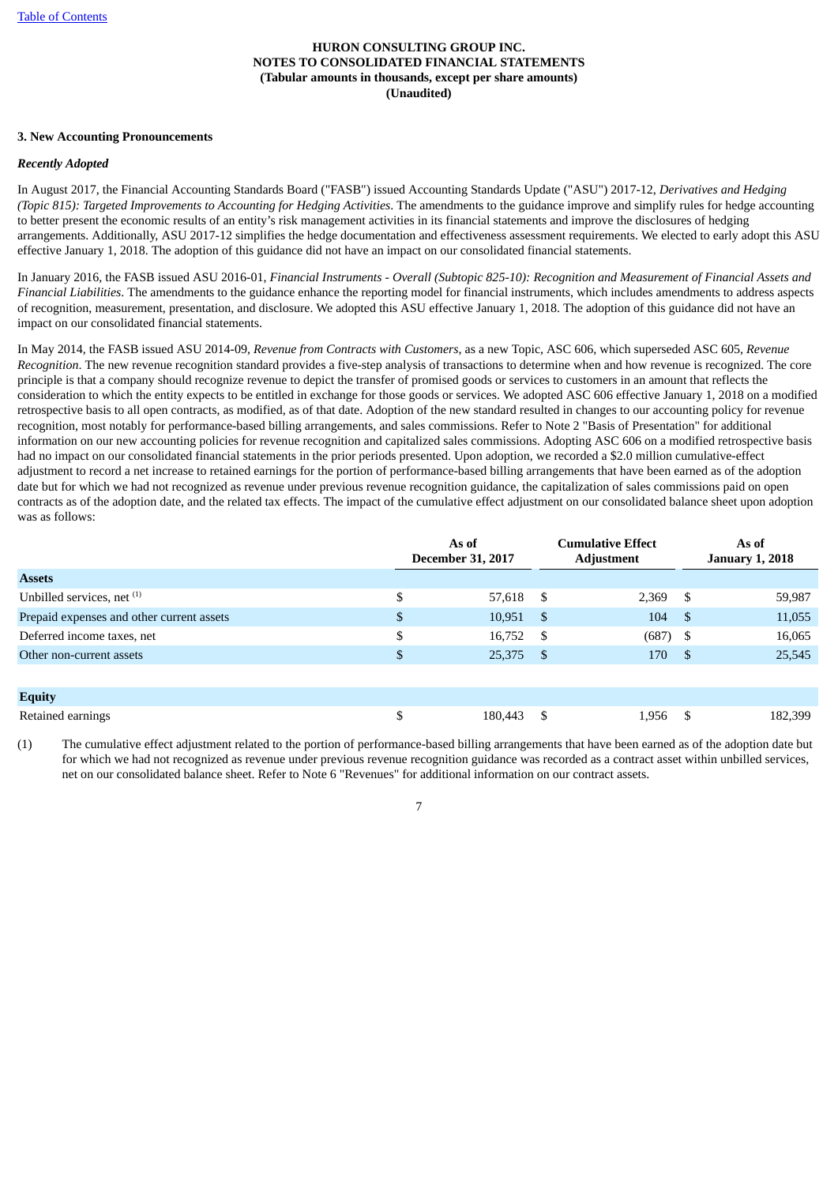# **3. New Accounting Pronouncements**

#### *Recently Adopted*

In August 2017, the Financial Accounting Standards Board ("FASB") issued Accounting Standards Update ("ASU") 2017-12, *Derivatives and Hedging (Topic 815): Targeted Improvements to Accounting for Hedging Activities*. The amendments to the guidance improve and simplify rules for hedge accounting to better present the economic results of an entity's risk management activities in its financial statements and improve the disclosures of hedging arrangements. Additionally, ASU 2017-12 simplifies the hedge documentation and effectiveness assessment requirements. We elected to early adopt this ASU effective January 1, 2018. The adoption of this guidance did not have an impact on our consolidated financial statements.

In January 2016, the FASB issued ASU 2016-01, Financial Instruments - Overall (Subtopic 825-10): Recognition and Measurement of Financial Assets and *Financial Liabilities*. The amendments to the guidance enhance the reporting model for financial instruments, which includes amendments to address aspects of recognition, measurement, presentation, and disclosure. We adopted this ASU effective January 1, 2018. The adoption of this guidance did not have an impact on our consolidated financial statements.

In May 2014, the FASB issued ASU 2014-09, *Revenue from Contracts with Customers*, as a new Topic, ASC 606, which superseded ASC 605, *Revenue Recognition*. The new revenue recognition standard provides a five-step analysis of transactions to determine when and how revenue is recognized. The core principle is that a company should recognize revenue to depict the transfer of promised goods or services to customers in an amount that reflects the consideration to which the entity expects to be entitled in exchange for those goods or services. We adopted ASC 606 effective January 1, 2018 on a modified retrospective basis to all open contracts, as modified, as of that date. Adoption of the new standard resulted in changes to our accounting policy for revenue recognition, most notably for performance-based billing arrangements, and sales commissions. Refer to Note 2 "Basis of Presentation" for additional information on our new accounting policies for revenue recognition and capitalized sales commissions. Adopting ASC 606 on a modified retrospective basis had no impact on our consolidated financial statements in the prior periods presented. Upon adoption, we recorded a \$2.0 million cumulative-effect adjustment to record a net increase to retained earnings for the portion of performance-based billing arrangements that have been earned as of the adoption date but for which we had not recognized as revenue under previous revenue recognition guidance, the capitalization of sales commissions paid on open contracts as of the adoption date, and the related tax effects. The impact of the cumulative effect adjustment on our consolidated balance sheet upon adoption was as follows:

|                                           | As of<br><b>December 31, 2017</b> |      | <b>Cumulative Effect</b><br><b>Adjustment</b> |      | As of<br><b>January 1, 2018</b> |  |
|-------------------------------------------|-----------------------------------|------|-----------------------------------------------|------|---------------------------------|--|
| <b>Assets</b>                             |                                   |      |                                               |      |                                 |  |
| Unbilled services, net (1)                | \$<br>57,618                      | -S   | 2,369                                         | - \$ | 59,987                          |  |
| Prepaid expenses and other current assets | \$<br>10,951                      | -S   | 104                                           | - \$ | 11,055                          |  |
| Deferred income taxes, net                | \$<br>16,752                      | -S   | $(687)$ \$                                    |      | 16,065                          |  |
| Other non-current assets                  | \$<br>25,375                      | - \$ | 170                                           | - \$ | 25,545                          |  |
|                                           |                                   |      |                                               |      |                                 |  |
| <b>Equity</b>                             |                                   |      |                                               |      |                                 |  |
| Retained earnings                         | \$<br>180,443                     | \$.  | 1,956                                         | - \$ | 182,399                         |  |

(1) The cumulative effect adjustment related to the portion of performance-based billing arrangements that have been earned as of the adoption date but for which we had not recognized as revenue under previous revenue recognition guidance was recorded as a contract asset within unbilled services, net on our consolidated balance sheet. Refer to Note 6 "Revenues" for additional information on our contract assets.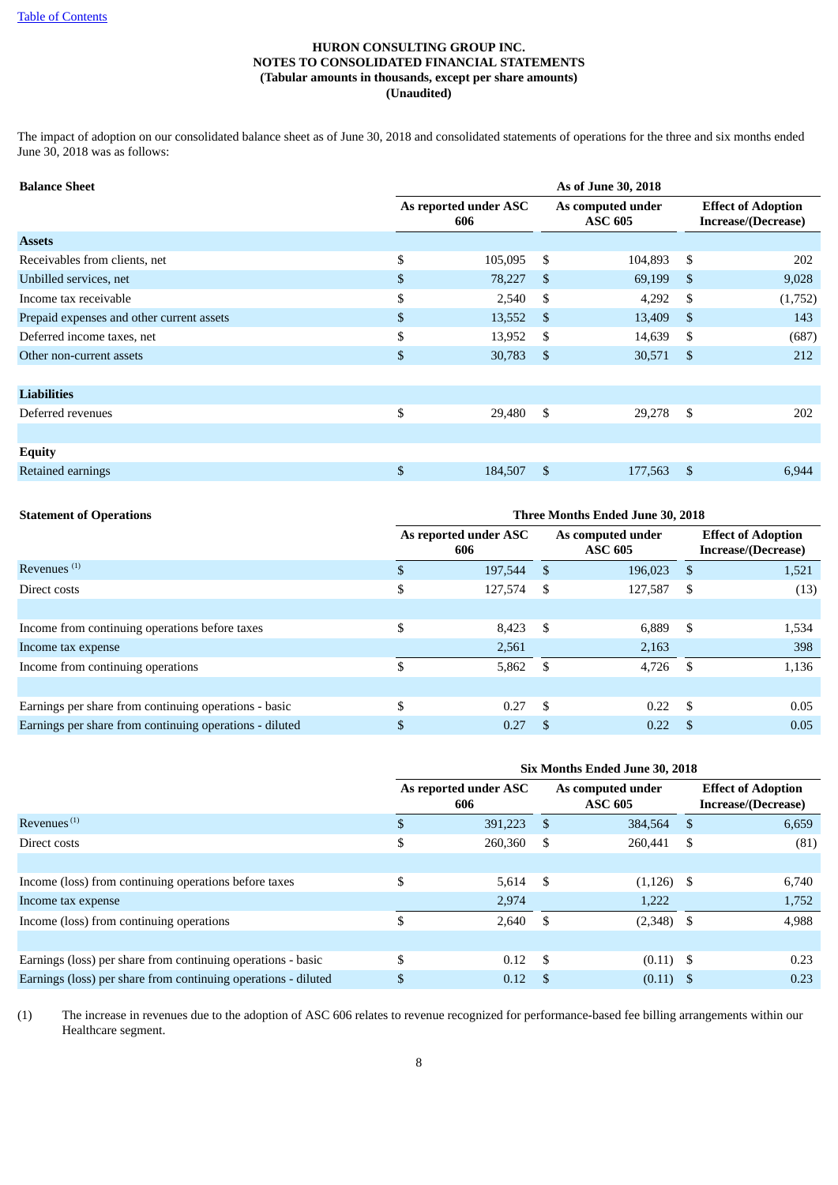The impact of adoption on our consolidated balance sheet as of June 30, 2018 and consolidated statements of operations for the three and six months ended June 30, 2018 was as follows:

| <b>Balance Sheet</b>                      | As of June 30, 2018          |         |                                     |         |               |                                                  |  |
|-------------------------------------------|------------------------------|---------|-------------------------------------|---------|---------------|--------------------------------------------------|--|
|                                           | As reported under ASC<br>606 |         | As computed under<br><b>ASC 605</b> |         |               | <b>Effect of Adoption</b><br>Increase/(Decrease) |  |
| <b>Assets</b>                             |                              |         |                                     |         |               |                                                  |  |
| Receivables from clients, net             | \$                           | 105,095 | S.                                  | 104,893 | - \$          | 202                                              |  |
| Unbilled services, net                    | \$                           | 78,227  | <sup>\$</sup>                       | 69,199  | <sup>S</sup>  | 9,028                                            |  |
| Income tax receivable                     | \$                           | 2,540   | S                                   | 4,292   | S.            | (1,752)                                          |  |
| Prepaid expenses and other current assets | $\mathfrak{S}$               | 13,552  | \$.                                 | 13,409  | -\$           | 143                                              |  |
| Deferred income taxes, net                | \$                           | 13,952  | \$.                                 | 14,639  | S             | (687)                                            |  |
| Other non-current assets                  | \$                           | 30,783  | $\mathbb{S}$                        | 30,571  | - \$          | 212                                              |  |
|                                           |                              |         |                                     |         |               |                                                  |  |
| <b>Liabilities</b>                        |                              |         |                                     |         |               |                                                  |  |
| Deferred revenues                         | \$                           | 29,480  | \$                                  | 29,278  | - \$          | 202                                              |  |
|                                           |                              |         |                                     |         |               |                                                  |  |
| <b>Equity</b>                             |                              |         |                                     |         |               |                                                  |  |
| Retained earnings                         | \$                           | 184,507 | \$                                  | 177,563 | <sup>\$</sup> | 6,944                                            |  |

# **Statement of Operations Three Months Ended June 30, 2018**

|                                                         |     | As reported under ASC<br>606 |    | As computed under<br><b>ASC 605</b> |      | <b>Effect of Adoption</b><br>Increase/(Decrease) |
|---------------------------------------------------------|-----|------------------------------|----|-------------------------------------|------|--------------------------------------------------|
| Revenues <sup>(1)</sup>                                 |     | 197,544                      | -S | 196,023                             | - \$ | 1,521                                            |
| Direct costs                                            | \$  | 127,574                      | S  | 127,587                             | - \$ | (13)                                             |
|                                                         |     |                              |    |                                     |      |                                                  |
| Income from continuing operations before taxes          | \$. | 8,423                        | S  | 6,889                               | - \$ | 1,534                                            |
| Income tax expense                                      |     | 2,561                        |    | 2,163                               |      | 398                                              |
| Income from continuing operations                       |     | 5,862                        | -S | 4,726                               | - \$ | 1,136                                            |
|                                                         |     |                              |    |                                     |      |                                                  |
| Earnings per share from continuing operations - basic   | .S  | 0.27                         | -S | 0.22                                | - \$ | 0.05                                             |
| Earnings per share from continuing operations - diluted |     | 0.27                         |    | 0.22                                |      | 0.05                                             |

|                                                                | Six Months Ended June 30, 2018 |                              |     |                                     |      |                                                  |  |  |  |
|----------------------------------------------------------------|--------------------------------|------------------------------|-----|-------------------------------------|------|--------------------------------------------------|--|--|--|
|                                                                |                                | As reported under ASC<br>606 |     | As computed under<br><b>ASC 605</b> |      | <b>Effect of Adoption</b><br>Increase/(Decrease) |  |  |  |
| Revenues $(1)$                                                 |                                | 391,223                      | -S  | 384,564                             | - \$ | 6,659                                            |  |  |  |
| Direct costs                                                   | \$                             | 260,360                      | S   | 260,441                             | - \$ | (81)                                             |  |  |  |
|                                                                |                                |                              |     |                                     |      |                                                  |  |  |  |
| Income (loss) from continuing operations before taxes          | \$                             | 5,614                        | -S  | $(1,126)$ \$                        |      | 6,740                                            |  |  |  |
| Income tax expense                                             |                                | 2,974                        |     | 1,222                               |      | 1,752                                            |  |  |  |
| Income (loss) from continuing operations                       | \$                             | 2,640                        | S   | $(2,348)$ \$                        |      | 4,988                                            |  |  |  |
|                                                                |                                |                              |     |                                     |      |                                                  |  |  |  |
| Earnings (loss) per share from continuing operations - basic   | \$.                            | 0.12                         | -\$ | $(0.11)$ \$                         |      | 0.23                                             |  |  |  |
| Earnings (loss) per share from continuing operations - diluted | \$                             | 0.12                         | -S  | $(0.11)$ \$                         |      | 0.23                                             |  |  |  |

(1) The increase in revenues due to the adoption of ASC 606 relates to revenue recognized for performance-based fee billing arrangements within our Healthcare segment.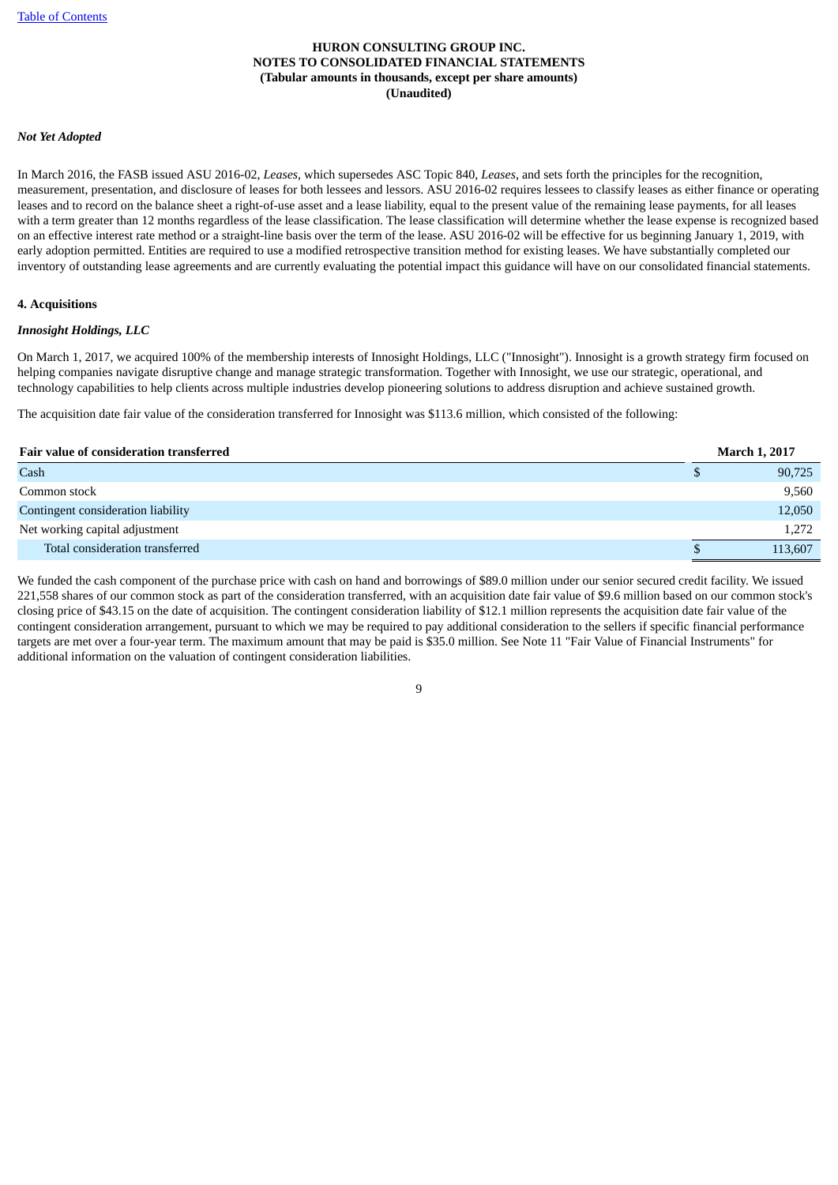#### *Not Yet Adopted*

In March 2016, the FASB issued ASU 2016-02, *Leases*, which supersedes ASC Topic 840, *Leases*, and sets forth the principles for the recognition, measurement, presentation, and disclosure of leases for both lessees and lessors. ASU 2016-02 requires lessees to classify leases as either finance or operating leases and to record on the balance sheet a right-of-use asset and a lease liability, equal to the present value of the remaining lease payments, for all leases with a term greater than 12 months regardless of the lease classification. The lease classification will determine whether the lease expense is recognized based on an effective interest rate method or a straight-line basis over the term of the lease. ASU 2016-02 will be effective for us beginning January 1, 2019, with early adoption permitted. Entities are required to use a modified retrospective transition method for existing leases. We have substantially completed our inventory of outstanding lease agreements and are currently evaluating the potential impact this guidance will have on our consolidated financial statements.

#### **4. Acquisitions**

#### *Innosight Holdings, LLC*

On March 1, 2017, we acquired 100% of the membership interests of Innosight Holdings, LLC ("Innosight"). Innosight is a growth strategy firm focused on helping companies navigate disruptive change and manage strategic transformation. Together with Innosight, we use our strategic, operational, and technology capabilities to help clients across multiple industries develop pioneering solutions to address disruption and achieve sustained growth.

The acquisition date fair value of the consideration transferred for Innosight was \$113.6 million, which consisted of the following:

| Fair value of consideration transferred |   | <b>March 1, 2017</b> |
|-----------------------------------------|---|----------------------|
| Cash                                    | S | 90,725               |
| Common stock                            |   | 9,560                |
| Contingent consideration liability      |   | 12,050               |
| Net working capital adjustment          |   | 1,272                |
| Total consideration transferred         |   | 113,607              |

We funded the cash component of the purchase price with cash on hand and borrowings of \$89.0 million under our senior secured credit facility. We issued 221,558 shares of our common stock as part of the consideration transferred, with an acquisition date fair value of \$9.6 million based on our common stock's closing price of \$43.15 on the date of acquisition. The contingent consideration liability of \$12.1 million represents the acquisition date fair value of the contingent consideration arrangement, pursuant to which we may be required to pay additional consideration to the sellers if specific financial performance targets are met over a four-year term. The maximum amount that may be paid is \$35.0 million. See Note 11 "Fair Value of Financial Instruments" for additional information on the valuation of contingent consideration liabilities.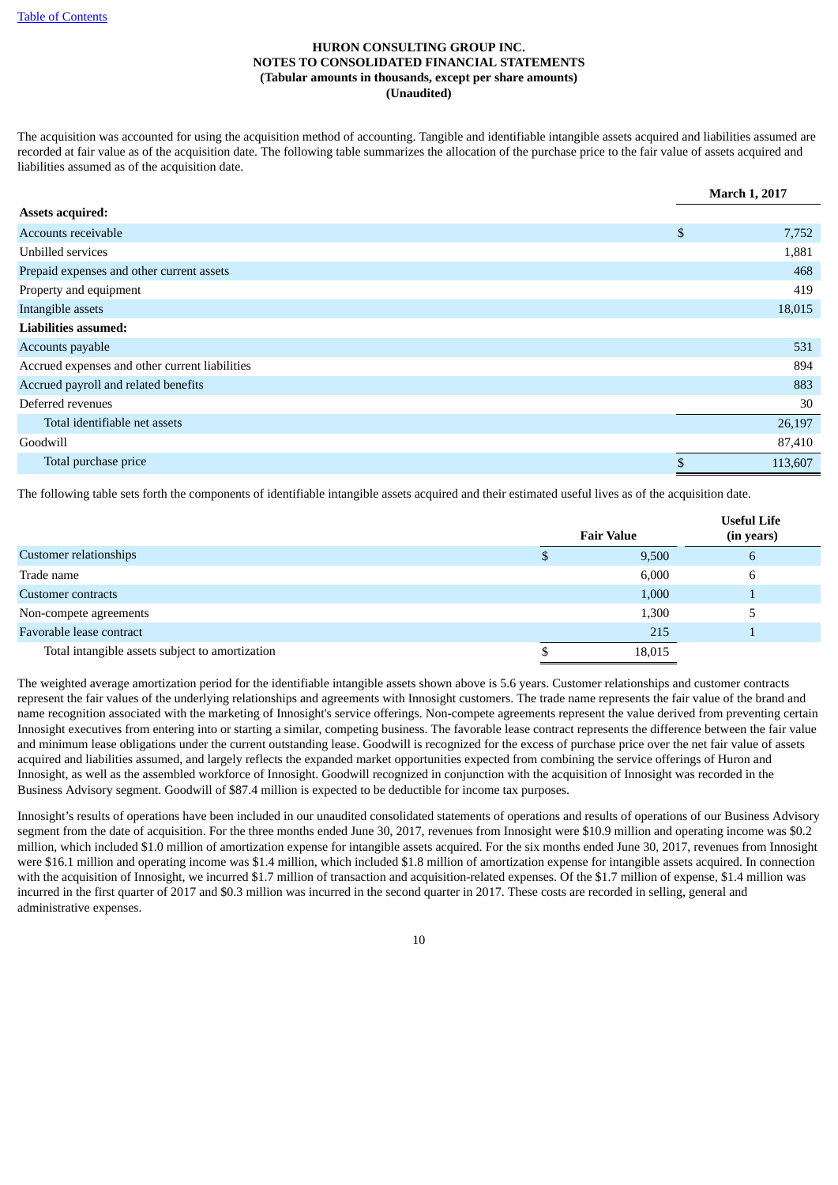The acquisition was accounted for using the acquisition method of accounting. Tangible and identifiable intangible assets acquired and liabilities assumed are recorded at fair value as of the acquisition date. The following table summarizes the allocation of the purchase price to the fair value of assets acquired and liabilities assumed as of the acquisition date.

|                                                | <b>March 1, 2017</b> |
|------------------------------------------------|----------------------|
| <b>Assets acquired:</b>                        |                      |
| Accounts receivable                            | \$<br>7,752          |
| Unbilled services                              | 1,881                |
| Prepaid expenses and other current assets      | 468                  |
| Property and equipment                         | 419                  |
| Intangible assets                              | 18,015               |
| Liabilities assumed:                           |                      |
| Accounts payable                               | 531                  |
| Accrued expenses and other current liabilities | 894                  |
| Accrued payroll and related benefits           | 883                  |
| Deferred revenues                              | 30                   |
| Total identifiable net assets                  | 26,197               |
| Goodwill                                       | 87,410               |
| Total purchase price                           | \$<br>113,607        |

The following table sets forth the components of identifiable intangible assets acquired and their estimated useful lives as of the acquisition date.

|                                                 |                   | <b>Useful Life</b> |
|-------------------------------------------------|-------------------|--------------------|
|                                                 | <b>Fair Value</b> | (in years)         |
| Customer relationships                          | 9,500             | $\mathfrak b$      |
| Trade name                                      | 6,000             | b                  |
| Customer contracts                              | 1,000             |                    |
| Non-compete agreements                          | 1,300             |                    |
| Favorable lease contract                        | 215               |                    |
| Total intangible assets subject to amortization | 18,015            |                    |

The weighted average amortization period for the identifiable intangible assets shown above is 5.6 years. Customer relationships and customer contracts represent the fair values of the underlying relationships and agreements with Innosight customers. The trade name represents the fair value of the brand and name recognition associated with the marketing of Innosight's service offerings. Non-compete agreements represent the value derived from preventing certain Innosight executives from entering into or starting a similar, competing business. The favorable lease contract represents the difference between the fair value and minimum lease obligations under the current outstanding lease. Goodwill is recognized for the excess of purchase price over the net fair value of assets acquired and liabilities assumed, and largely reflects the expanded market opportunities expected from combining the service offerings of Huron and Innosight, as well as the assembled workforce of Innosight. Goodwill recognized in conjunction with the acquisition of Innosight was recorded in the Business Advisory segment. Goodwill of \$87.4 million is expected to be deductible for income tax purposes.

Innosight's results of operations have been included in our unaudited consolidated statements of operations and results of operations of our Business Advisory segment from the date of acquisition. For the three months ended June 30, 2017, revenues from Innosight were \$10.9 million and operating income was \$0.2 million, which included \$1.0 million of amortization expense for intangible assets acquired. For the six months ended June 30, 2017, revenues from Innosight were \$16.1 million and operating income was \$1.4 million, which included \$1.8 million of amortization expense for intangible assets acquired. In connection with the acquisition of Innosight, we incurred \$1.7 million of transaction and acquisition-related expenses. Of the \$1.7 million of expense, \$1.4 million was incurred in the first quarter of 2017 and \$0.3 million was incurred in the second quarter in 2017. These costs are recorded in selling, general and administrative expenses.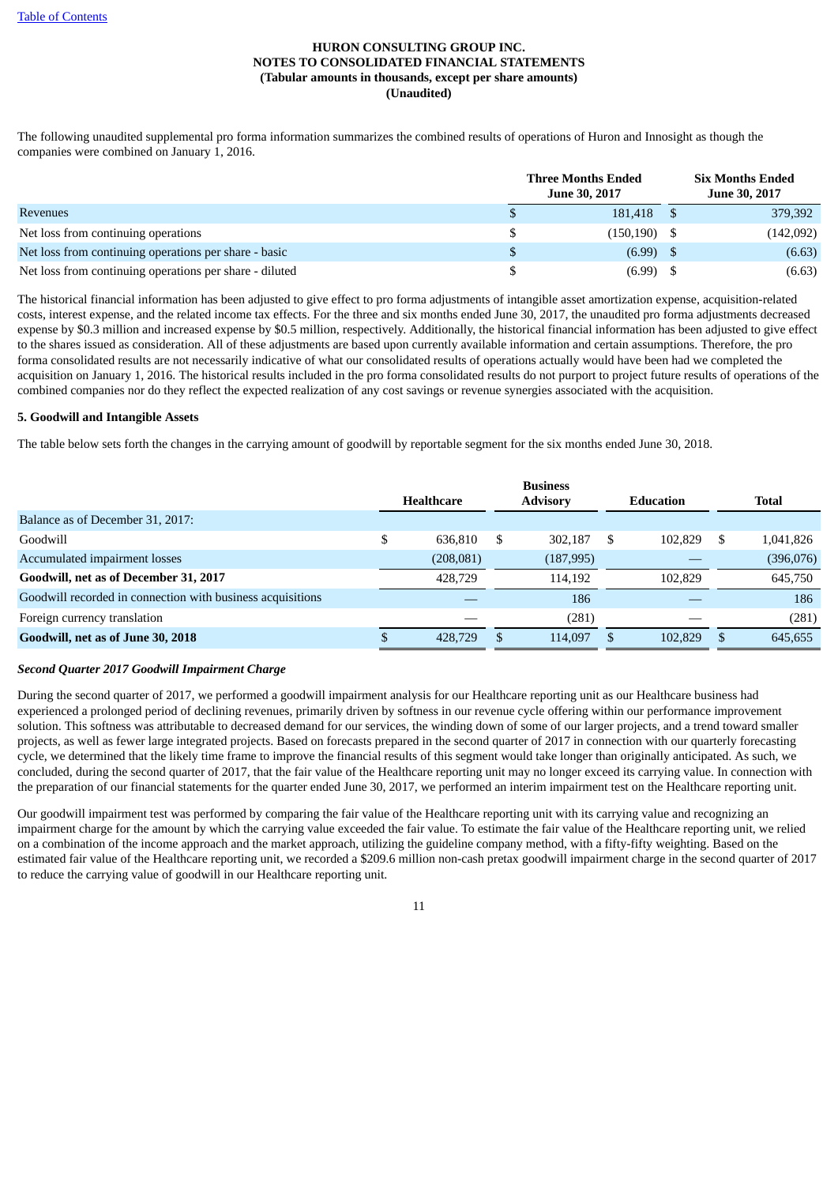The following unaudited supplemental pro forma information summarizes the combined results of operations of Huron and Innosight as though the companies were combined on January 1, 2016.

|                                                         |    | <b>Three Months Ended</b><br><b>June 30, 2017</b> | <b>Six Months Ended</b><br><b>June 30, 2017</b> |
|---------------------------------------------------------|----|---------------------------------------------------|-------------------------------------------------|
| <b>Revenues</b>                                         |    | 181,418                                           | 379,392                                         |
| Net loss from continuing operations                     | \$ | (150, 190)                                        | (142,092)                                       |
| Net loss from continuing operations per share - basic   | S  | (6.99)                                            | (6.63)                                          |
| Net loss from continuing operations per share - diluted | S  | $(6.99)$ \$                                       | (6.63)                                          |

The historical financial information has been adjusted to give effect to pro forma adjustments of intangible asset amortization expense, acquisition-related costs, interest expense, and the related income tax effects. For the three and six months ended June 30, 2017, the unaudited pro forma adjustments decreased expense by \$0.3 million and increased expense by \$0.5 million, respectively. Additionally, the historical financial information has been adjusted to give effect to the shares issued as consideration. All of these adjustments are based upon currently available information and certain assumptions. Therefore, the pro forma consolidated results are not necessarily indicative of what our consolidated results of operations actually would have been had we completed the acquisition on January 1, 2016. The historical results included in the pro forma consolidated results do not purport to project future results of operations of the combined companies nor do they reflect the expected realization of any cost savings or revenue synergies associated with the acquisition.

# **5. Goodwill and Intangible Assets**

The table below sets forth the changes in the carrying amount of goodwill by reportable segment for the six months ended June 30, 2018.

|                                                            | <b>Healthcare</b> |    | <b>Business</b><br><b>Advisory</b> |   | Education |    | <b>Total</b> |
|------------------------------------------------------------|-------------------|----|------------------------------------|---|-----------|----|--------------|
| Balance as of December 31, 2017:                           |                   |    |                                    |   |           |    |              |
| Goodwill                                                   | \$<br>636,810     | -S | 302.187                            | S | 102.829   | -S | 1,041,826    |
| Accumulated impairment losses                              | (208, 081)        |    | (187, 995)                         |   |           |    | (396,076)    |
| Goodwill, net as of December 31, 2017                      | 428,729           |    | 114.192                            |   | 102.829   |    | 645,750      |
| Goodwill recorded in connection with business acquisitions |                   |    | 186                                |   |           |    | 186          |
| Foreign currency translation                               |                   |    | (281)                              |   |           |    | (281)        |
| Goodwill, net as of June 30, 2018                          | 428,729           |    | 114,097                            |   | 102.829   |    | 645,655      |

# *Second Quarter 2017 Goodwill Impairment Charge*

During the second quarter of 2017, we performed a goodwill impairment analysis for our Healthcare reporting unit as our Healthcare business had experienced a prolonged period of declining revenues, primarily driven by softness in our revenue cycle offering within our performance improvement solution. This softness was attributable to decreased demand for our services, the winding down of some of our larger projects, and a trend toward smaller projects, as well as fewer large integrated projects. Based on forecasts prepared in the second quarter of 2017 in connection with our quarterly forecasting cycle, we determined that the likely time frame to improve the financial results of this segment would take longer than originally anticipated. As such, we concluded, during the second quarter of 2017, that the fair value of the Healthcare reporting unit may no longer exceed its carrying value. In connection with the preparation of our financial statements for the quarter ended June 30, 2017, we performed an interim impairment test on the Healthcare reporting unit.

Our goodwill impairment test was performed by comparing the fair value of the Healthcare reporting unit with its carrying value and recognizing an impairment charge for the amount by which the carrying value exceeded the fair value. To estimate the fair value of the Healthcare reporting unit, we relied on a combination of the income approach and the market approach, utilizing the guideline company method, with a fifty-fifty weighting. Based on the estimated fair value of the Healthcare reporting unit, we recorded a \$209.6 million non-cash pretax goodwill impairment charge in the second quarter of 2017 to reduce the carrying value of goodwill in our Healthcare reporting unit.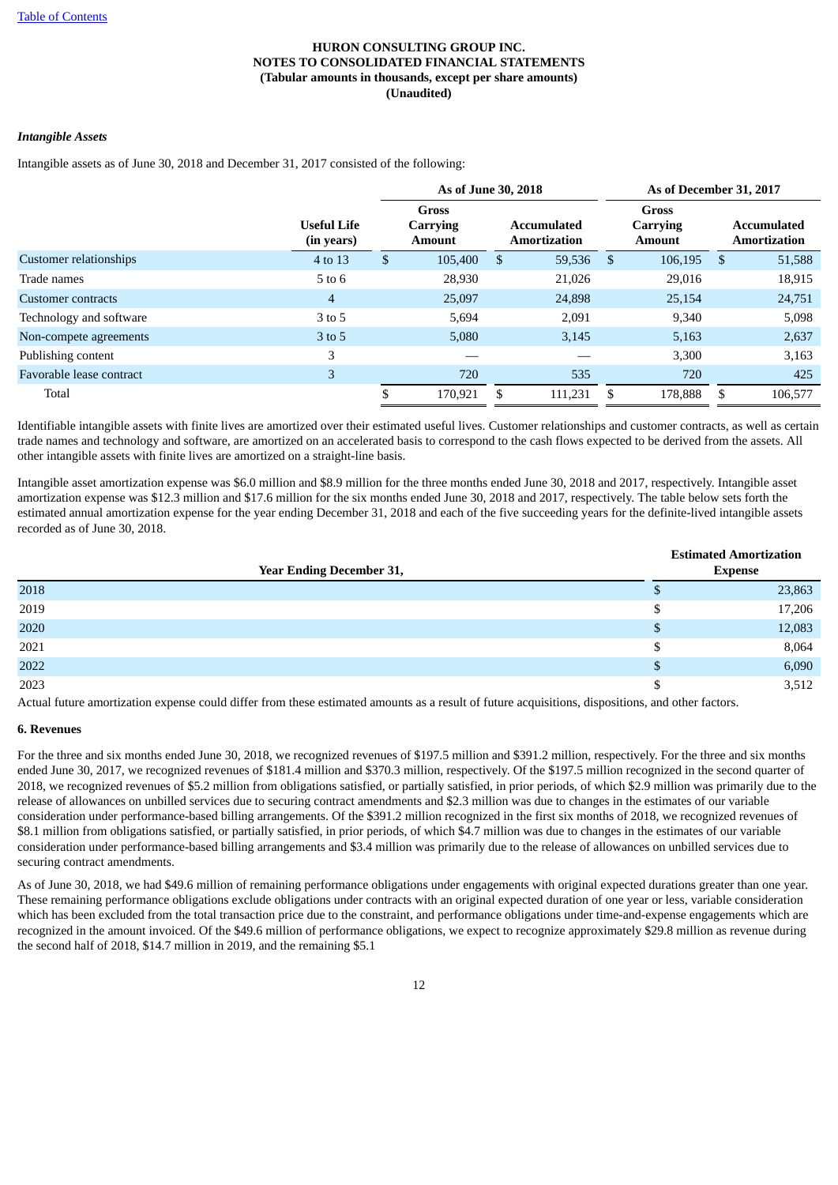# *Intangible Assets*

Intangible assets as of June 30, 2018 and December 31, 2017 consisted of the following:

|                          |                                  | As of June 30, 2018                              |         |   |         |                                    | As of December 31, 2017 |                                    |         |  |  |  |                                           |
|--------------------------|----------------------------------|--------------------------------------------------|---------|---|---------|------------------------------------|-------------------------|------------------------------------|---------|--|--|--|-------------------------------------------|
|                          | <b>Useful Life</b><br>(in years) | <b>Gross</b><br><b>Carrying</b><br><b>Amount</b> |         |   |         | <b>Accumulated</b><br>Amortization |                         | Gross<br>Carrying<br><b>Amount</b> |         |  |  |  | <b>Accumulated</b><br><b>Amortization</b> |
| Customer relationships   | 4 to 13                          | \$                                               | 105,400 | S | 59,536  | -S                                 | 106,195                 | - \$                               | 51,588  |  |  |  |                                           |
| Trade names              | $5$ to $6$                       |                                                  | 28,930  |   | 21,026  |                                    | 29,016                  |                                    | 18,915  |  |  |  |                                           |
| Customer contracts       | 4                                |                                                  | 25,097  |   | 24,898  |                                    | 25,154                  |                                    | 24,751  |  |  |  |                                           |
| Technology and software  | 3 to 5                           |                                                  | 5,694   |   | 2,091   |                                    | 9,340                   |                                    | 5,098   |  |  |  |                                           |
| Non-compete agreements   | $3$ to 5                         |                                                  | 5,080   |   | 3,145   |                                    | 5,163                   |                                    | 2,637   |  |  |  |                                           |
| Publishing content       | 3                                |                                                  |         |   |         |                                    | 3,300                   |                                    | 3,163   |  |  |  |                                           |
| Favorable lease contract | 3                                |                                                  | 720     |   | 535     |                                    | 720                     |                                    | 425     |  |  |  |                                           |
| Total                    |                                  | \$                                               | 170,921 |   | 111,231 |                                    | 178,888                 | -S                                 | 106,577 |  |  |  |                                           |

Identifiable intangible assets with finite lives are amortized over their estimated useful lives. Customer relationships and customer contracts, as well as certain trade names and technology and software, are amortized on an accelerated basis to correspond to the cash flows expected to be derived from the assets. All other intangible assets with finite lives are amortized on a straight-line basis.

Intangible asset amortization expense was \$6.0 million and \$8.9 million for the three months ended June 30, 2018 and 2017, respectively. Intangible asset amortization expense was \$12.3 million and \$17.6 million for the six months ended June 30, 2018 and 2017, respectively. The table below sets forth the estimated annual amortization expense for the year ending December 31, 2018 and each of the five succeeding years for the definite-lived intangible assets recorded as of June 30, 2018.

|      |                                 | <b>Estimated Amortization</b> |                |
|------|---------------------------------|-------------------------------|----------------|
|      | <b>Year Ending December 31,</b> |                               | <b>Expense</b> |
| 2018 |                                 | Φ                             | 23,863         |
| 2019 |                                 | D                             | 17,206         |
| 2020 |                                 | S                             | 12,083         |
| 2021 |                                 | S                             | 8,064          |
| 2022 |                                 | S                             | 6,090          |
| 2023 |                                 | D                             | 3,512          |

Actual future amortization expense could differ from these estimated amounts as a result of future acquisitions, dispositions, and other factors.

# **6. Revenues**

For the three and six months ended June 30, 2018, we recognized revenues of \$197.5 million and \$391.2 million, respectively. For the three and six months ended June 30, 2017, we recognized revenues of \$181.4 million and \$370.3 million, respectively. Of the \$197.5 million recognized in the second quarter of 2018, we recognized revenues of \$5.2 million from obligations satisfied, or partially satisfied, in prior periods, of which \$2.9 million was primarily due to the release of allowances on unbilled services due to securing contract amendments and \$2.3 million was due to changes in the estimates of our variable consideration under performance-based billing arrangements. Of the \$391.2 million recognized in the first six months of 2018, we recognized revenues of \$8.1 million from obligations satisfied, or partially satisfied, in prior periods, of which \$4.7 million was due to changes in the estimates of our variable consideration under performance-based billing arrangements and \$3.4 million was primarily due to the release of allowances on unbilled services due to securing contract amendments.

As of June 30, 2018, we had \$49.6 million of remaining performance obligations under engagements with original expected durations greater than one year. These remaining performance obligations exclude obligations under contracts with an original expected duration of one year or less, variable consideration which has been excluded from the total transaction price due to the constraint, and performance obligations under time-and-expense engagements which are recognized in the amount invoiced. Of the \$49.6 million of performance obligations, we expect to recognize approximately \$29.8 million as revenue during the second half of 2018, \$14.7 million in 2019, and the remaining \$5.1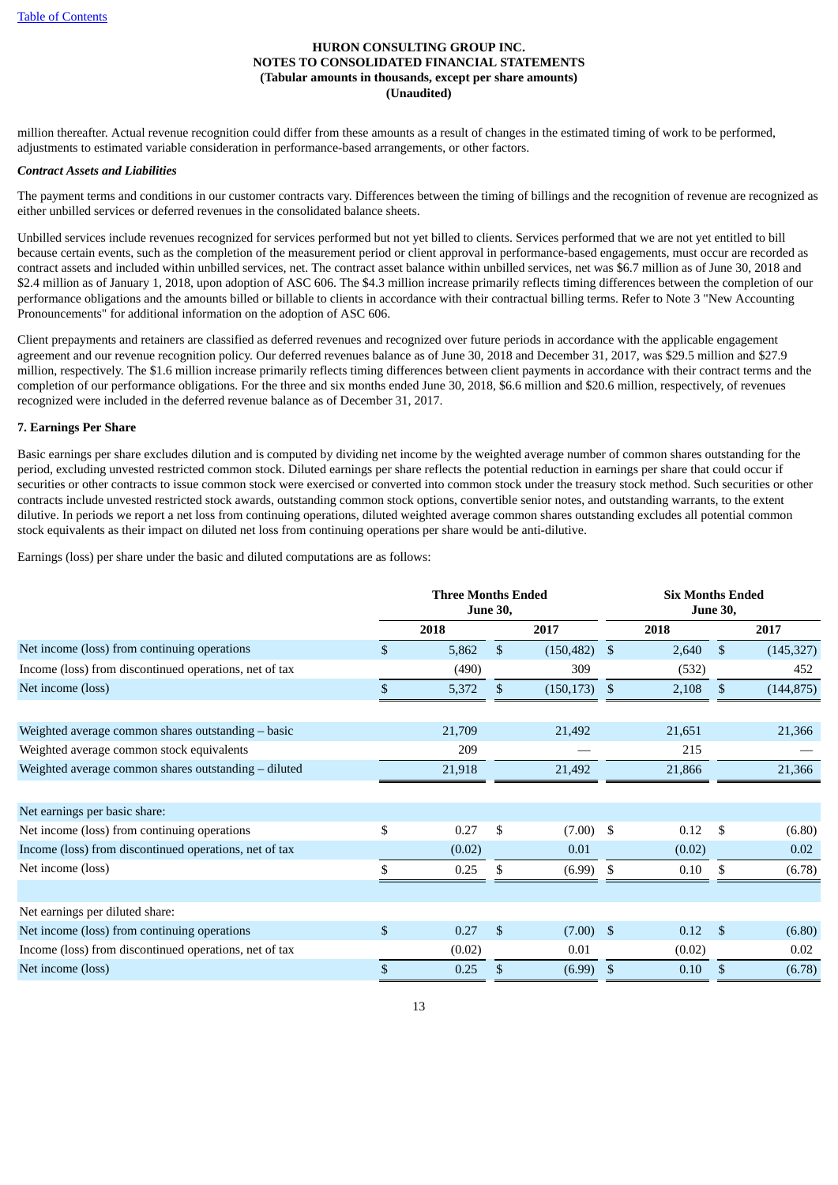million thereafter. Actual revenue recognition could differ from these amounts as a result of changes in the estimated timing of work to be performed, adjustments to estimated variable consideration in performance-based arrangements, or other factors.

#### *Contract Assets and Liabilities*

The payment terms and conditions in our customer contracts vary. Differences between the timing of billings and the recognition of revenue are recognized as either unbilled services or deferred revenues in the consolidated balance sheets.

Unbilled services include revenues recognized for services performed but not yet billed to clients. Services performed that we are not yet entitled to bill because certain events, such as the completion of the measurement period or client approval in performance-based engagements, must occur are recorded as contract assets and included within unbilled services, net. The contract asset balance within unbilled services, net was \$6.7 million as of June 30, 2018 and \$2.4 million as of January 1, 2018, upon adoption of ASC 606. The \$4.3 million increase primarily reflects timing differences between the completion of our performance obligations and the amounts billed or billable to clients in accordance with their contractual billing terms. Refer to Note 3 "New Accounting Pronouncements" for additional information on the adoption of ASC 606.

Client prepayments and retainers are classified as deferred revenues and recognized over future periods in accordance with the applicable engagement agreement and our revenue recognition policy. Our deferred revenues balance as of June 30, 2018 and December 31, 2017, was \$29.5 million and \$27.9 million, respectively. The \$1.6 million increase primarily reflects timing differences between client payments in accordance with their contract terms and the completion of our performance obligations. For the three and six months ended June 30, 2018, \$6.6 million and \$20.6 million, respectively, of revenues recognized were included in the deferred revenue balance as of December 31, 2017.

# **7. Earnings Per Share**

Basic earnings per share excludes dilution and is computed by dividing net income by the weighted average number of common shares outstanding for the period, excluding unvested restricted common stock. Diluted earnings per share reflects the potential reduction in earnings per share that could occur if securities or other contracts to issue common stock were exercised or converted into common stock under the treasury stock method. Such securities or other contracts include unvested restricted stock awards, outstanding common stock options, convertible senior notes, and outstanding warrants, to the extent dilutive. In periods we report a net loss from continuing operations, diluted weighted average common shares outstanding excludes all potential common stock equivalents as their impact on diluted net loss from continuing operations per share would be anti-dilutive.

Earnings (loss) per share under the basic and diluted computations are as follows:

|                                                        |              | <b>Three Months Ended</b><br><b>June 30,</b> |              |            |               |        | <b>Six Months Ended</b><br><b>June 30,</b> |            |  |  |  |
|--------------------------------------------------------|--------------|----------------------------------------------|--------------|------------|---------------|--------|--------------------------------------------|------------|--|--|--|
|                                                        |              | 2018                                         |              | 2017       |               | 2018   |                                            | 2017       |  |  |  |
| Net income (loss) from continuing operations           | \$           | 5,862                                        | $\mathbb{S}$ | (150, 482) | <sup>\$</sup> | 2,640  | $\mathbb{S}$                               | (145, 327) |  |  |  |
| Income (loss) from discontinued operations, net of tax |              | (490)                                        |              | 309        |               | (532)  |                                            | 452        |  |  |  |
| Net income (loss)                                      | \$           | 5,372                                        | \$           | (150, 173) | \$            | 2,108  | \$.                                        | (144, 875) |  |  |  |
|                                                        |              |                                              |              |            |               |        |                                            |            |  |  |  |
| Weighted average common shares outstanding - basic     |              | 21,709                                       |              | 21,492     |               | 21,651 |                                            | 21,366     |  |  |  |
| Weighted average common stock equivalents              |              | 209                                          |              |            |               | 215    |                                            |            |  |  |  |
| Weighted average common shares outstanding - diluted   |              | 21,918                                       |              | 21,492     |               | 21,866 |                                            | 21,366     |  |  |  |
|                                                        |              |                                              |              |            |               |        |                                            |            |  |  |  |
| Net earnings per basic share:                          |              |                                              |              |            |               |        |                                            |            |  |  |  |
| Net income (loss) from continuing operations           | \$           | 0.27                                         | \$           | (7.00)     | -S            | 0.12   | \$                                         | (6.80)     |  |  |  |
| Income (loss) from discontinued operations, net of tax |              | (0.02)                                       |              | 0.01       |               | (0.02) |                                            | 0.02       |  |  |  |
| Net income (loss)                                      | \$           | 0.25                                         | \$           | (6.99)     | \$            | 0.10   | \$                                         | (6.78)     |  |  |  |
|                                                        |              |                                              |              |            |               |        |                                            |            |  |  |  |
| Net earnings per diluted share:                        |              |                                              |              |            |               |        |                                            |            |  |  |  |
| Net income (loss) from continuing operations           | \$           | 0.27                                         | \$           | (7.00)     | \$            | 0.12   | \$                                         | (6.80)     |  |  |  |
| Income (loss) from discontinued operations, net of tax |              | (0.02)                                       |              | 0.01       |               | (0.02) |                                            | 0.02       |  |  |  |
| Net income (loss)                                      | $\mathbb{S}$ | 0.25                                         | \$           | (6.99)     | \$            | 0.10   | $\mathfrak{L}$                             | (6.78)     |  |  |  |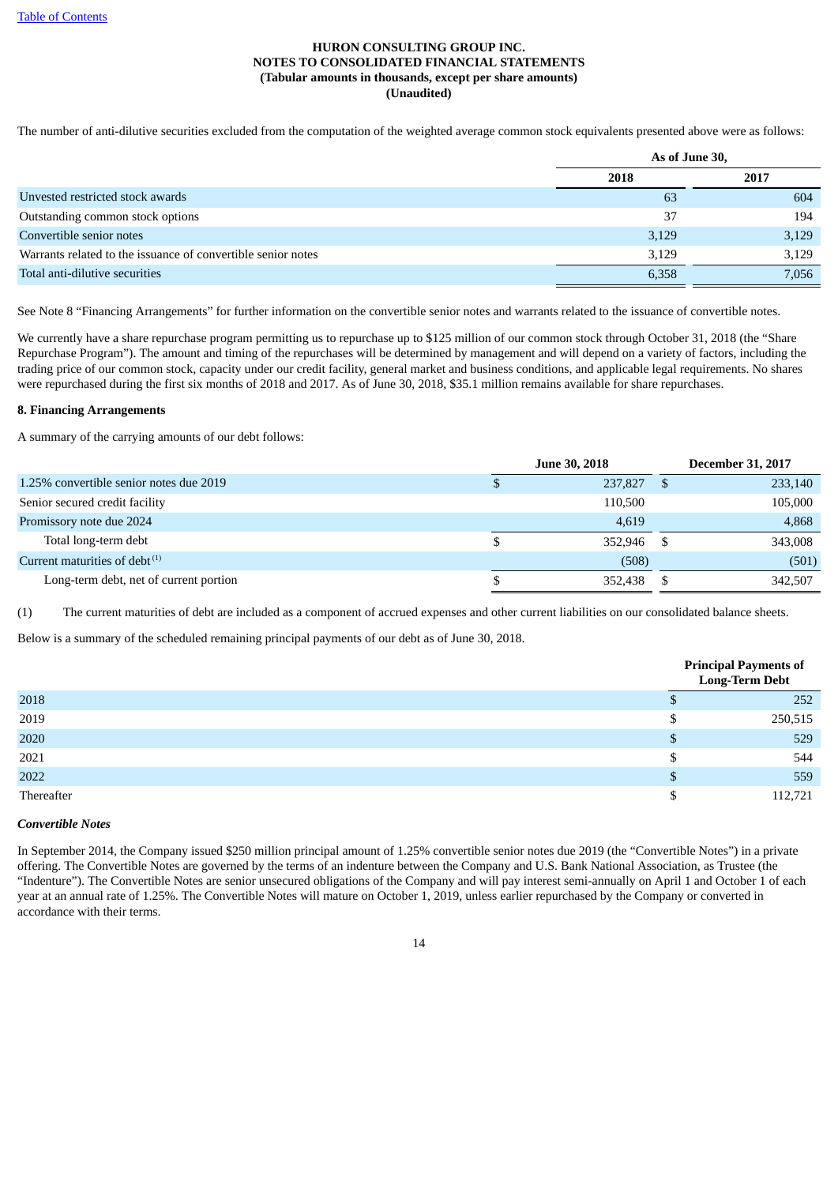The number of anti-dilutive securities excluded from the computation of the weighted average common stock equivalents presented above were as follows:

|                                                              |       | As of June 30, |
|--------------------------------------------------------------|-------|----------------|
|                                                              | 2018  | 2017           |
| Unvested restricted stock awards                             | 63    | 604            |
| Outstanding common stock options                             | 37    | 194            |
| Convertible senior notes                                     | 3,129 | 3,129          |
| Warrants related to the issuance of convertible senior notes | 3,129 | 3,129          |
| Total anti-dilutive securities                               | 6,358 | 7,056          |

See Note 8 "Financing Arrangements" for further information on the convertible senior notes and warrants related to the issuance of convertible notes.

We currently have a share repurchase program permitting us to repurchase up to \$125 million of our common stock through October 31, 2018 (the "Share Repurchase Program"). The amount and timing of the repurchases will be determined by management and will depend on a variety of factors, including the trading price of our common stock, capacity under our credit facility, general market and business conditions, and applicable legal requirements. No shares were repurchased during the first six months of 2018 and 2017. As of June 30, 2018, \$35.1 million remains available for share repurchases.

#### **8. Financing Arrangements**

A summary of the carrying amounts of our debt follows:

|                                         |     | <b>June 30, 2018</b> | <b>December 31, 2017</b> |
|-----------------------------------------|-----|----------------------|--------------------------|
| 1.25% convertible senior notes due 2019 | ۰Ļ. | 237,827              | 233,140<br>-S            |
| Senior secured credit facility          |     | 110,500              | 105,000                  |
| Promissory note due 2024                |     | 4,619                | 4,868                    |
| Total long-term debt                    |     | 352,946              | 343,008<br>-S            |
| Current maturities of debt $^{(1)}$     |     | (508)                | (501)                    |
| Long-term debt, net of current portion  |     | 352.438              | 342,507                  |
|                                         |     |                      |                          |

(1) The current maturities of debt are included as a component of accrued expenses and other current liabilities on our consolidated balance sheets.

Below is a summary of the scheduled remaining principal payments of our debt as of June 30, 2018.

|            |    | <b>Principal Payments of</b><br>Long-Term Debt |
|------------|----|------------------------------------------------|
| 2018       |    | 252                                            |
| 2019       | S  | 250,515                                        |
| 2020       | S  | 529                                            |
| 2021       | \$ | 544                                            |
| 2022       |    | 559                                            |
| Thereafter |    | 112,721                                        |

#### *Convertible Notes*

In September 2014, the Company issued \$250 million principal amount of 1.25% convertible senior notes due 2019 (the "Convertible Notes") in a private offering. The Convertible Notes are governed by the terms of an indenture between the Company and U.S. Bank National Association, as Trustee (the "Indenture"). The Convertible Notes are senior unsecured obligations of the Company and will pay interest semi-annually on April 1 and October 1 of each year at an annual rate of 1.25%. The Convertible Notes will mature on October 1, 2019, unless earlier repurchased by the Company or converted in accordance with their terms.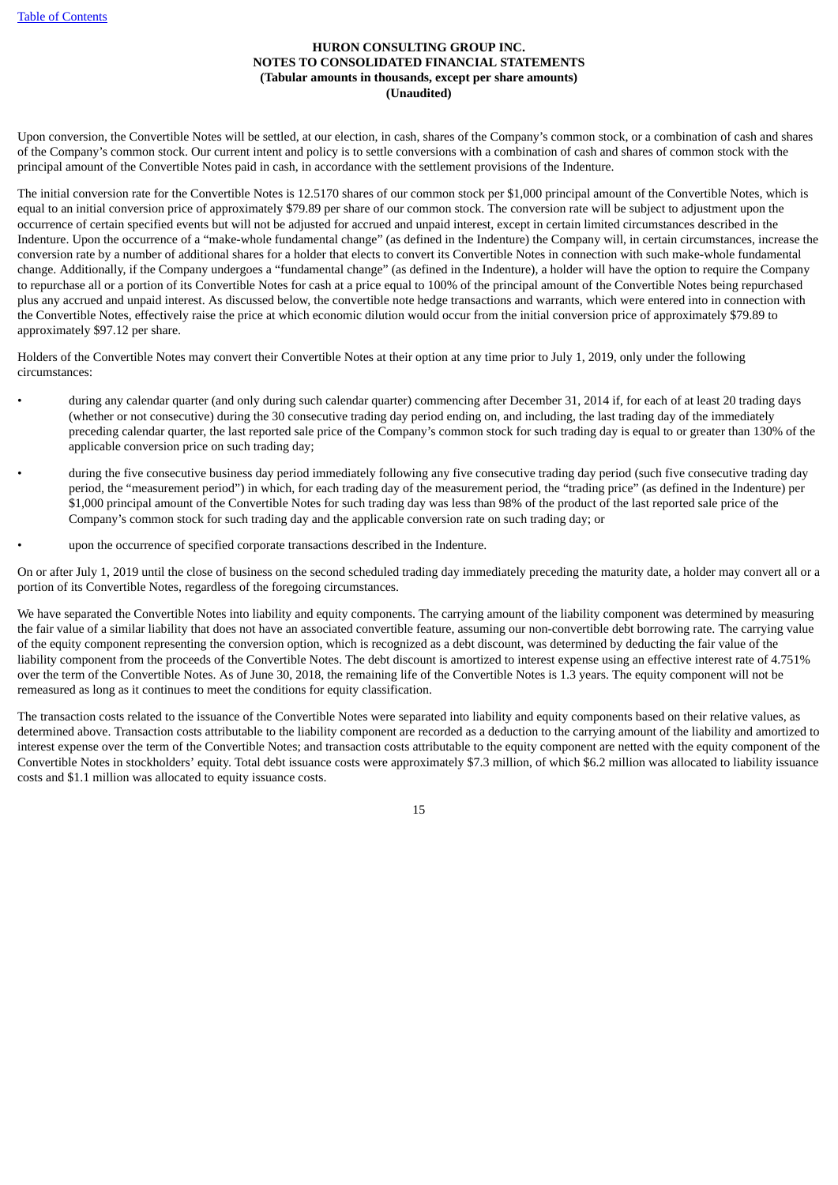Upon conversion, the Convertible Notes will be settled, at our election, in cash, shares of the Company's common stock, or a combination of cash and shares of the Company's common stock. Our current intent and policy is to settle conversions with a combination of cash and shares of common stock with the principal amount of the Convertible Notes paid in cash, in accordance with the settlement provisions of the Indenture.

The initial conversion rate for the Convertible Notes is 12.5170 shares of our common stock per \$1,000 principal amount of the Convertible Notes, which is equal to an initial conversion price of approximately \$79.89 per share of our common stock. The conversion rate will be subject to adjustment upon the occurrence of certain specified events but will not be adjusted for accrued and unpaid interest, except in certain limited circumstances described in the Indenture. Upon the occurrence of a "make-whole fundamental change" (as defined in the Indenture) the Company will, in certain circumstances, increase the conversion rate by a number of additional shares for a holder that elects to convert its Convertible Notes in connection with such make-whole fundamental change. Additionally, if the Company undergoes a "fundamental change" (as defined in the Indenture), a holder will have the option to require the Company to repurchase all or a portion of its Convertible Notes for cash at a price equal to 100% of the principal amount of the Convertible Notes being repurchased plus any accrued and unpaid interest. As discussed below, the convertible note hedge transactions and warrants, which were entered into in connection with the Convertible Notes, effectively raise the price at which economic dilution would occur from the initial conversion price of approximately \$79.89 to approximately \$97.12 per share.

Holders of the Convertible Notes may convert their Convertible Notes at their option at any time prior to July 1, 2019, only under the following circumstances:

- during any calendar quarter (and only during such calendar quarter) commencing after December 31, 2014 if, for each of at least 20 trading days (whether or not consecutive) during the 30 consecutive trading day period ending on, and including, the last trading day of the immediately preceding calendar quarter, the last reported sale price of the Company's common stock for such trading day is equal to or greater than 130% of the applicable conversion price on such trading day;
- during the five consecutive business day period immediately following any five consecutive trading day period (such five consecutive trading day period, the "measurement period") in which, for each trading day of the measurement period, the "trading price" (as defined in the Indenture) per \$1,000 principal amount of the Convertible Notes for such trading day was less than 98% of the product of the last reported sale price of the Company's common stock for such trading day and the applicable conversion rate on such trading day; or
	- upon the occurrence of specified corporate transactions described in the Indenture.

On or after July 1, 2019 until the close of business on the second scheduled trading day immediately preceding the maturity date, a holder may convert all or a portion of its Convertible Notes, regardless of the foregoing circumstances.

We have separated the Convertible Notes into liability and equity components. The carrying amount of the liability component was determined by measuring the fair value of a similar liability that does not have an associated convertible feature, assuming our non-convertible debt borrowing rate. The carrying value of the equity component representing the conversion option, which is recognized as a debt discount, was determined by deducting the fair value of the liability component from the proceeds of the Convertible Notes. The debt discount is amortized to interest expense using an effective interest rate of 4.751% over the term of the Convertible Notes. As of June 30, 2018, the remaining life of the Convertible Notes is 1.3 years. The equity component will not be remeasured as long as it continues to meet the conditions for equity classification.

The transaction costs related to the issuance of the Convertible Notes were separated into liability and equity components based on their relative values, as determined above. Transaction costs attributable to the liability component are recorded as a deduction to the carrying amount of the liability and amortized to interest expense over the term of the Convertible Notes; and transaction costs attributable to the equity component are netted with the equity component of the Convertible Notes in stockholders' equity. Total debt issuance costs were approximately \$7.3 million, of which \$6.2 million was allocated to liability issuance costs and \$1.1 million was allocated to equity issuance costs.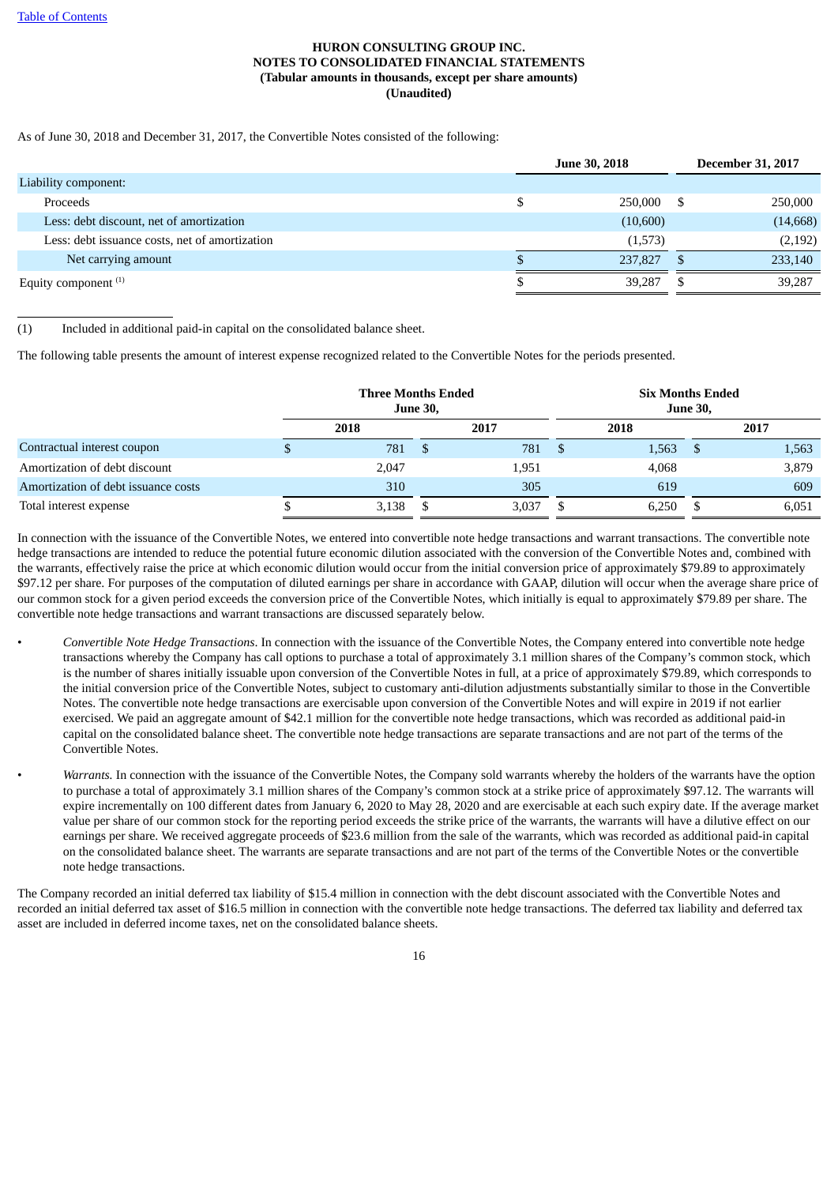As of June 30, 2018 and December 31, 2017, the Convertible Notes consisted of the following:

|                                                | <b>June 30, 2018</b> | <b>December 31, 2017</b> |
|------------------------------------------------|----------------------|--------------------------|
| Liability component:                           |                      |                          |
| Proceeds                                       | 250,000              | 250,000                  |
| Less: debt discount, net of amortization       | (10,600)             | (14, 668)                |
| Less: debt issuance costs, net of amortization | (1,573)              | (2, 192)                 |
| Net carrying amount                            | 237,827              | 233,140                  |
| Equity component $(1)$                         | 39,287               | 39,287                   |

(1) Included in additional paid-in capital on the consolidated balance sheet.

The following table presents the amount of interest expense recognized related to the Convertible Notes for the periods presented.

|                                     | <b>Three Months Ended</b><br><b>June 30,</b> |       |      |       |    |       | <b>Six Months Ended</b><br><b>June 30,</b> |       |  |
|-------------------------------------|----------------------------------------------|-------|------|-------|----|-------|--------------------------------------------|-------|--|
|                                     |                                              | 2018  |      | 2017  |    | 2018  |                                            | 2017  |  |
| Contractual interest coupon         |                                              | 781   | - \$ | 781   | -S | 1,563 | -S                                         | 1,563 |  |
| Amortization of debt discount       |                                              | 2,047 |      | 1,951 |    | 4,068 |                                            | 3,879 |  |
| Amortization of debt issuance costs |                                              | 310   |      | 305   |    | 619   |                                            | 609   |  |
| Total interest expense              |                                              | 3,138 |      | 3.037 |    | 6,250 |                                            | 6,051 |  |

In connection with the issuance of the Convertible Notes, we entered into convertible note hedge transactions and warrant transactions. The convertible note hedge transactions are intended to reduce the potential future economic dilution associated with the conversion of the Convertible Notes and, combined with the warrants, effectively raise the price at which economic dilution would occur from the initial conversion price of approximately \$79.89 to approximately \$97.12 per share. For purposes of the computation of diluted earnings per share in accordance with GAAP, dilution will occur when the average share price of our common stock for a given period exceeds the conversion price of the Convertible Notes, which initially is equal to approximately \$79.89 per share. The convertible note hedge transactions and warrant transactions are discussed separately below.

- *Convertible Note Hedge Transactions*. In connection with the issuance of the Convertible Notes, the Company entered into convertible note hedge transactions whereby the Company has call options to purchase a total of approximately 3.1 million shares of the Company's common stock, which is the number of shares initially issuable upon conversion of the Convertible Notes in full, at a price of approximately \$79.89, which corresponds to the initial conversion price of the Convertible Notes, subject to customary anti-dilution adjustments substantially similar to those in the Convertible Notes. The convertible note hedge transactions are exercisable upon conversion of the Convertible Notes and will expire in 2019 if not earlier exercised. We paid an aggregate amount of \$42.1 million for the convertible note hedge transactions, which was recorded as additional paid-in capital on the consolidated balance sheet. The convertible note hedge transactions are separate transactions and are not part of the terms of the Convertible Notes.
- *Warrants.* In connection with the issuance of the Convertible Notes, the Company sold warrants whereby the holders of the warrants have the option to purchase a total of approximately 3.1 million shares of the Company's common stock at a strike price of approximately \$97.12. The warrants will expire incrementally on 100 different dates from January 6, 2020 to May 28, 2020 and are exercisable at each such expiry date. If the average market value per share of our common stock for the reporting period exceeds the strike price of the warrants, the warrants will have a dilutive effect on our earnings per share. We received aggregate proceeds of \$23.6 million from the sale of the warrants, which was recorded as additional paid-in capital on the consolidated balance sheet. The warrants are separate transactions and are not part of the terms of the Convertible Notes or the convertible note hedge transactions.

The Company recorded an initial deferred tax liability of \$15.4 million in connection with the debt discount associated with the Convertible Notes and recorded an initial deferred tax asset of \$16.5 million in connection with the convertible note hedge transactions. The deferred tax liability and deferred tax asset are included in deferred income taxes, net on the consolidated balance sheets.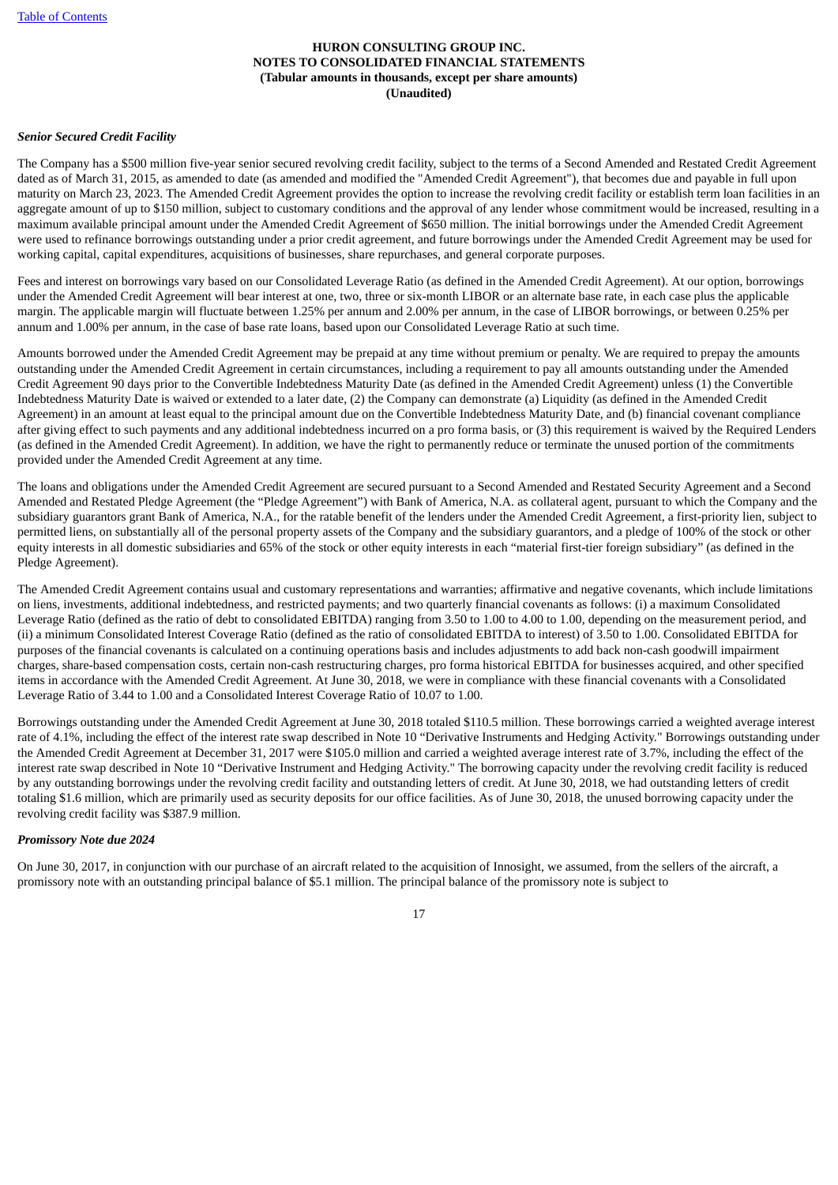# *Senior Secured Credit Facility*

The Company has a \$500 million five-year senior secured revolving credit facility, subject to the terms of a Second Amended and Restated Credit Agreement dated as of March 31, 2015, as amended to date (as amended and modified the "Amended Credit Agreement"), that becomes due and payable in full upon maturity on March 23, 2023. The Amended Credit Agreement provides the option to increase the revolving credit facility or establish term loan facilities in an aggregate amount of up to \$150 million, subject to customary conditions and the approval of any lender whose commitment would be increased, resulting in a maximum available principal amount under the Amended Credit Agreement of \$650 million. The initial borrowings under the Amended Credit Agreement were used to refinance borrowings outstanding under a prior credit agreement, and future borrowings under the Amended Credit Agreement may be used for working capital, capital expenditures, acquisitions of businesses, share repurchases, and general corporate purposes.

Fees and interest on borrowings vary based on our Consolidated Leverage Ratio (as defined in the Amended Credit Agreement). At our option, borrowings under the Amended Credit Agreement will bear interest at one, two, three or six-month LIBOR or an alternate base rate, in each case plus the applicable margin. The applicable margin will fluctuate between 1.25% per annum and 2.00% per annum, in the case of LIBOR borrowings, or between 0.25% per annum and 1.00% per annum, in the case of base rate loans, based upon our Consolidated Leverage Ratio at such time.

Amounts borrowed under the Amended Credit Agreement may be prepaid at any time without premium or penalty. We are required to prepay the amounts outstanding under the Amended Credit Agreement in certain circumstances, including a requirement to pay all amounts outstanding under the Amended Credit Agreement 90 days prior to the Convertible Indebtedness Maturity Date (as defined in the Amended Credit Agreement) unless (1) the Convertible Indebtedness Maturity Date is waived or extended to a later date, (2) the Company can demonstrate (a) Liquidity (as defined in the Amended Credit Agreement) in an amount at least equal to the principal amount due on the Convertible Indebtedness Maturity Date, and (b) financial covenant compliance after giving effect to such payments and any additional indebtedness incurred on a pro forma basis, or (3) this requirement is waived by the Required Lenders (as defined in the Amended Credit Agreement). In addition, we have the right to permanently reduce or terminate the unused portion of the commitments provided under the Amended Credit Agreement at any time.

The loans and obligations under the Amended Credit Agreement are secured pursuant to a Second Amended and Restated Security Agreement and a Second Amended and Restated Pledge Agreement (the "Pledge Agreement") with Bank of America, N.A. as collateral agent, pursuant to which the Company and the subsidiary guarantors grant Bank of America, N.A., for the ratable benefit of the lenders under the Amended Credit Agreement, a first-priority lien, subject to permitted liens, on substantially all of the personal property assets of the Company and the subsidiary guarantors, and a pledge of 100% of the stock or other equity interests in all domestic subsidiaries and 65% of the stock or other equity interests in each "material first-tier foreign subsidiary" (as defined in the Pledge Agreement).

The Amended Credit Agreement contains usual and customary representations and warranties; affirmative and negative covenants, which include limitations on liens, investments, additional indebtedness, and restricted payments; and two quarterly financial covenants as follows: (i) a maximum Consolidated Leverage Ratio (defined as the ratio of debt to consolidated EBITDA) ranging from 3.50 to 1.00 to 4.00 to 1.00, depending on the measurement period, and (ii) a minimum Consolidated Interest Coverage Ratio (defined as the ratio of consolidated EBITDA to interest) of 3.50 to 1.00. Consolidated EBITDA for purposes of the financial covenants is calculated on a continuing operations basis and includes adjustments to add back non-cash goodwill impairment charges, share-based compensation costs, certain non-cash restructuring charges, pro forma historical EBITDA for businesses acquired, and other specified items in accordance with the Amended Credit Agreement. At June 30, 2018, we were in compliance with these financial covenants with a Consolidated Leverage Ratio of 3.44 to 1.00 and a Consolidated Interest Coverage Ratio of 10.07 to 1.00.

Borrowings outstanding under the Amended Credit Agreement at June 30, 2018 totaled \$110.5 million. These borrowings carried a weighted average interest rate of 4.1%, including the effect of the interest rate swap described in Note 10 "Derivative Instruments and Hedging Activity." Borrowings outstanding under the Amended Credit Agreement at December 31, 2017 were \$105.0 million and carried a weighted average interest rate of 3.7%, including the effect of the interest rate swap described in Note 10 "Derivative Instrument and Hedging Activity." The borrowing capacity under the revolving credit facility is reduced by any outstanding borrowings under the revolving credit facility and outstanding letters of credit. At June 30, 2018, we had outstanding letters of credit totaling \$1.6 million, which are primarily used as security deposits for our office facilities. As of June 30, 2018, the unused borrowing capacity under the revolving credit facility was \$387.9 million.

#### *Promissory Note due 2024*

On June 30, 2017, in conjunction with our purchase of an aircraft related to the acquisition of Innosight, we assumed, from the sellers of the aircraft, a promissory note with an outstanding principal balance of \$5.1 million. The principal balance of the promissory note is subject to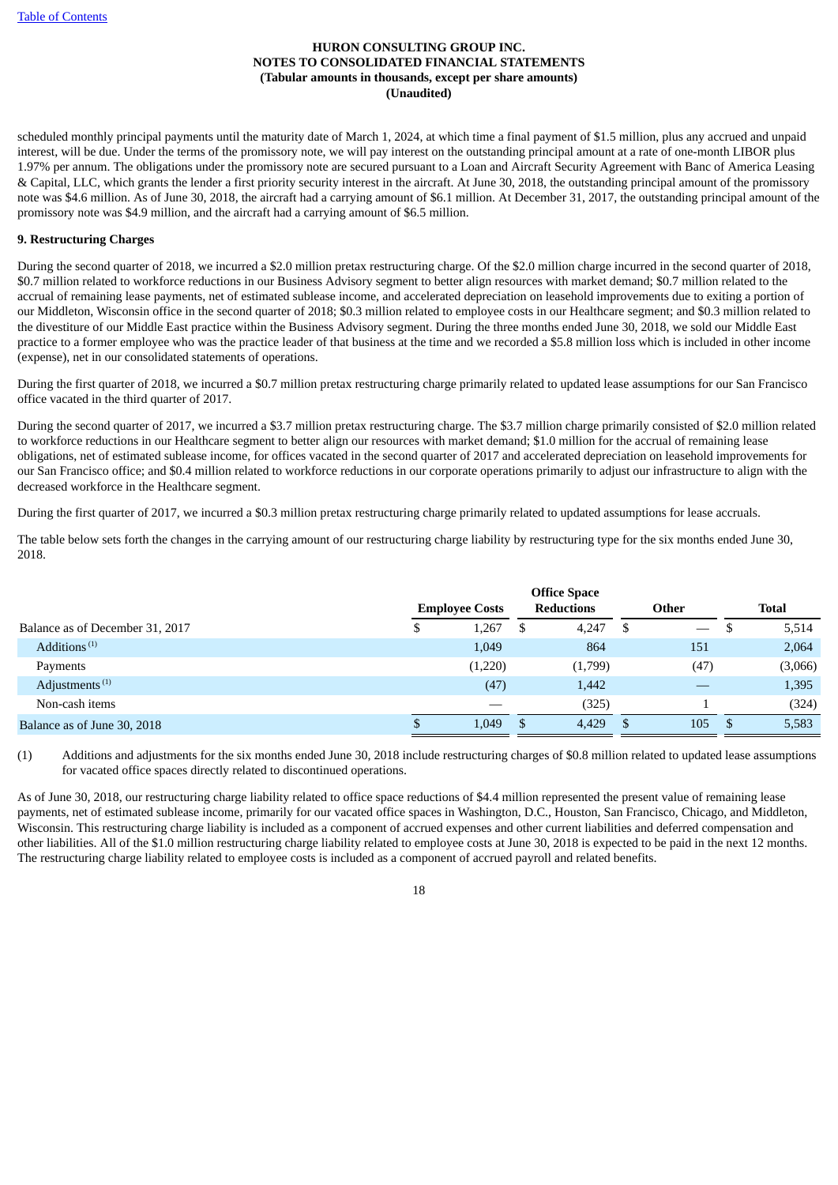scheduled monthly principal payments until the maturity date of March 1, 2024, at which time a final payment of \$1.5 million, plus any accrued and unpaid interest, will be due. Under the terms of the promissory note, we will pay interest on the outstanding principal amount at a rate of one-month LIBOR plus 1.97% per annum. The obligations under the promissory note are secured pursuant to a Loan and Aircraft Security Agreement with Banc of America Leasing & Capital, LLC, which grants the lender a first priority security interest in the aircraft. At June 30, 2018, the outstanding principal amount of the promissory note was \$4.6 million. As of June 30, 2018, the aircraft had a carrying amount of \$6.1 million. At December 31, 2017, the outstanding principal amount of the promissory note was \$4.9 million, and the aircraft had a carrying amount of \$6.5 million.

# **9. Restructuring Charges**

During the second quarter of 2018, we incurred a \$2.0 million pretax restructuring charge. Of the \$2.0 million charge incurred in the second quarter of 2018, \$0.7 million related to workforce reductions in our Business Advisory segment to better align resources with market demand; \$0.7 million related to the accrual of remaining lease payments, net of estimated sublease income, and accelerated depreciation on leasehold improvements due to exiting a portion of our Middleton, Wisconsin office in the second quarter of 2018; \$0.3 million related to employee costs in our Healthcare segment; and \$0.3 million related to the divestiture of our Middle East practice within the Business Advisory segment. During the three months ended June 30, 2018, we sold our Middle East practice to a former employee who was the practice leader of that business at the time and we recorded a \$5.8 million loss which is included in other income (expense), net in our consolidated statements of operations.

During the first quarter of 2018, we incurred a \$0.7 million pretax restructuring charge primarily related to updated lease assumptions for our San Francisco office vacated in the third quarter of 2017.

During the second quarter of 2017, we incurred a \$3.7 million pretax restructuring charge. The \$3.7 million charge primarily consisted of \$2.0 million related to workforce reductions in our Healthcare segment to better align our resources with market demand; \$1.0 million for the accrual of remaining lease obligations, net of estimated sublease income, for offices vacated in the second quarter of 2017 and accelerated depreciation on leasehold improvements for our San Francisco office; and \$0.4 million related to workforce reductions in our corporate operations primarily to adjust our infrastructure to align with the decreased workforce in the Healthcare segment.

During the first quarter of 2017, we incurred a \$0.3 million pretax restructuring charge primarily related to updated assumptions for lease accruals.

The table below sets forth the changes in the carrying amount of our restructuring charge liability by restructuring type for the six months ended June 30, 2018.

|                                       | <b>Office Space</b>   |         |    |                   |       |      |    |              |  |
|---------------------------------------|-----------------------|---------|----|-------------------|-------|------|----|--------------|--|
|                                       | <b>Employee Costs</b> |         |    | <b>Reductions</b> | Other |      |    | <b>Total</b> |  |
| Balance as of December 31, 2017       | \$                    | 1,267   | \$ | 4,247             | - \$  |      | ل⊡ | 5,514        |  |
| Additions <sup><math>(1)</math></sup> |                       | 1,049   |    | 864               |       | 151  |    | 2,064        |  |
| Payments                              |                       | (1,220) |    | (1,799)           |       | (47) |    | (3,066)      |  |
| Adjustments <sup>(1)</sup>            |                       | (47)    |    | 1,442             |       |      |    | 1,395        |  |
| Non-cash items                        |                       |         |    | (325)             |       |      |    | (324)        |  |
| Balance as of June 30, 2018           |                       | 1,049   |    | 4,429             |       | 105  |    | 5,583        |  |

(1) Additions and adjustments for the six months ended June 30, 2018 include restructuring charges of \$0.8 million related to updated lease assumptions for vacated office spaces directly related to discontinued operations.

As of June 30, 2018, our restructuring charge liability related to office space reductions of \$4.4 million represented the present value of remaining lease payments, net of estimated sublease income, primarily for our vacated office spaces in Washington, D.C., Houston, San Francisco, Chicago, and Middleton, Wisconsin. This restructuring charge liability is included as a component of accrued expenses and other current liabilities and deferred compensation and other liabilities. All of the \$1.0 million restructuring charge liability related to employee costs at June 30, 2018 is expected to be paid in the next 12 months. The restructuring charge liability related to employee costs is included as a component of accrued payroll and related benefits.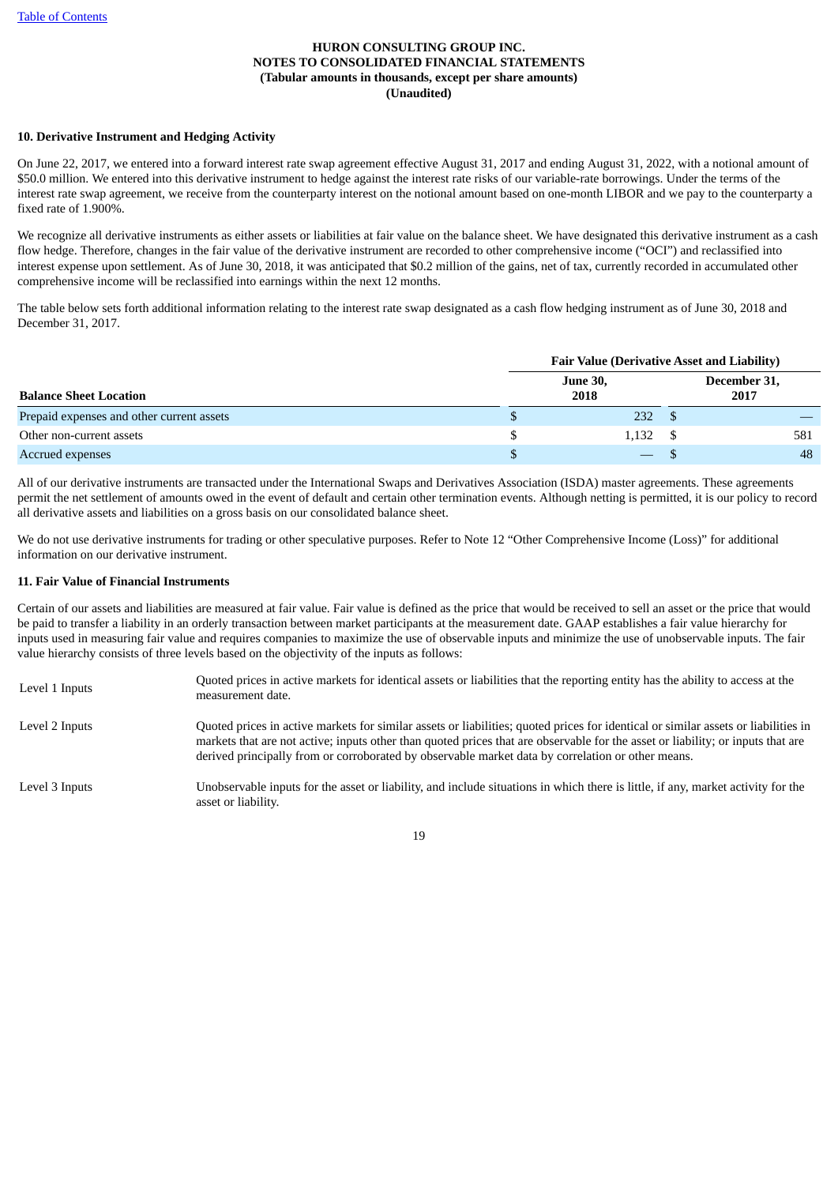# **10. Derivative Instrument and Hedging Activity**

On June 22, 2017, we entered into a forward interest rate swap agreement effective August 31, 2017 and ending August 31, 2022, with a notional amount of \$50.0 million. We entered into this derivative instrument to hedge against the interest rate risks of our variable-rate borrowings. Under the terms of the interest rate swap agreement, we receive from the counterparty interest on the notional amount based on one-month LIBOR and we pay to the counterparty a fixed rate of 1.900%.

We recognize all derivative instruments as either assets or liabilities at fair value on the balance sheet. We have designated this derivative instrument as a cash flow hedge. Therefore, changes in the fair value of the derivative instrument are recorded to other comprehensive income ("OCI") and reclassified into interest expense upon settlement. As of June 30, 2018, it was anticipated that \$0.2 million of the gains, net of tax, currently recorded in accumulated other comprehensive income will be reclassified into earnings within the next 12 months.

The table below sets forth additional information relating to the interest rate swap designated as a cash flow hedging instrument as of June 30, 2018 and December 31, 2017.

|                                           | <b>Fair Value (Derivative Asset and Liability)</b> |       |                      |     |  |  |  |  |  |
|-------------------------------------------|----------------------------------------------------|-------|----------------------|-----|--|--|--|--|--|
| <b>Balance Sheet Location</b>             |                                                    |       | December 31,<br>2017 |     |  |  |  |  |  |
| Prepaid expenses and other current assets | D                                                  | 232   |                      |     |  |  |  |  |  |
| Other non-current assets                  |                                                    | 1,132 |                      | 581 |  |  |  |  |  |
| Accrued expenses                          |                                                    |       |                      | 48  |  |  |  |  |  |

All of our derivative instruments are transacted under the International Swaps and Derivatives Association (ISDA) master agreements. These agreements permit the net settlement of amounts owed in the event of default and certain other termination events. Although netting is permitted, it is our policy to record all derivative assets and liabilities on a gross basis on our consolidated balance sheet.

We do not use derivative instruments for trading or other speculative purposes. Refer to Note 12 "Other Comprehensive Income (Loss)" for additional information on our derivative instrument.

# **11. Fair Value of Financial Instruments**

Certain of our assets and liabilities are measured at fair value. Fair value is defined as the price that would be received to sell an asset or the price that would be paid to transfer a liability in an orderly transaction between market participants at the measurement date. GAAP establishes a fair value hierarchy for inputs used in measuring fair value and requires companies to maximize the use of observable inputs and minimize the use of unobservable inputs. The fair value hierarchy consists of three levels based on the objectivity of the inputs as follows:

| Level 1 Inputs | Quoted prices in active markets for identical assets or liabilities that the reporting entity has the ability to access at the<br>measurement date.                                                                                                                                                                                                                        |
|----------------|----------------------------------------------------------------------------------------------------------------------------------------------------------------------------------------------------------------------------------------------------------------------------------------------------------------------------------------------------------------------------|
| Level 2 Inputs | Quoted prices in active markets for similar assets or liabilities; quoted prices for identical or similar assets or liabilities in<br>markets that are not active; inputs other than quoted prices that are observable for the asset or liability; or inputs that are<br>derived principally from or corroborated by observable market data by correlation or other means. |
| Level 3 Inputs | Unobservable inputs for the asset or liability, and include situations in which there is little, if any, market activity for the<br>asset or liability.                                                                                                                                                                                                                    |

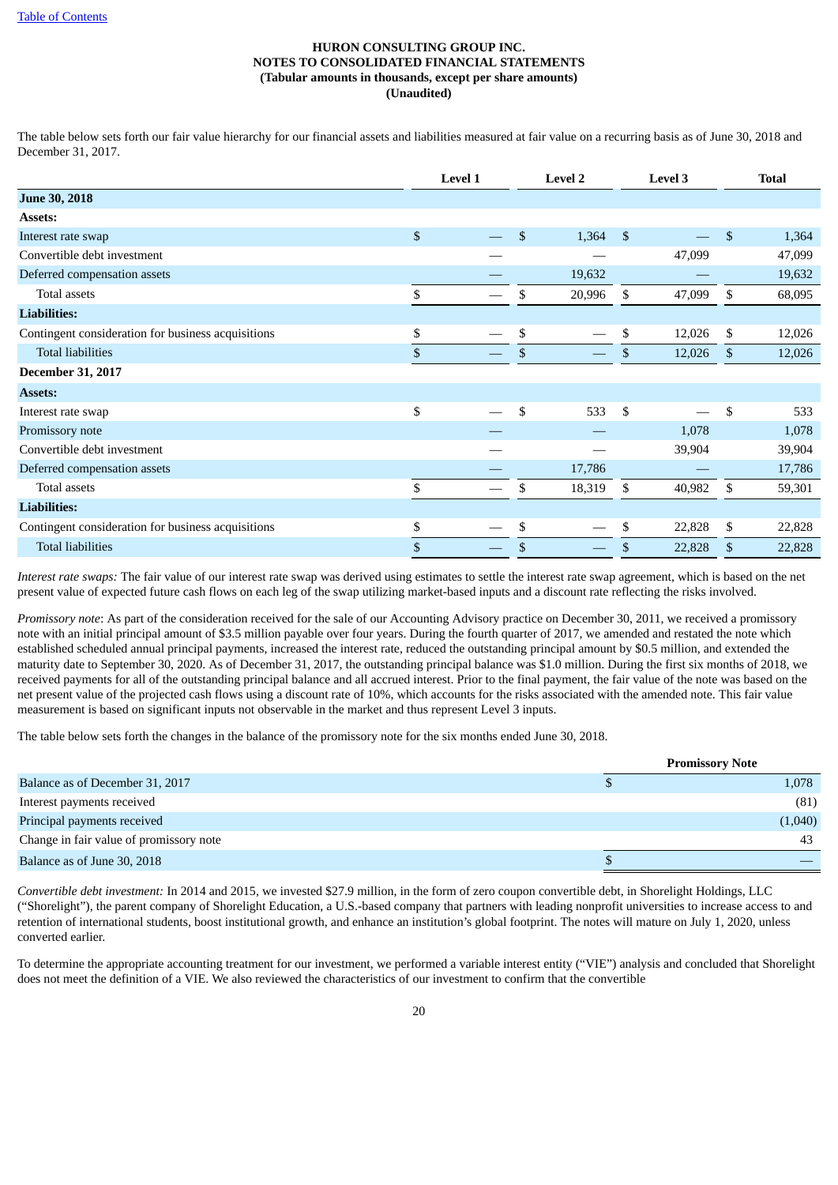The table below sets forth our fair value hierarchy for our financial assets and liabilities measured at fair value on a recurring basis as of June 30, 2018 and December 31, 2017.

|                                                    |              | <b>Level 1</b> | <b>Level 2</b> |                | <b>Level 3</b> |                | <b>Total</b> |
|----------------------------------------------------|--------------|----------------|----------------|----------------|----------------|----------------|--------------|
| <b>June 30, 2018</b>                               |              |                |                |                |                |                |              |
| Assets:                                            |              |                |                |                |                |                |              |
| Interest rate swap                                 | $\$$         |                | \$<br>1,364    | $\mathfrak{S}$ |                | $\mathfrak{S}$ | 1,364        |
| Convertible debt investment                        |              |                |                |                | 47,099         |                | 47,099       |
| Deferred compensation assets                       |              |                | 19,632         |                |                |                | 19,632       |
| Total assets                                       | \$           |                | \$<br>20,996   | \$             | 47,099         | \$             | 68,095       |
| <b>Liabilities:</b>                                |              |                |                |                |                |                |              |
| Contingent consideration for business acquisitions | \$           |                | \$             | \$             | 12,026         | \$             | 12,026       |
| <b>Total liabilities</b>                           | \$           |                | \$             | \$             | 12,026         | \$             | 12,026       |
| <b>December 31, 2017</b>                           |              |                |                |                |                |                |              |
| <b>Assets:</b>                                     |              |                |                |                |                |                |              |
| Interest rate swap                                 | \$           |                | \$<br>533      | \$             |                | \$             | 533          |
| Promissory note                                    |              |                |                |                | 1,078          |                | 1,078        |
| Convertible debt investment                        |              |                |                |                | 39,904         |                | 39,904       |
| Deferred compensation assets                       |              |                | 17,786         |                |                |                | 17,786       |
| Total assets                                       | \$           |                | \$<br>18,319   | \$             | 40,982         | \$             | 59,301       |
| <b>Liabilities:</b>                                |              |                |                |                |                |                |              |
| Contingent consideration for business acquisitions | \$           |                | \$             | \$             | 22,828         | \$             | 22,828       |
| <b>Total liabilities</b>                           | $\mathbb{S}$ |                | \$             | $\mathbb{S}$   | 22,828         | \$             | 22,828       |

*Interest rate swaps:* The fair value of our interest rate swap was derived using estimates to settle the interest rate swap agreement, which is based on the net present value of expected future cash flows on each leg of the swap utilizing market-based inputs and a discount rate reflecting the risks involved.

*Promissory note*: As part of the consideration received for the sale of our Accounting Advisory practice on December 30, 2011, we received a promissory note with an initial principal amount of \$3.5 million payable over four years. During the fourth quarter of 2017, we amended and restated the note which established scheduled annual principal payments, increased the interest rate, reduced the outstanding principal amount by \$0.5 million, and extended the maturity date to September 30, 2020. As of December 31, 2017, the outstanding principal balance was \$1.0 million. During the first six months of 2018, we received payments for all of the outstanding principal balance and all accrued interest. Prior to the final payment, the fair value of the note was based on the net present value of the projected cash flows using a discount rate of 10%, which accounts for the risks associated with the amended note. This fair value measurement is based on significant inputs not observable in the market and thus represent Level 3 inputs.

The table below sets forth the changes in the balance of the promissory note for the six months ended June 30, 2018.

|                                         | <b>Promissory Note</b> |
|-----------------------------------------|------------------------|
| Balance as of December 31, 2017         | 1,078                  |
| Interest payments received              | (81)                   |
| Principal payments received             | (1,040)                |
| Change in fair value of promissory note | 43                     |
| Balance as of June 30, 2018             |                        |

*Convertible debt investment:* In 2014 and 2015, we invested \$27.9 million, in the form of zero coupon convertible debt, in Shorelight Holdings, LLC ("Shorelight"), the parent company of Shorelight Education, a U.S.-based company that partners with leading nonprofit universities to increase access to and retention of international students, boost institutional growth, and enhance an institution's global footprint. The notes will mature on July 1, 2020, unless converted earlier.

To determine the appropriate accounting treatment for our investment, we performed a variable interest entity ("VIE") analysis and concluded that Shorelight does not meet the definition of a VIE. We also reviewed the characteristics of our investment to confirm that the convertible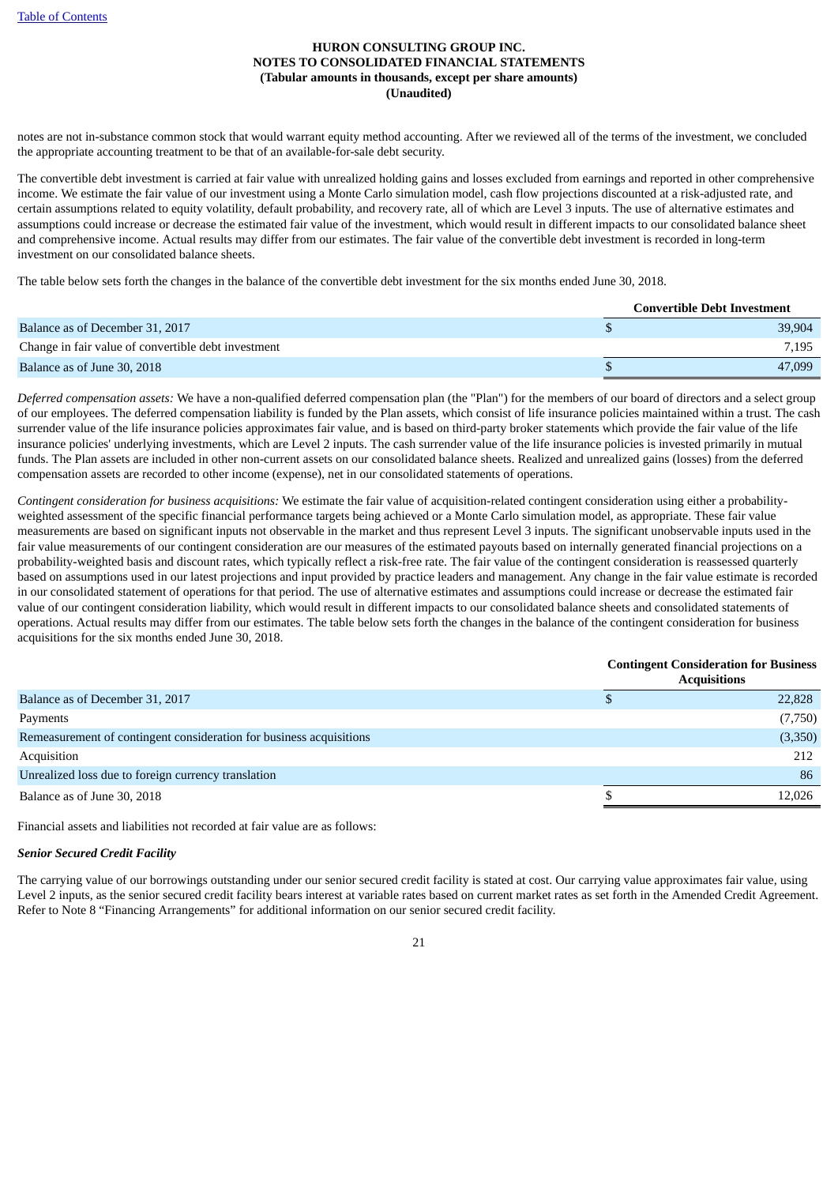notes are not in-substance common stock that would warrant equity method accounting. After we reviewed all of the terms of the investment, we concluded the appropriate accounting treatment to be that of an available-for-sale debt security.

The convertible debt investment is carried at fair value with unrealized holding gains and losses excluded from earnings and reported in other comprehensive income. We estimate the fair value of our investment using a Monte Carlo simulation model, cash flow projections discounted at a risk-adjusted rate, and certain assumptions related to equity volatility, default probability, and recovery rate, all of which are Level 3 inputs. The use of alternative estimates and assumptions could increase or decrease the estimated fair value of the investment, which would result in different impacts to our consolidated balance sheet and comprehensive income. Actual results may differ from our estimates. The fair value of the convertible debt investment is recorded in long-term investment on our consolidated balance sheets.

The table below sets forth the changes in the balance of the convertible debt investment for the six months ended June 30, 2018.

|                                                     | <b>Convertible Debt Investment</b> |
|-----------------------------------------------------|------------------------------------|
| Balance as of December 31, 2017                     | 39,904                             |
| Change in fair value of convertible debt investment | 7.195                              |
| Balance as of June 30, 2018                         | 47,099                             |

*Deferred compensation assets:* We have a non-qualified deferred compensation plan (the "Plan") for the members of our board of directors and a select group of our employees. The deferred compensation liability is funded by the Plan assets, which consist of life insurance policies maintained within a trust. The cash surrender value of the life insurance policies approximates fair value, and is based on third-party broker statements which provide the fair value of the life insurance policies' underlying investments, which are Level 2 inputs. The cash surrender value of the life insurance policies is invested primarily in mutual funds. The Plan assets are included in other non-current assets on our consolidated balance sheets. Realized and unrealized gains (losses) from the deferred compensation assets are recorded to other income (expense), net in our consolidated statements of operations.

*Contingent consideration for business acquisitions:* We estimate the fair value of acquisition-related contingent consideration using either a probabilityweighted assessment of the specific financial performance targets being achieved or a Monte Carlo simulation model, as appropriate. These fair value measurements are based on significant inputs not observable in the market and thus represent Level 3 inputs. The significant unobservable inputs used in the fair value measurements of our contingent consideration are our measures of the estimated payouts based on internally generated financial projections on a probability-weighted basis and discount rates, which typically reflect a risk-free rate. The fair value of the contingent consideration is reassessed quarterly based on assumptions used in our latest projections and input provided by practice leaders and management. Any change in the fair value estimate is recorded in our consolidated statement of operations for that period. The use of alternative estimates and assumptions could increase or decrease the estimated fair value of our contingent consideration liability, which would result in different impacts to our consolidated balance sheets and consolidated statements of operations. Actual results may differ from our estimates. The table below sets forth the changes in the balance of the contingent consideration for business acquisitions for the six months ended June 30, 2018.

|                                                                     | <b>Contingent Consideration for Business</b><br><b>Acquisitions</b> |  |  |  |  |  |
|---------------------------------------------------------------------|---------------------------------------------------------------------|--|--|--|--|--|
| Balance as of December 31, 2017                                     | 22,828                                                              |  |  |  |  |  |
| Payments                                                            | (7,750)                                                             |  |  |  |  |  |
| Remeasurement of contingent consideration for business acquisitions | (3,350)                                                             |  |  |  |  |  |
| Acquisition                                                         | 212                                                                 |  |  |  |  |  |
| Unrealized loss due to foreign currency translation                 | 86                                                                  |  |  |  |  |  |
| Balance as of June 30, 2018                                         | 12,026                                                              |  |  |  |  |  |
|                                                                     |                                                                     |  |  |  |  |  |

Financial assets and liabilities not recorded at fair value are as follows:

#### *Senior Secured Credit Facility*

The carrying value of our borrowings outstanding under our senior secured credit facility is stated at cost. Our carrying value approximates fair value, using Level 2 inputs, as the senior secured credit facility bears interest at variable rates based on current market rates as set forth in the Amended Credit Agreement. Refer to Note 8 "Financing Arrangements" for additional information on our senior secured credit facility.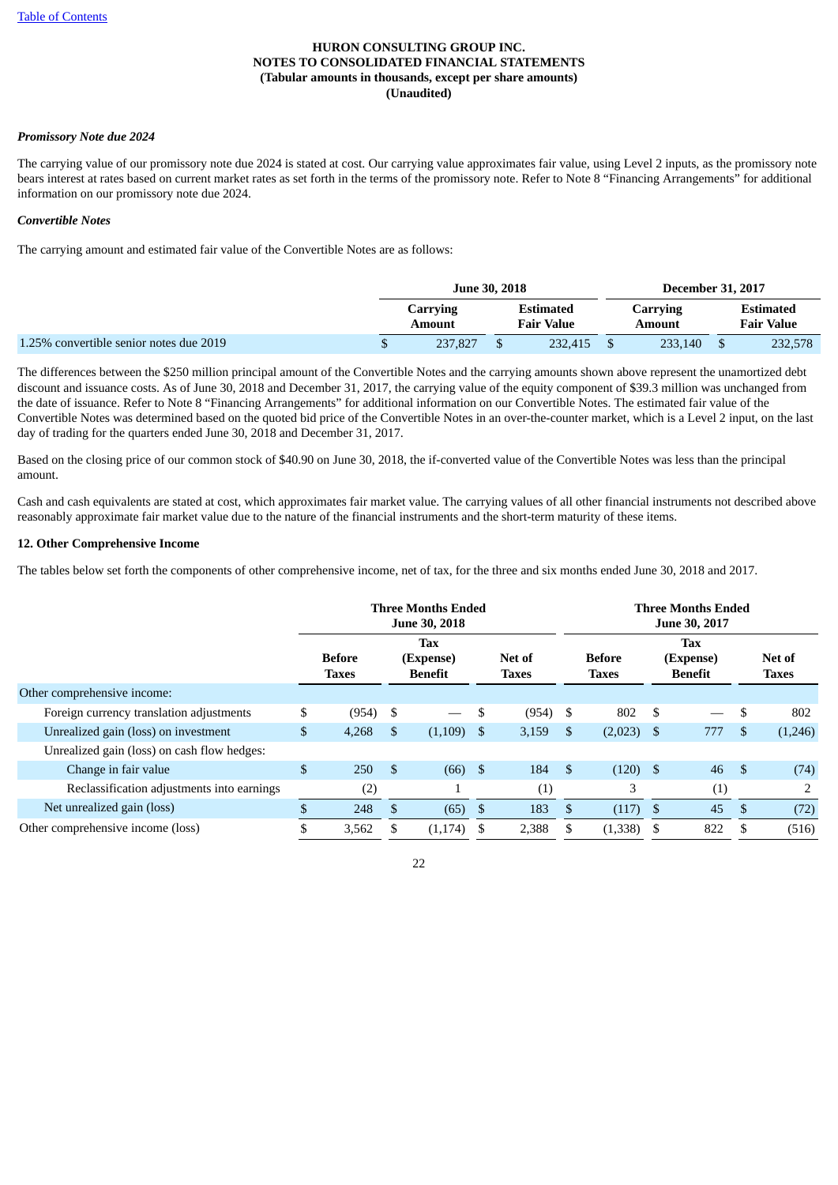#### *Promissory Note due 2024*

The carrying value of our promissory note due 2024 is stated at cost. Our carrying value approximates fair value, using Level 2 inputs, as the promissory note bears interest at rates based on current market rates as set forth in the terms of the promissory note. Refer to Note 8 "Financing Arrangements" for additional information on our promissory note due 2024.

#### *Convertible Notes*

The carrying amount and estimated fair value of the Convertible Notes are as follows:

|                                         |                                               | <b>June 30, 2018</b> |  | <b>December 31, 2017</b> |                                |         |
|-----------------------------------------|-----------------------------------------------|----------------------|--|--------------------------|--------------------------------|---------|
|                                         | Estimated<br>Carrying<br>Fair Value<br>Amount |                      |  | Carrying<br>Amount       | Estimated<br><b>Fair Value</b> |         |
| 1.25% convertible senior notes due 2019 |                                               | 237,827              |  | 232.415                  | 233.140                        | 232,578 |

The differences between the \$250 million principal amount of the Convertible Notes and the carrying amounts shown above represent the unamortized debt discount and issuance costs. As of June 30, 2018 and December 31, 2017, the carrying value of the equity component of \$39.3 million was unchanged from the date of issuance. Refer to Note 8 "Financing Arrangements" for additional information on our Convertible Notes. The estimated fair value of the Convertible Notes was determined based on the quoted bid price of the Convertible Notes in an over-the-counter market, which is a Level 2 input, on the last day of trading for the quarters ended June 30, 2018 and December 31, 2017.

Based on the closing price of our common stock of \$40.90 on June 30, 2018, the if-converted value of the Convertible Notes was less than the principal amount.

Cash and cash equivalents are stated at cost, which approximates fair market value. The carrying values of all other financial instruments not described above reasonably approximate fair market value due to the nature of the financial instruments and the short-term maturity of these items.

#### **12. Other Comprehensive Income**

The tables below set forth the components of other comprehensive income, net of tax, for the three and six months ended June 30, 2018 and 2017.

|                                             |                |                                                                                                      | Three Months Ended<br><b>June 30, 2018</b> |         | <b>Three Months Ended</b><br>June 30, 2017 |                   |                               |              |                                    |     |                        |                |
|---------------------------------------------|----------------|------------------------------------------------------------------------------------------------------|--------------------------------------------|---------|--------------------------------------------|-------------------|-------------------------------|--------------|------------------------------------|-----|------------------------|----------------|
|                                             |                | <b>Tax</b><br><b>Before</b><br>Net of<br>(Expense)<br><b>Benefit</b><br><b>Taxes</b><br><b>Taxes</b> |                                            |         |                                            |                   | <b>Before</b><br><b>Taxes</b> |              | <b>Tax</b><br>(Expense)<br>Benefit |     | Net of<br><b>Taxes</b> |                |
| Other comprehensive income:                 |                |                                                                                                      |                                            |         |                                            |                   |                               |              |                                    |     |                        |                |
| Foreign currency translation adjustments    | \$             | (954)                                                                                                | \$                                         |         | S                                          | (954)             | - \$                          | 802          | - \$                               |     | \$                     | 802            |
| Unrealized gain (loss) on investment        | $\mathbb{S}$   | 4,268                                                                                                | \$                                         | (1,109) | \$                                         | 3,159             | \$                            | $(2,023)$ \$ |                                    | 777 | \$.                    | (1,246)        |
| Unrealized gain (loss) on cash flow hedges: |                |                                                                                                      |                                            |         |                                            |                   |                               |              |                                    |     |                        |                |
| Change in fair value                        | $\mathfrak{S}$ | 250                                                                                                  | \$                                         | (66)    | -\$                                        | 184               | $\mathfrak{S}$                | $(120)$ \$   |                                    | 46  | - \$                   | (74)           |
| Reclassification adjustments into earnings  |                | (2)                                                                                                  |                                            |         |                                            | $\left( 1\right)$ |                               | 3            |                                    | (1) |                        | $\overline{2}$ |
| Net unrealized gain (loss)                  | \$.            | 248                                                                                                  | \$                                         | (65)    | \$                                         | 183               | \$                            | (117)        | - \$                               | 45  | \$                     | (72)           |
| Other comprehensive income (loss)           |                | 3,562                                                                                                |                                            | (1,174) | \$.                                        | 2,388             | \$                            | (1,338)      | - \$                               | 822 |                        | (516)          |
|                                             |                |                                                                                                      |                                            |         |                                            |                   |                               |              |                                    |     |                        |                |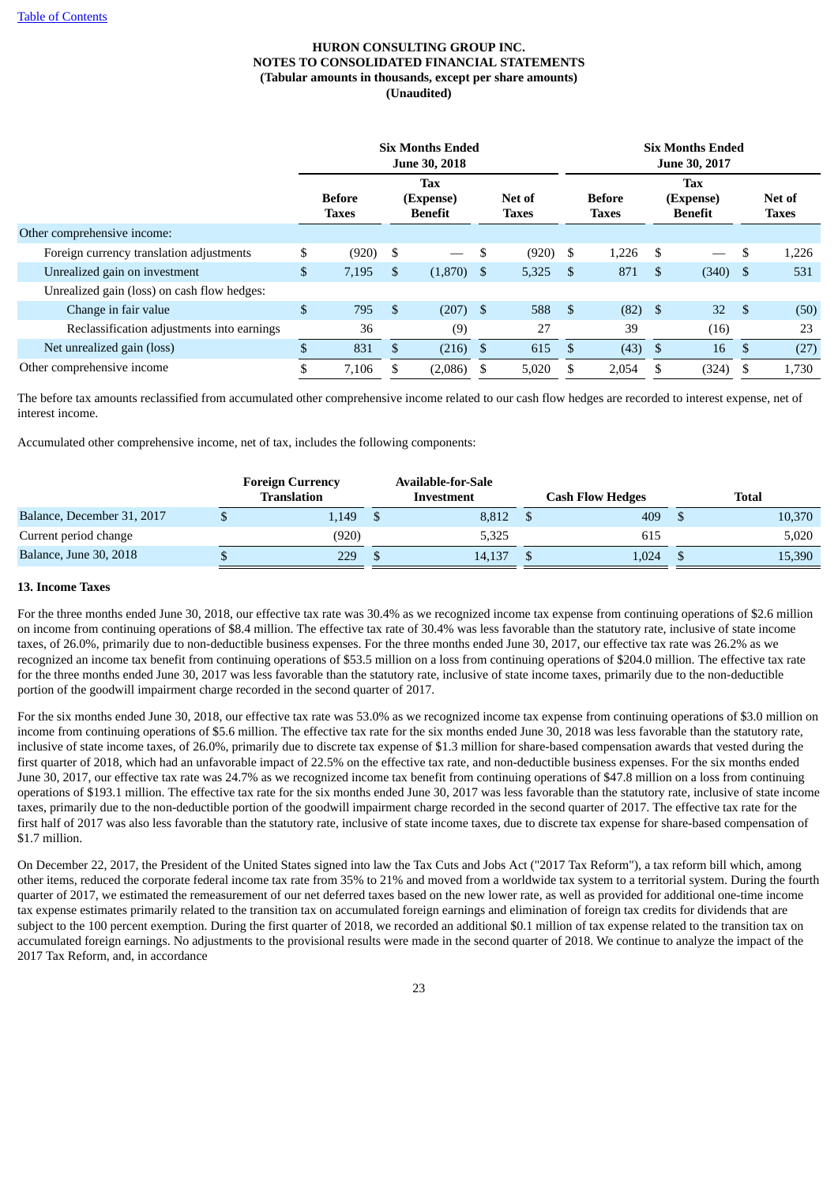|                                             | <b>Six Months Ended</b><br><b>June 30, 2018</b> |       |    |                                           |                        |            |          | <b>Six Months Ended</b><br>June 30, 2017 |               |                                           |               |                        |  |  |
|---------------------------------------------|-------------------------------------------------|-------|----|-------------------------------------------|------------------------|------------|----------|------------------------------------------|---------------|-------------------------------------------|---------------|------------------------|--|--|
|                                             | <b>Before</b><br><b>Taxes</b>                   |       |    | <b>Tax</b><br>(Expense)<br><b>Benefit</b> | Net of<br><b>Taxes</b> |            |          | <b>Before</b><br><b>Taxes</b>            |               | <b>Tax</b><br>(Expense)<br><b>Benefit</b> |               | Net of<br><b>Taxes</b> |  |  |
| Other comprehensive income:                 |                                                 |       |    |                                           |                        |            |          |                                          |               |                                           |               |                        |  |  |
| Foreign currency translation adjustments    | \$                                              | (920) | \$ |                                           | \$                     | $(920)$ \$ |          | 1,226                                    | - \$          |                                           | <sup>\$</sup> | 1,226                  |  |  |
| Unrealized gain on investment               | $\mathfrak{S}$                                  | 7,195 | \$ | (1,870)                                   | - \$                   | 5,325      | <b>S</b> | 871                                      | <sup>\$</sup> | $(340)$ \$                                |               | 531                    |  |  |
| Unrealized gain (loss) on cash flow hedges: |                                                 |       |    |                                           |                        |            |          |                                          |               |                                           |               |                        |  |  |
| Change in fair value                        | \$                                              | 795   | \$ | (207)                                     | - \$                   | 588        | -\$      | $(82)$ \$                                |               | 32                                        | - \$          | (50)                   |  |  |
| Reclassification adjustments into earnings  |                                                 | 36    |    | (9)                                       |                        | 27         |          | 39                                       |               | (16)                                      |               | 23                     |  |  |
| Net unrealized gain (loss)                  | \$.                                             | 831   | \$ | (216)                                     | - \$                   | 615        | \$       | (43)                                     | - \$          | 16                                        | <sup>\$</sup> | (27)                   |  |  |
| Other comprehensive income                  | \$                                              | 7,106 |    | (2,086)                                   | S                      | 5,020      | \$       | 2,054                                    | \$.           | (324)                                     | - \$          | 1,730                  |  |  |

The before tax amounts reclassified from accumulated other comprehensive income related to our cash flow hedges are recorded to interest expense, net of interest income.

Accumulated other comprehensive income, net of tax, includes the following components:

|                               | <b>Foreign Currency</b><br><b>Translation</b> | <b>Available-for-Sale</b><br>Investment |        |  | <b>Cash Flow Hedges</b> | <b>Total</b> |
|-------------------------------|-----------------------------------------------|-----------------------------------------|--------|--|-------------------------|--------------|
| Balance, December 31, 2017    | 1,149                                         |                                         | 8,812  |  | 409                     | 10,370       |
| Current period change         | (920)                                         |                                         | 5,325  |  | 615                     | 5,020        |
| <b>Balance, June 30, 2018</b> | 229                                           |                                         | 14.137 |  | 1,024                   | 15,390       |

#### **13. Income Taxes**

For the three months ended June 30, 2018, our effective tax rate was 30.4% as we recognized income tax expense from continuing operations of \$2.6 million on income from continuing operations of \$8.4 million. The effective tax rate of 30.4% was less favorable than the statutory rate, inclusive of state income taxes, of 26.0%, primarily due to non-deductible business expenses. For the three months ended June 30, 2017, our effective tax rate was 26.2% as we recognized an income tax benefit from continuing operations of \$53.5 million on a loss from continuing operations of \$204.0 million. The effective tax rate for the three months ended June 30, 2017 was less favorable than the statutory rate, inclusive of state income taxes, primarily due to the non-deductible portion of the goodwill impairment charge recorded in the second quarter of 2017.

For the six months ended June 30, 2018, our effective tax rate was 53.0% as we recognized income tax expense from continuing operations of \$3.0 million on income from continuing operations of \$5.6 million. The effective tax rate for the six months ended June 30, 2018 was less favorable than the statutory rate, inclusive of state income taxes, of 26.0%, primarily due to discrete tax expense of \$1.3 million for share-based compensation awards that vested during the first quarter of 2018, which had an unfavorable impact of 22.5% on the effective tax rate, and non-deductible business expenses. For the six months ended June 30, 2017, our effective tax rate was 24.7% as we recognized income tax benefit from continuing operations of \$47.8 million on a loss from continuing operations of \$193.1 million. The effective tax rate for the six months ended June 30, 2017 was less favorable than the statutory rate, inclusive of state income taxes, primarily due to the non-deductible portion of the goodwill impairment charge recorded in the second quarter of 2017. The effective tax rate for the first half of 2017 was also less favorable than the statutory rate, inclusive of state income taxes, due to discrete tax expense for share-based compensation of \$1.7 million.

On December 22, 2017, the President of the United States signed into law the Tax Cuts and Jobs Act ("2017 Tax Reform"), a tax reform bill which, among other items, reduced the corporate federal income tax rate from 35% to 21% and moved from a worldwide tax system to a territorial system. During the fourth quarter of 2017, we estimated the remeasurement of our net deferred taxes based on the new lower rate, as well as provided for additional one-time income tax expense estimates primarily related to the transition tax on accumulated foreign earnings and elimination of foreign tax credits for dividends that are subject to the 100 percent exemption. During the first quarter of 2018, we recorded an additional \$0.1 million of tax expense related to the transition tax on accumulated foreign earnings. No adjustments to the provisional results were made in the second quarter of 2018. We continue to analyze the impact of the 2017 Tax Reform, and, in accordance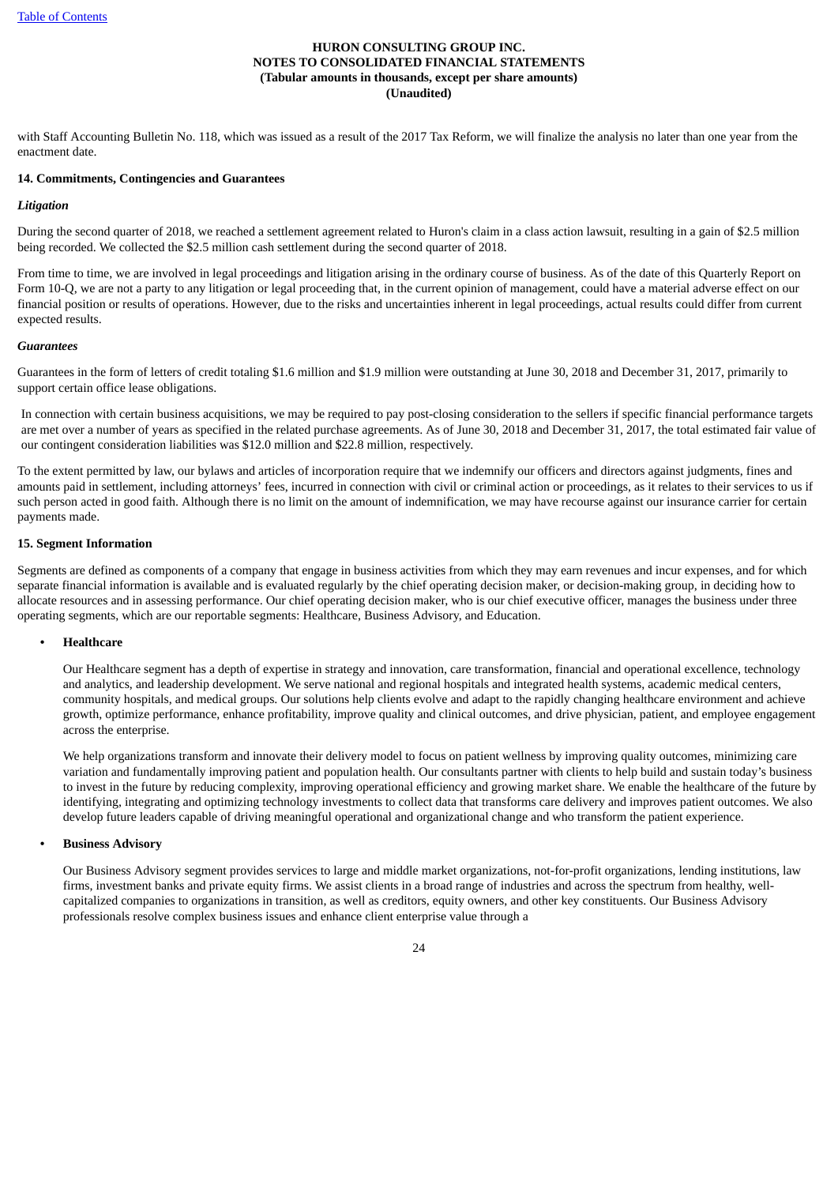with Staff Accounting Bulletin No. 118, which was issued as a result of the 2017 Tax Reform, we will finalize the analysis no later than one year from the enactment date.

#### **14. Commitments, Contingencies and Guarantees**

#### *Litigation*

During the second quarter of 2018, we reached a settlement agreement related to Huron's claim in a class action lawsuit, resulting in a gain of \$2.5 million being recorded. We collected the \$2.5 million cash settlement during the second quarter of 2018.

From time to time, we are involved in legal proceedings and litigation arising in the ordinary course of business. As of the date of this Quarterly Report on Form 10-Q, we are not a party to any litigation or legal proceeding that, in the current opinion of management, could have a material adverse effect on our financial position or results of operations. However, due to the risks and uncertainties inherent in legal proceedings, actual results could differ from current expected results.

#### *Guarantees*

Guarantees in the form of letters of credit totaling \$1.6 million and \$1.9 million were outstanding at June 30, 2018 and December 31, 2017, primarily to support certain office lease obligations.

In connection with certain business acquisitions, we may be required to pay post-closing consideration to the sellers if specific financial performance targets are met over a number of years as specified in the related purchase agreements. As of June 30, 2018 and December 31, 2017, the total estimated fair value of our contingent consideration liabilities was \$12.0 million and \$22.8 million, respectively.

To the extent permitted by law, our bylaws and articles of incorporation require that we indemnify our officers and directors against judgments, fines and amounts paid in settlement, including attorneys' fees, incurred in connection with civil or criminal action or proceedings, as it relates to their services to us if such person acted in good faith. Although there is no limit on the amount of indemnification, we may have recourse against our insurance carrier for certain payments made.

# **15. Segment Information**

Segments are defined as components of a company that engage in business activities from which they may earn revenues and incur expenses, and for which separate financial information is available and is evaluated regularly by the chief operating decision maker, or decision-making group, in deciding how to allocate resources and in assessing performance. Our chief operating decision maker, who is our chief executive officer, manages the business under three operating segments, which are our reportable segments: Healthcare, Business Advisory, and Education.

#### **• Healthcare**

Our Healthcare segment has a depth of expertise in strategy and innovation, care transformation, financial and operational excellence, technology and analytics, and leadership development. We serve national and regional hospitals and integrated health systems, academic medical centers, community hospitals, and medical groups. Our solutions help clients evolve and adapt to the rapidly changing healthcare environment and achieve growth, optimize performance, enhance profitability, improve quality and clinical outcomes, and drive physician, patient, and employee engagement across the enterprise.

We help organizations transform and innovate their delivery model to focus on patient wellness by improving quality outcomes, minimizing care variation and fundamentally improving patient and population health. Our consultants partner with clients to help build and sustain today's business to invest in the future by reducing complexity, improving operational efficiency and growing market share. We enable the healthcare of the future by identifying, integrating and optimizing technology investments to collect data that transforms care delivery and improves patient outcomes. We also develop future leaders capable of driving meaningful operational and organizational change and who transform the patient experience.

# **• Business Advisory**

Our Business Advisory segment provides services to large and middle market organizations, not-for-profit organizations, lending institutions, law firms, investment banks and private equity firms. We assist clients in a broad range of industries and across the spectrum from healthy, wellcapitalized companies to organizations in transition, as well as creditors, equity owners, and other key constituents. Our Business Advisory professionals resolve complex business issues and enhance client enterprise value through a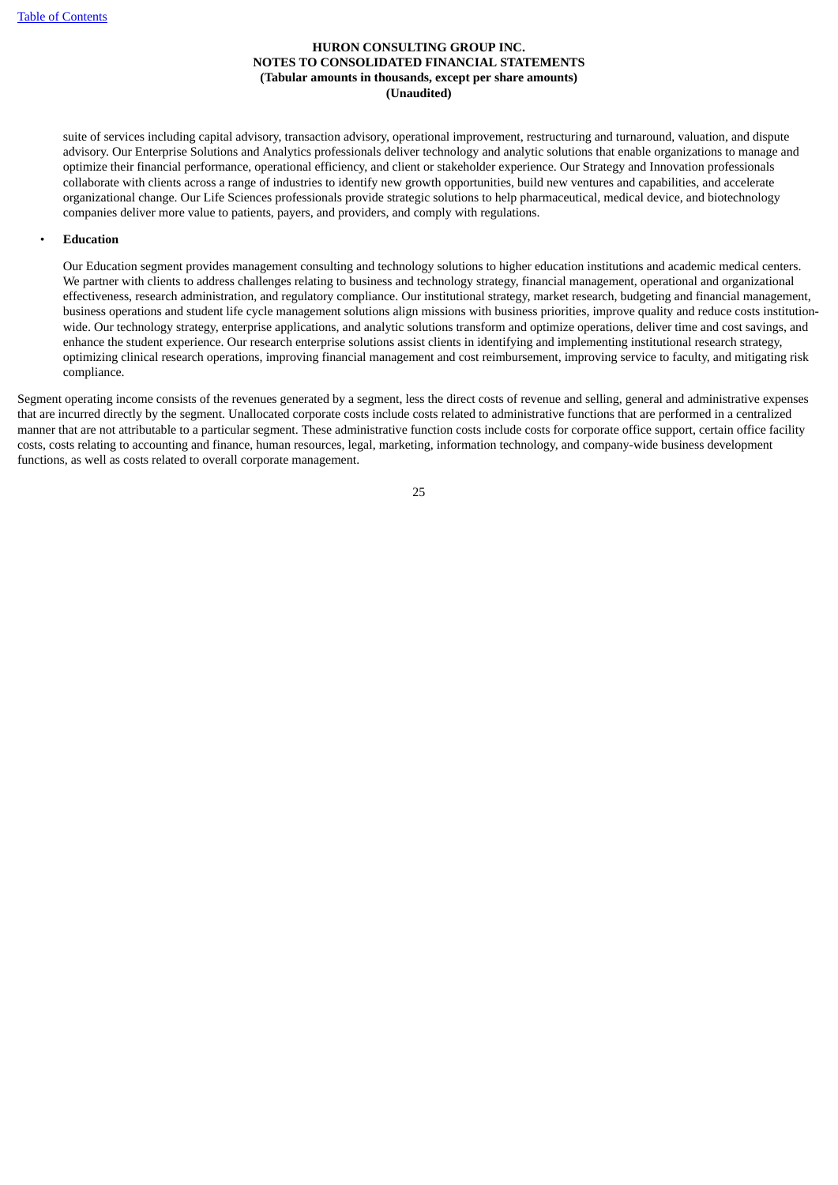suite of services including capital advisory, transaction advisory, operational improvement, restructuring and turnaround, valuation, and dispute advisory. Our Enterprise Solutions and Analytics professionals deliver technology and analytic solutions that enable organizations to manage and optimize their financial performance, operational efficiency, and client or stakeholder experience. Our Strategy and Innovation professionals collaborate with clients across a range of industries to identify new growth opportunities, build new ventures and capabilities, and accelerate organizational change. Our Life Sciences professionals provide strategic solutions to help pharmaceutical, medical device, and biotechnology companies deliver more value to patients, payers, and providers, and comply with regulations.

#### • **Education**

Our Education segment provides management consulting and technology solutions to higher education institutions and academic medical centers. We partner with clients to address challenges relating to business and technology strategy, financial management, operational and organizational effectiveness, research administration, and regulatory compliance. Our institutional strategy, market research, budgeting and financial management, business operations and student life cycle management solutions align missions with business priorities, improve quality and reduce costs institutionwide. Our technology strategy, enterprise applications, and analytic solutions transform and optimize operations, deliver time and cost savings, and enhance the student experience. Our research enterprise solutions assist clients in identifying and implementing institutional research strategy, optimizing clinical research operations, improving financial management and cost reimbursement, improving service to faculty, and mitigating risk compliance.

Segment operating income consists of the revenues generated by a segment, less the direct costs of revenue and selling, general and administrative expenses that are incurred directly by the segment. Unallocated corporate costs include costs related to administrative functions that are performed in a centralized manner that are not attributable to a particular segment. These administrative function costs include costs for corporate office support, certain office facility costs, costs relating to accounting and finance, human resources, legal, marketing, information technology, and company-wide business development functions, as well as costs related to overall corporate management.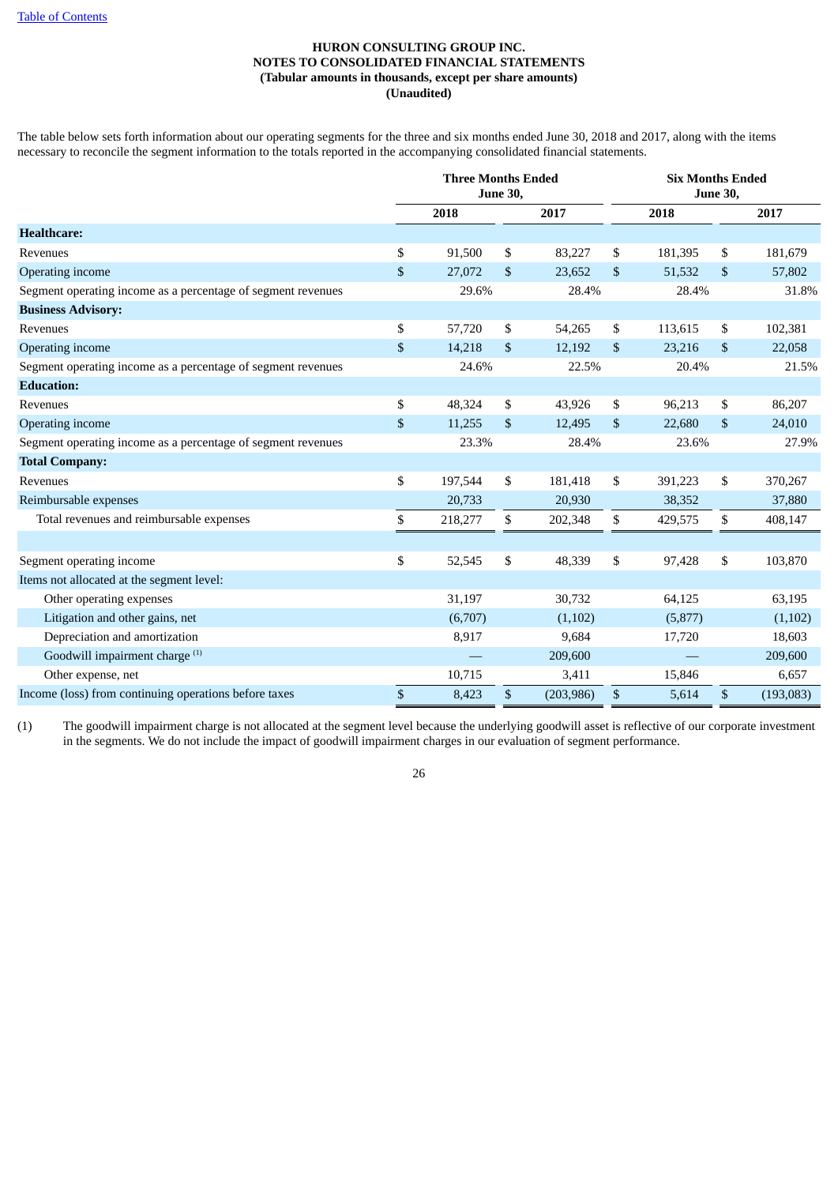The table below sets forth information about our operating segments for the three and six months ended June 30, 2018 and 2017, along with the items necessary to reconcile the segment information to the totals reported in the accompanying consolidated financial statements.

|                                                              | <b>Three Months Ended</b> | <b>June 30,</b> |            |      | <b>Six Months Ended</b><br><b>June 30,</b> |              |           |
|--------------------------------------------------------------|---------------------------|-----------------|------------|------|--------------------------------------------|--------------|-----------|
|                                                              | 2018                      |                 | 2017       |      | 2018                                       |              | 2017      |
| <b>Healthcare:</b>                                           |                           |                 |            |      |                                            |              |           |
| Revenues                                                     | \$<br>91,500              | \$              | 83,227     | \$   | 181,395                                    | \$           | 181,679   |
| Operating income                                             | \$<br>27,072              | \$              | 23,652     | \$   | 51,532                                     | \$           | 57,802    |
| Segment operating income as a percentage of segment revenues | 29.6%                     |                 | 28.4%      |      | 28.4%                                      |              | 31.8%     |
| <b>Business Advisory:</b>                                    |                           |                 |            |      |                                            |              |           |
| Revenues                                                     | \$<br>57,720              | \$              | 54,265     | \$   | 113,615                                    | \$           | 102,381   |
| Operating income                                             | \$<br>14,218              | \$              | 12,192     | \$   | 23,216                                     | \$           | 22,058    |
| Segment operating income as a percentage of segment revenues | 24.6%                     |                 | 22.5%      |      | 20.4%                                      |              | 21.5%     |
| <b>Education:</b>                                            |                           |                 |            |      |                                            |              |           |
| Revenues                                                     | \$<br>48,324              | \$              | 43,926     | \$   | 96,213                                     | \$           | 86,207    |
| Operating income                                             | \$<br>11,255              | \$              | 12,495     | \$   | 22,680                                     | \$           | 24,010    |
| Segment operating income as a percentage of segment revenues | 23.3%                     |                 | 28.4%      |      | 23.6%                                      |              | 27.9%     |
| <b>Total Company:</b>                                        |                           |                 |            |      |                                            |              |           |
| Revenues                                                     | \$<br>197,544             | \$              | 181,418    | \$   | 391,223                                    | \$           | 370,267   |
| Reimbursable expenses                                        | 20,733                    |                 | 20,930     |      | 38,352                                     |              | 37,880    |
| Total revenues and reimbursable expenses                     | \$<br>218,277             | \$              | 202,348    | \$   | 429,575                                    | \$           | 408,147   |
|                                                              |                           |                 |            |      |                                            |              |           |
| Segment operating income                                     | \$<br>52,545              | \$              | 48,339     | \$   | 97,428                                     | \$           | 103,870   |
| Items not allocated at the segment level:                    |                           |                 |            |      |                                            |              |           |
| Other operating expenses                                     | 31,197                    |                 | 30,732     |      | 64,125                                     |              | 63,195    |
| Litigation and other gains, net                              | (6,707)                   |                 | (1,102)    |      | (5,877)                                    |              | (1,102)   |
| Depreciation and amortization                                | 8,917                     |                 | 9,684      |      | 17,720                                     |              | 18,603    |
| Goodwill impairment charge <sup>(1)</sup>                    |                           |                 | 209,600    |      |                                            |              | 209,600   |
| Other expense, net                                           | 10,715                    |                 | 3,411      |      | 15,846                                     |              | 6,657     |
| Income (loss) from continuing operations before taxes        | \$<br>8,423               | \$              | (203, 986) | $\$$ | 5,614                                      | $\mathbb{S}$ | (193,083) |

(1) The goodwill impairment charge is not allocated at the segment level because the underlying goodwill asset is reflective of our corporate investment in the segments. We do not include the impact of goodwill impairment charges in our evaluation of segment performance.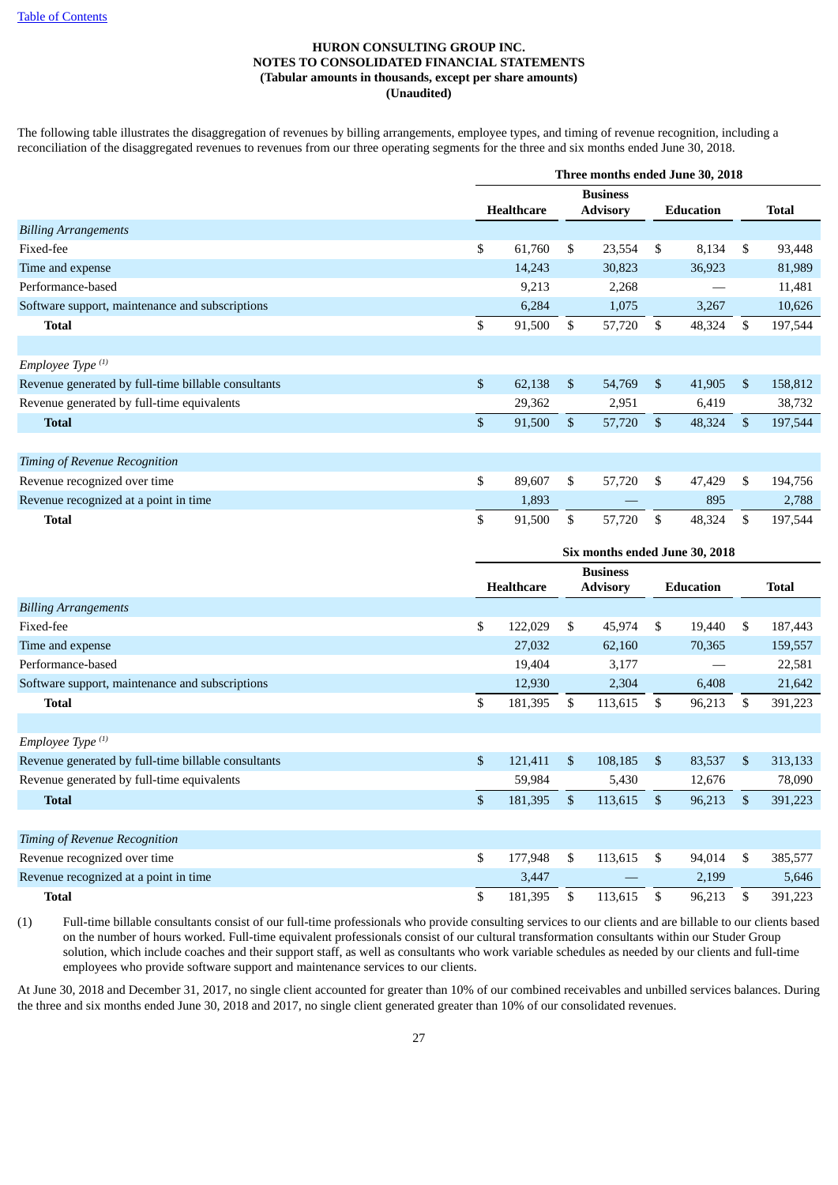The following table illustrates the disaggregation of revenues by billing arrangements, employee types, and timing of revenue recognition, including a reconciliation of the disaggregated revenues to revenues from our three operating segments for the three and six months ended June 30, 2018.

|                                                     | Three months ended June 30, 2018 |                   |                |                                    |                |                  |              |              |  |  |  |
|-----------------------------------------------------|----------------------------------|-------------------|----------------|------------------------------------|----------------|------------------|--------------|--------------|--|--|--|
|                                                     |                                  | <b>Healthcare</b> |                | <b>Business</b><br><b>Advisory</b> |                | <b>Education</b> |              | <b>Total</b> |  |  |  |
| <b>Billing Arrangements</b>                         |                                  |                   |                |                                    |                |                  |              |              |  |  |  |
| Fixed-fee                                           | \$                               | 61,760            | \$             | 23,554                             | S.             | 8,134            | S.           | 93,448       |  |  |  |
| Time and expense                                    |                                  | 14,243            |                | 30,823                             |                | 36,923           |              | 81,989       |  |  |  |
| Performance-based                                   |                                  | 9,213             |                | 2,268                              |                |                  |              | 11,481       |  |  |  |
| Software support, maintenance and subscriptions     |                                  | 6,284             |                | 1,075                              |                | 3,267            |              | 10,626       |  |  |  |
| <b>Total</b>                                        | \$                               | 91,500            | \$             | 57,720                             | \$             | 48,324           | \$           | 197,544      |  |  |  |
|                                                     |                                  |                   |                |                                    |                |                  |              |              |  |  |  |
| Employee Type <sup>(1)</sup>                        |                                  |                   |                |                                    |                |                  |              |              |  |  |  |
| Revenue generated by full-time billable consultants | \$                               | 62,138            | \$             | 54,769                             | $\mathbb{S}$   | 41,905           | $\mathbb{S}$ | 158,812      |  |  |  |
| Revenue generated by full-time equivalents          |                                  | 29,362            |                | 2,951                              |                | 6,419            |              | 38,732       |  |  |  |
| <b>Total</b>                                        | \$                               | 91,500            | $\mathfrak{S}$ | 57,720                             | $\mathfrak{S}$ | 48,324           | $\mathbb{S}$ | 197,544      |  |  |  |
|                                                     |                                  |                   |                |                                    |                |                  |              |              |  |  |  |
| Timing of Revenue Recognition                       |                                  |                   |                |                                    |                |                  |              |              |  |  |  |
| Revenue recognized over time                        | \$                               | 89,607            | \$             | 57,720                             | \$.            | 47,429           | \$           | 194,756      |  |  |  |
| Revenue recognized at a point in time               |                                  | 1,893             |                |                                    |                | 895              |              | 2,788        |  |  |  |
| <b>Total</b>                                        | \$                               | 91,500            | \$             | 57,720                             | \$             | 48,324           | \$.          | 197,544      |  |  |  |

|                                                     |                | Six months ended June 30, 2018 |                |                                    |              |                  |              |              |  |  |
|-----------------------------------------------------|----------------|--------------------------------|----------------|------------------------------------|--------------|------------------|--------------|--------------|--|--|
|                                                     |                | <b>Healthcare</b>              |                | <b>Business</b><br><b>Advisory</b> |              | <b>Education</b> |              | <b>Total</b> |  |  |
| <b>Billing Arrangements</b>                         |                |                                |                |                                    |              |                  |              |              |  |  |
| Fixed-fee                                           | \$             | 122,029                        | \$             | 45,974                             | S.           | 19,440           | \$           | 187,443      |  |  |
| Time and expense                                    |                | 27,032                         |                | 62,160                             |              | 70,365           |              | 159,557      |  |  |
| Performance-based                                   |                | 19,404                         |                | 3,177                              |              |                  |              | 22,581       |  |  |
| Software support, maintenance and subscriptions     |                | 12,930                         |                | 2,304                              |              | 6,408            |              | 21,642       |  |  |
| <b>Total</b>                                        | \$             | 181,395                        | \$             | 113,615                            | \$           | 96,213           | S.           | 391,223      |  |  |
|                                                     |                |                                |                |                                    |              |                  |              |              |  |  |
| Employee Type <sup>(1)</sup>                        |                |                                |                |                                    |              |                  |              |              |  |  |
| Revenue generated by full-time billable consultants | $\mathfrak{S}$ | 121,411                        | $\mathfrak{S}$ | 108,185                            | $\mathbb{S}$ | 83,537           | $\mathbb{S}$ | 313,133      |  |  |
| Revenue generated by full-time equivalents          |                | 59,984                         |                | 5,430                              |              | 12,676           |              | 78,090       |  |  |
| <b>Total</b>                                        | \$             | 181,395                        | $\mathbb{S}$   | 113,615                            | $\mathbb{S}$ | 96,213           | \$           | 391,223      |  |  |
|                                                     |                |                                |                |                                    |              |                  |              |              |  |  |
| Timing of Revenue Recognition                       |                |                                |                |                                    |              |                  |              |              |  |  |
| Revenue recognized over time                        | \$             | 177,948                        | \$.            | 113,615                            | \$.          | 94,014           | \$           | 385,577      |  |  |
| Revenue recognized at a point in time               |                | 3,447                          |                |                                    |              | 2,199            |              | 5,646        |  |  |
| Total                                               | \$             | 181,395                        | \$             | 113,615                            | \$           | 96,213           | \$           | 391,223      |  |  |

(1) Full-time billable consultants consist of our full-time professionals who provide consulting services to our clients and are billable to our clients based on the number of hours worked. Full-time equivalent professionals consist of our cultural transformation consultants within our Studer Group solution, which include coaches and their support staff, as well as consultants who work variable schedules as needed by our clients and full-time employees who provide software support and maintenance services to our clients.

At June 30, 2018 and December 31, 2017, no single client accounted for greater than 10% of our combined receivables and unbilled services balances. During the three and six months ended June 30, 2018 and 2017, no single client generated greater than 10% of our consolidated revenues.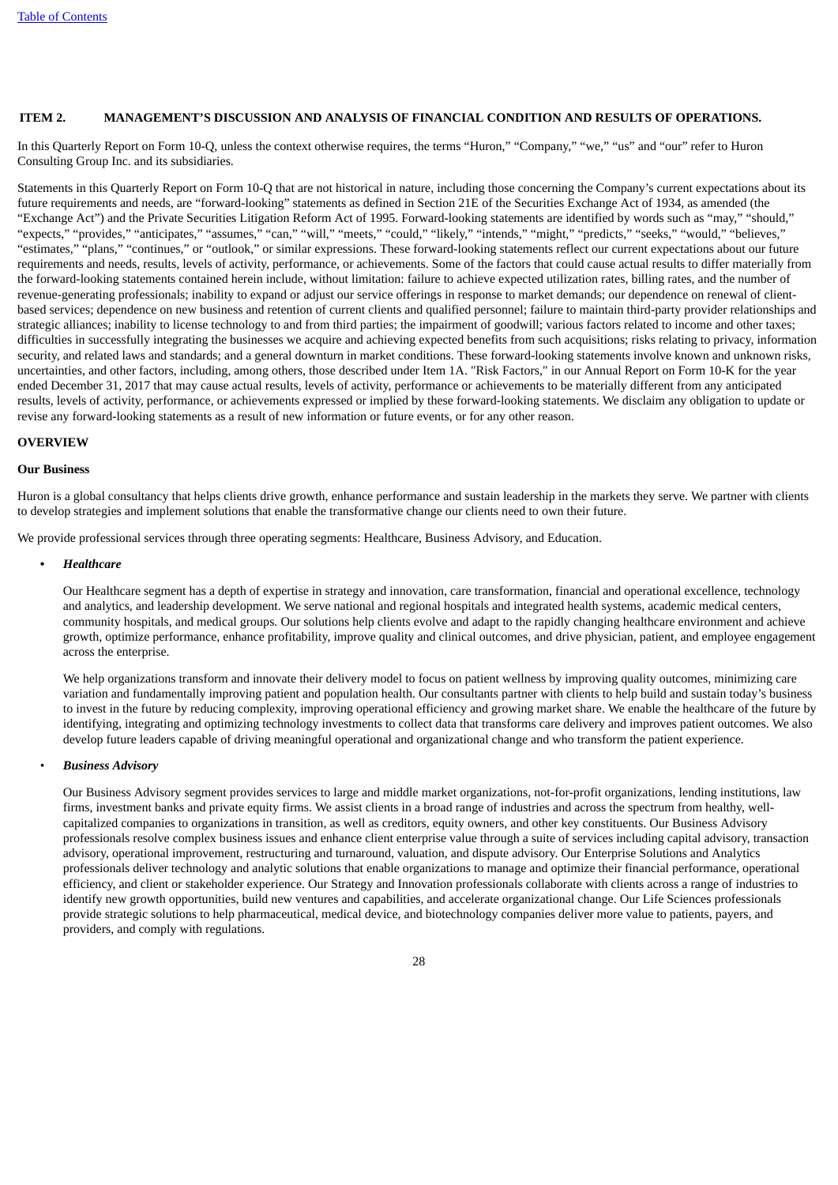#### <span id="page-29-0"></span>**ITEM 2. MANAGEMENT'S DISCUSSION AND ANALYSIS OF FINANCIAL CONDITION AND RESULTS OF OPERATIONS.**

In this Quarterly Report on Form 10-Q, unless the context otherwise requires, the terms "Huron," "Company," "we," "us" and "our" refer to Huron Consulting Group Inc. and its subsidiaries.

Statements in this Quarterly Report on Form 10-Q that are not historical in nature, including those concerning the Company's current expectations about its future requirements and needs, are "forward-looking" statements as defined in Section 21E of the Securities Exchange Act of 1934, as amended (the "Exchange Act") and the Private Securities Litigation Reform Act of 1995. Forward-looking statements are identified by words such as "may," "should," "expects," "provides," "anticipates," "assumes," "can," "will," "meets," "could," "likely," "intends," "might," "predicts," "seeks," "would," "believes," "estimates," "plans," "continues," or "outlook," or similar expressions. These forward-looking statements reflect our current expectations about our future requirements and needs, results, levels of activity, performance, or achievements. Some of the factors that could cause actual results to differ materially from the forward-looking statements contained herein include, without limitation: failure to achieve expected utilization rates, billing rates, and the number of revenue-generating professionals; inability to expand or adjust our service offerings in response to market demands; our dependence on renewal of clientbased services; dependence on new business and retention of current clients and qualified personnel; failure to maintain third-party provider relationships and strategic alliances; inability to license technology to and from third parties; the impairment of goodwill; various factors related to income and other taxes; difficulties in successfully integrating the businesses we acquire and achieving expected benefits from such acquisitions; risks relating to privacy, information security, and related laws and standards; and a general downturn in market conditions. These forward-looking statements involve known and unknown risks, uncertainties, and other factors, including, among others, those described under Item 1A. "Risk Factors," in our Annual Report on Form 10-K for the year ended December 31, 2017 that may cause actual results, levels of activity, performance or achievements to be materially different from any anticipated results, levels of activity, performance, or achievements expressed or implied by these forward-looking statements. We disclaim any obligation to update or revise any forward-looking statements as a result of new information or future events, or for any other reason.

#### **OVERVIEW**

#### **Our Business**

Huron is a global consultancy that helps clients drive growth, enhance performance and sustain leadership in the markets they serve. We partner with clients to develop strategies and implement solutions that enable the transformative change our clients need to own their future.

We provide professional services through three operating segments: Healthcare, Business Advisory, and Education.

#### **•** *Healthcare*

Our Healthcare segment has a depth of expertise in strategy and innovation, care transformation, financial and operational excellence, technology and analytics, and leadership development. We serve national and regional hospitals and integrated health systems, academic medical centers, community hospitals, and medical groups. Our solutions help clients evolve and adapt to the rapidly changing healthcare environment and achieve growth, optimize performance, enhance profitability, improve quality and clinical outcomes, and drive physician, patient, and employee engagement across the enterprise.

We help organizations transform and innovate their delivery model to focus on patient wellness by improving quality outcomes, minimizing care variation and fundamentally improving patient and population health. Our consultants partner with clients to help build and sustain today's business to invest in the future by reducing complexity, improving operational efficiency and growing market share. We enable the healthcare of the future by identifying, integrating and optimizing technology investments to collect data that transforms care delivery and improves patient outcomes. We also develop future leaders capable of driving meaningful operational and organizational change and who transform the patient experience.

#### • *Business Advisory*

Our Business Advisory segment provides services to large and middle market organizations, not-for-profit organizations, lending institutions, law firms, investment banks and private equity firms. We assist clients in a broad range of industries and across the spectrum from healthy, wellcapitalized companies to organizations in transition, as well as creditors, equity owners, and other key constituents. Our Business Advisory professionals resolve complex business issues and enhance client enterprise value through a suite of services including capital advisory, transaction advisory, operational improvement, restructuring and turnaround, valuation, and dispute advisory. Our Enterprise Solutions and Analytics professionals deliver technology and analytic solutions that enable organizations to manage and optimize their financial performance, operational efficiency, and client or stakeholder experience. Our Strategy and Innovation professionals collaborate with clients across a range of industries to identify new growth opportunities, build new ventures and capabilities, and accelerate organizational change. Our Life Sciences professionals provide strategic solutions to help pharmaceutical, medical device, and biotechnology companies deliver more value to patients, payers, and providers, and comply with regulations.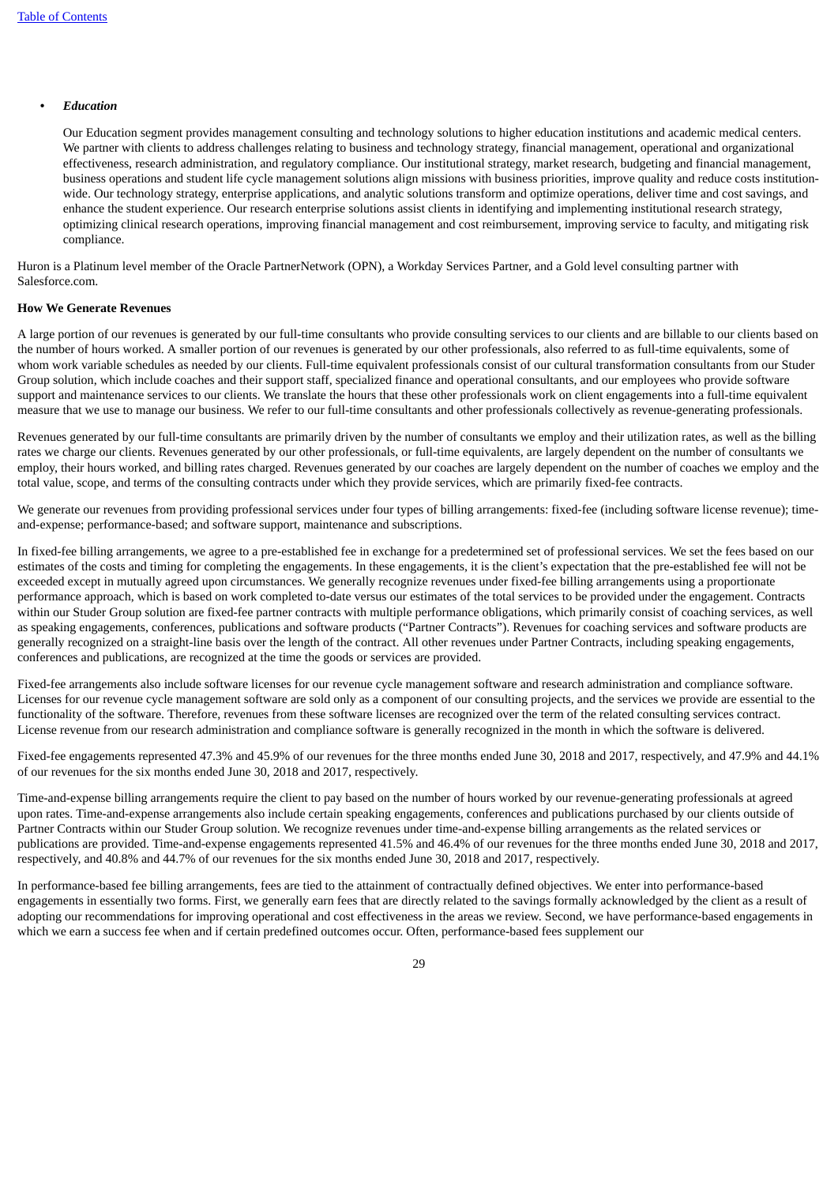#### **•** *Education*

Our Education segment provides management consulting and technology solutions to higher education institutions and academic medical centers. We partner with clients to address challenges relating to business and technology strategy, financial management, operational and organizational effectiveness, research administration, and regulatory compliance. Our institutional strategy, market research, budgeting and financial management, business operations and student life cycle management solutions align missions with business priorities, improve quality and reduce costs institutionwide. Our technology strategy, enterprise applications, and analytic solutions transform and optimize operations, deliver time and cost savings, and enhance the student experience. Our research enterprise solutions assist clients in identifying and implementing institutional research strategy, optimizing clinical research operations, improving financial management and cost reimbursement, improving service to faculty, and mitigating risk compliance.

Huron is a Platinum level member of the Oracle PartnerNetwork (OPN), a Workday Services Partner, and a Gold level consulting partner with Salesforce.com.

#### **How We Generate Revenues**

A large portion of our revenues is generated by our full-time consultants who provide consulting services to our clients and are billable to our clients based on the number of hours worked. A smaller portion of our revenues is generated by our other professionals, also referred to as full-time equivalents, some of whom work variable schedules as needed by our clients. Full-time equivalent professionals consist of our cultural transformation consultants from our Studer Group solution, which include coaches and their support staff, specialized finance and operational consultants, and our employees who provide software support and maintenance services to our clients. We translate the hours that these other professionals work on client engagements into a full-time equivalent measure that we use to manage our business. We refer to our full-time consultants and other professionals collectively as revenue-generating professionals.

Revenues generated by our full-time consultants are primarily driven by the number of consultants we employ and their utilization rates, as well as the billing rates we charge our clients. Revenues generated by our other professionals, or full-time equivalents, are largely dependent on the number of consultants we employ, their hours worked, and billing rates charged. Revenues generated by our coaches are largely dependent on the number of coaches we employ and the total value, scope, and terms of the consulting contracts under which they provide services, which are primarily fixed-fee contracts.

We generate our revenues from providing professional services under four types of billing arrangements: fixed-fee (including software license revenue); timeand-expense; performance-based; and software support, maintenance and subscriptions.

In fixed-fee billing arrangements, we agree to a pre-established fee in exchange for a predetermined set of professional services. We set the fees based on our estimates of the costs and timing for completing the engagements. In these engagements, it is the client's expectation that the pre-established fee will not be exceeded except in mutually agreed upon circumstances. We generally recognize revenues under fixed-fee billing arrangements using a proportionate performance approach, which is based on work completed to-date versus our estimates of the total services to be provided under the engagement. Contracts within our Studer Group solution are fixed-fee partner contracts with multiple performance obligations, which primarily consist of coaching services, as well as speaking engagements, conferences, publications and software products ("Partner Contracts"). Revenues for coaching services and software products are generally recognized on a straight-line basis over the length of the contract. All other revenues under Partner Contracts, including speaking engagements, conferences and publications, are recognized at the time the goods or services are provided.

Fixed-fee arrangements also include software licenses for our revenue cycle management software and research administration and compliance software. Licenses for our revenue cycle management software are sold only as a component of our consulting projects, and the services we provide are essential to the functionality of the software. Therefore, revenues from these software licenses are recognized over the term of the related consulting services contract. License revenue from our research administration and compliance software is generally recognized in the month in which the software is delivered.

Fixed-fee engagements represented 47.3% and 45.9% of our revenues for the three months ended June 30, 2018 and 2017, respectively, and 47.9% and 44.1% of our revenues for the six months ended June 30, 2018 and 2017, respectively.

Time-and-expense billing arrangements require the client to pay based on the number of hours worked by our revenue-generating professionals at agreed upon rates. Time-and-expense arrangements also include certain speaking engagements, conferences and publications purchased by our clients outside of Partner Contracts within our Studer Group solution. We recognize revenues under time-and-expense billing arrangements as the related services or publications are provided. Time-and-expense engagements represented 41.5% and 46.4% of our revenues for the three months ended June 30, 2018 and 2017, respectively, and 40.8% and 44.7% of our revenues for the six months ended June 30, 2018 and 2017, respectively.

In performance-based fee billing arrangements, fees are tied to the attainment of contractually defined objectives. We enter into performance-based engagements in essentially two forms. First, we generally earn fees that are directly related to the savings formally acknowledged by the client as a result of adopting our recommendations for improving operational and cost effectiveness in the areas we review. Second, we have performance-based engagements in which we earn a success fee when and if certain predefined outcomes occur. Often, performance-based fees supplement our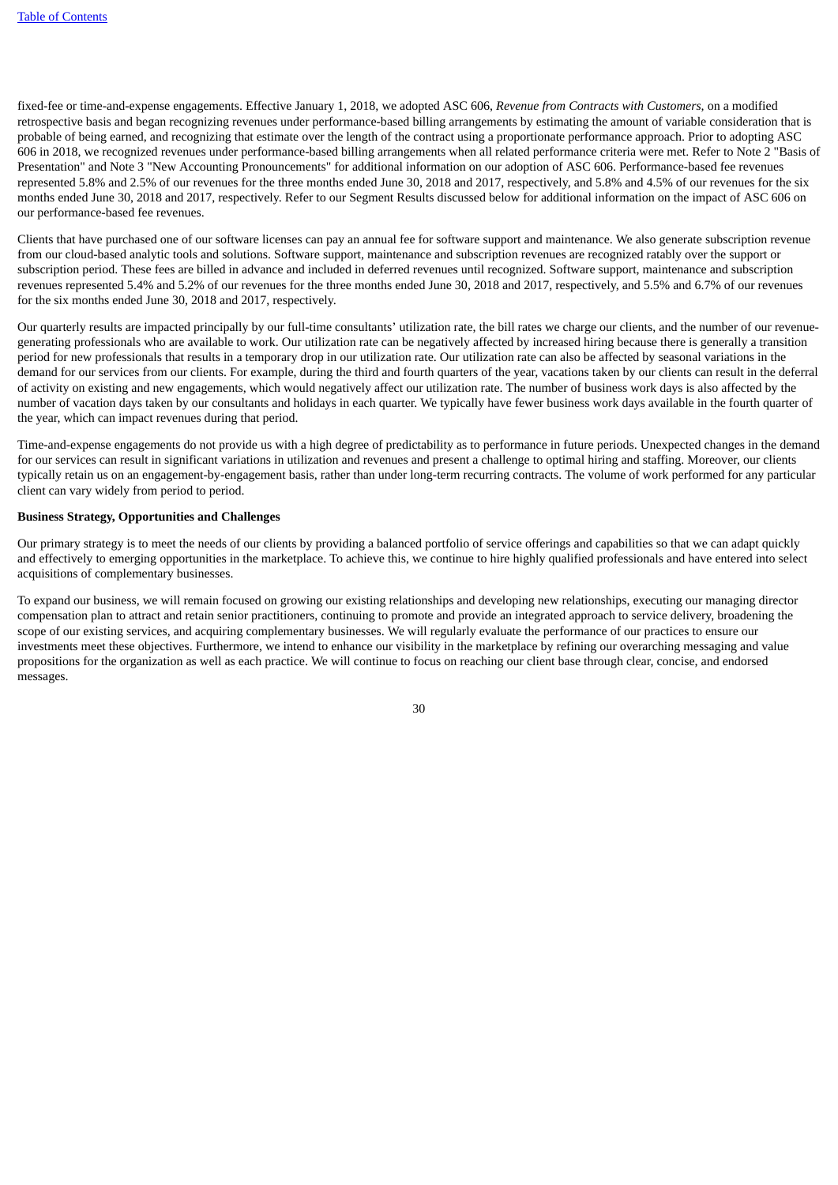fixed-fee or time-and-expense engagements. Effective January 1, 2018, we adopted ASC 606, *Revenue from Contracts with Customers,* on a modified retrospective basis and began recognizing revenues under performance-based billing arrangements by estimating the amount of variable consideration that is probable of being earned, and recognizing that estimate over the length of the contract using a proportionate performance approach. Prior to adopting ASC 606 in 2018, we recognized revenues under performance-based billing arrangements when all related performance criteria were met. Refer to Note 2 "Basis of Presentation" and Note 3 "New Accounting Pronouncements" for additional information on our adoption of ASC 606. Performance-based fee revenues represented 5.8% and 2.5% of our revenues for the three months ended June 30, 2018 and 2017, respectively, and 5.8% and 4.5% of our revenues for the six months ended June 30, 2018 and 2017, respectively. Refer to our Segment Results discussed below for additional information on the impact of ASC 606 on our performance-based fee revenues.

Clients that have purchased one of our software licenses can pay an annual fee for software support and maintenance. We also generate subscription revenue from our cloud-based analytic tools and solutions. Software support, maintenance and subscription revenues are recognized ratably over the support or subscription period. These fees are billed in advance and included in deferred revenues until recognized. Software support, maintenance and subscription revenues represented 5.4% and 5.2% of our revenues for the three months ended June 30, 2018 and 2017, respectively, and 5.5% and 6.7% of our revenues for the six months ended June 30, 2018 and 2017, respectively.

Our quarterly results are impacted principally by our full-time consultants' utilization rate, the bill rates we charge our clients, and the number of our revenuegenerating professionals who are available to work. Our utilization rate can be negatively affected by increased hiring because there is generally a transition period for new professionals that results in a temporary drop in our utilization rate. Our utilization rate can also be affected by seasonal variations in the demand for our services from our clients. For example, during the third and fourth quarters of the year, vacations taken by our clients can result in the deferral of activity on existing and new engagements, which would negatively affect our utilization rate. The number of business work days is also affected by the number of vacation days taken by our consultants and holidays in each quarter. We typically have fewer business work days available in the fourth quarter of the year, which can impact revenues during that period.

Time-and-expense engagements do not provide us with a high degree of predictability as to performance in future periods. Unexpected changes in the demand for our services can result in significant variations in utilization and revenues and present a challenge to optimal hiring and staffing. Moreover, our clients typically retain us on an engagement-by-engagement basis, rather than under long-term recurring contracts. The volume of work performed for any particular client can vary widely from period to period.

#### **Business Strategy, Opportunities and Challenges**

Our primary strategy is to meet the needs of our clients by providing a balanced portfolio of service offerings and capabilities so that we can adapt quickly and effectively to emerging opportunities in the marketplace. To achieve this, we continue to hire highly qualified professionals and have entered into select acquisitions of complementary businesses.

To expand our business, we will remain focused on growing our existing relationships and developing new relationships, executing our managing director compensation plan to attract and retain senior practitioners, continuing to promote and provide an integrated approach to service delivery, broadening the scope of our existing services, and acquiring complementary businesses. We will regularly evaluate the performance of our practices to ensure our investments meet these objectives. Furthermore, we intend to enhance our visibility in the marketplace by refining our overarching messaging and value propositions for the organization as well as each practice. We will continue to focus on reaching our client base through clear, concise, and endorsed messages.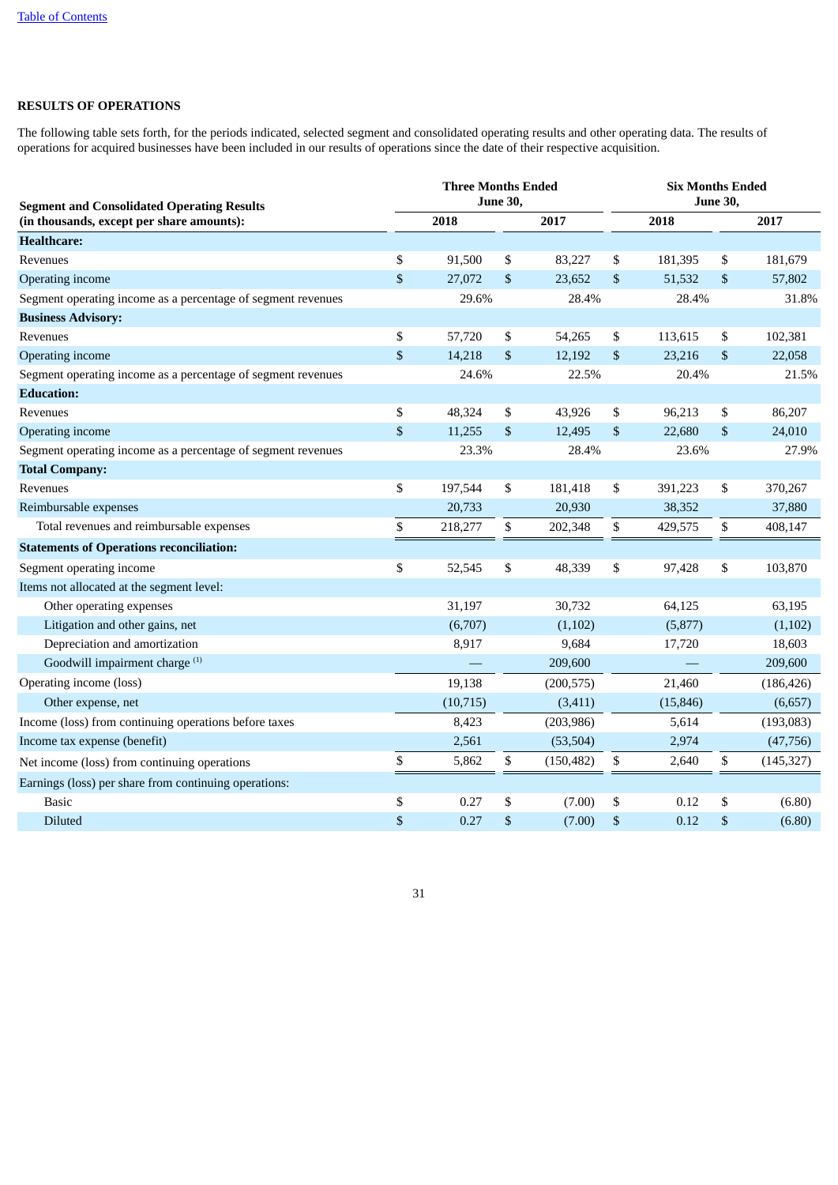# **RESULTS OF OPERATIONS**

The following table sets forth, for the periods indicated, selected segment and consolidated operating results and other operating data. The results of operations for acquired businesses have been included in our results of operations since the date of their respective acquisition.

| <b>Segment and Consolidated Operating Results</b>            |                           | <b>Three Months Ended</b> | <b>June 30,</b> |            | <b>Six Months Ended</b><br>June 30, |       |            |  |  |  |
|--------------------------------------------------------------|---------------------------|---------------------------|-----------------|------------|-------------------------------------|-------|------------|--|--|--|
| (in thousands, except per share amounts):                    |                           | 2018                      |                 | 2017       | 2018                                |       | 2017       |  |  |  |
| <b>Healthcare:</b>                                           |                           |                           |                 |            |                                     |       |            |  |  |  |
| Revenues                                                     | \$                        | 91,500                    | \$              | 83,227     | \$<br>181,395                       | \$    | 181,679    |  |  |  |
| Operating income                                             | $\boldsymbol{\mathsf{S}}$ | 27,072                    | \$              | 23,652     | \$<br>51,532                        | \$    | 57,802     |  |  |  |
| Segment operating income as a percentage of segment revenues |                           | 29.6%                     |                 | 28.4%      | 28.4%                               |       | 31.8%      |  |  |  |
| <b>Business Advisory:</b>                                    |                           |                           |                 |            |                                     |       |            |  |  |  |
| Revenues                                                     | \$                        | 57,720                    | \$              | 54,265     | \$<br>113,615                       | \$    | 102,381    |  |  |  |
| Operating income                                             | \$                        | 14,218                    | \$              | 12,192     | \$<br>23,216                        | $\$$  | 22,058     |  |  |  |
| Segment operating income as a percentage of segment revenues |                           | 24.6%                     |                 | 22.5%      | 20.4%                               |       | 21.5%      |  |  |  |
| <b>Education:</b>                                            |                           |                           |                 |            |                                     |       |            |  |  |  |
| Revenues                                                     | \$                        | 48,324                    | \$              | 43,926     | \$<br>96,213                        | \$    | 86,207     |  |  |  |
| Operating income                                             | $\boldsymbol{\mathsf{S}}$ | 11,255                    | \$              | 12,495     | \$<br>22,680                        | \$    | 24,010     |  |  |  |
| Segment operating income as a percentage of segment revenues |                           | 23.3%                     |                 | 28.4%      | 23.6%                               | 27.9% |            |  |  |  |
| <b>Total Company:</b>                                        |                           |                           |                 |            |                                     |       |            |  |  |  |
| Revenues                                                     | \$                        | 197,544                   | \$              | 181,418    | \$<br>391,223                       | \$    | 370,267    |  |  |  |
| Reimbursable expenses                                        |                           | 20,733                    |                 | 20,930     | 38,352                              |       | 37,880     |  |  |  |
| Total revenues and reimbursable expenses                     | \$                        | 218,277                   | \$              | 202,348    | \$<br>429,575                       | \$    | 408,147    |  |  |  |
| <b>Statements of Operations reconciliation:</b>              |                           |                           |                 |            |                                     |       |            |  |  |  |
| Segment operating income                                     | \$                        | 52,545                    | \$              | 48,339     | \$<br>97,428                        | \$    | 103,870    |  |  |  |
| Items not allocated at the segment level:                    |                           |                           |                 |            |                                     |       |            |  |  |  |
| Other operating expenses                                     |                           | 31,197                    |                 | 30,732     | 64,125                              |       | 63,195     |  |  |  |
| Litigation and other gains, net                              |                           | (6,707)                   |                 | (1,102)    | (5,877)                             |       | (1,102)    |  |  |  |
| Depreciation and amortization                                |                           | 8,917                     |                 | 9,684      | 17,720                              |       | 18,603     |  |  |  |
| Goodwill impairment charge <sup>(1)</sup>                    |                           |                           |                 | 209,600    |                                     |       | 209,600    |  |  |  |
| Operating income (loss)                                      |                           | 19,138                    |                 | (200, 575) | 21,460                              |       | (186, 426) |  |  |  |
| Other expense, net                                           |                           | (10, 715)                 |                 | (3, 411)   | (15, 846)                           |       | (6,657)    |  |  |  |
| Income (loss) from continuing operations before taxes        |                           | 8,423                     |                 | (203, 986) | 5,614                               |       | (193,083)  |  |  |  |
| Income tax expense (benefit)                                 |                           | 2,561                     |                 | (53, 504)  | 2,974                               |       | (47, 756)  |  |  |  |
| Net income (loss) from continuing operations                 | \$                        | 5,862                     | \$              | (150, 482) | \$<br>2,640                         | \$    | (145, 327) |  |  |  |
| Earnings (loss) per share from continuing operations:        |                           |                           |                 |            |                                     |       |            |  |  |  |
| <b>Basic</b>                                                 | \$                        | 0.27                      | \$              | (7.00)     | \$<br>0.12                          | \$    | (6.80)     |  |  |  |
| <b>Diluted</b>                                               | \$                        | 0.27                      | \$              | (7.00)     | \$<br>0.12                          | \$    | (6.80)     |  |  |  |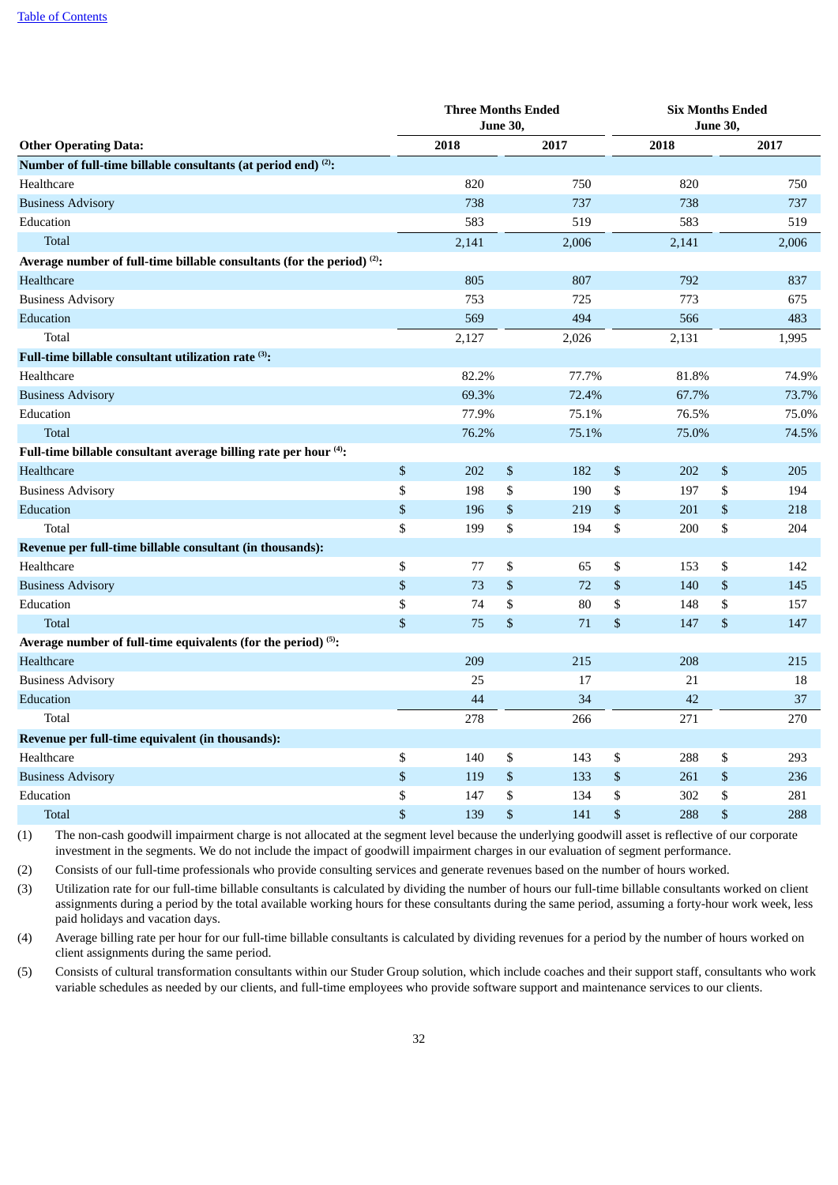|                                                                               |              | <b>Three Months Ended</b> | <b>June 30,</b> |       |              | <b>Six Months Ended</b><br><b>June 30,</b> |              |       |  |
|-------------------------------------------------------------------------------|--------------|---------------------------|-----------------|-------|--------------|--------------------------------------------|--------------|-------|--|
| <b>Other Operating Data:</b>                                                  |              | 2018                      |                 | 2017  |              | 2018                                       |              | 2017  |  |
| Number of full-time billable consultants (at period end) <sup>(2)</sup> :     |              |                           |                 |       |              |                                            |              |       |  |
| Healthcare                                                                    |              | 820                       |                 | 750   |              | 820                                        |              | 750   |  |
| <b>Business Advisory</b>                                                      |              | 738                       |                 | 737   |              | 738                                        |              | 737   |  |
| Education                                                                     |              | 583                       |                 | 519   |              | 583                                        |              | 519   |  |
| <b>Total</b>                                                                  |              | 2,141                     |                 | 2,006 |              | 2,141                                      |              | 2,006 |  |
| Average number of full-time billable consultants (for the period) $(2)$ :     |              |                           |                 |       |              |                                            |              |       |  |
| Healthcare                                                                    |              | 805                       |                 | 807   |              | 792                                        |              | 837   |  |
| <b>Business Advisory</b>                                                      |              | 753                       |                 | 725   |              | 773                                        |              | 675   |  |
| Education                                                                     |              | 569                       |                 | 494   |              | 566                                        |              | 483   |  |
| Total                                                                         |              | 2,127                     |                 | 2,026 |              | 2,131                                      |              | 1,995 |  |
| Full-time billable consultant utilization rate $^{\scriptscriptstyle{(3)}}$ : |              |                           |                 |       |              |                                            |              |       |  |
| Healthcare                                                                    |              | 82.2%                     |                 | 77.7% |              | 81.8%                                      |              | 74.9% |  |
| <b>Business Advisory</b>                                                      |              | 69.3%                     |                 | 72.4% |              | 67.7%                                      |              | 73.7% |  |
| Education                                                                     |              | 77.9%                     |                 | 75.1% |              | 76.5%                                      |              | 75.0% |  |
| <b>Total</b>                                                                  |              | 76.2%                     |                 | 75.1% |              | 75.0%                                      |              | 74.5% |  |
| Full-time billable consultant average billing rate per hour (4):              |              |                           |                 |       |              |                                            |              |       |  |
| Healthcare                                                                    | \$           | 202                       | $\$$            | 182   | $\$$         | 202                                        | $\$$         | 205   |  |
| <b>Business Advisory</b>                                                      | \$           | 198                       | \$              | 190   | \$           | 197                                        | \$           | 194   |  |
| Education                                                                     | \$           | 196                       | \$              | 219   | \$           | 201                                        | $\mathbb{S}$ | 218   |  |
| Total                                                                         | \$           | 199                       | \$              | 194   | \$           | 200                                        | \$           | 204   |  |
| Revenue per full-time billable consultant (in thousands):                     |              |                           |                 |       |              |                                            |              |       |  |
| Healthcare                                                                    | \$           | 77                        | \$              | 65    | \$           | 153                                        | \$           | 142   |  |
| <b>Business Advisory</b>                                                      | \$           | 73                        | $\$$            | 72    | $\$$         | 140                                        | $\$$         | 145   |  |
| Education                                                                     | \$           | 74                        | \$              | 80    | \$           | 148                                        | \$           | 157   |  |
| <b>Total</b>                                                                  | \$           | 75                        | \$              | 71    | \$           | 147                                        | \$           | 147   |  |
| Average number of full-time equivalents (for the period) <sup>(5)</sup> :     |              |                           |                 |       |              |                                            |              |       |  |
| Healthcare                                                                    |              | 209                       |                 | 215   |              | 208                                        |              | 215   |  |
| <b>Business Advisory</b>                                                      |              | 25                        |                 | 17    |              | 21                                         |              | 18    |  |
| Education                                                                     |              | 44                        |                 | 34    |              | 42                                         |              | 37    |  |
| Total                                                                         |              | 278                       |                 | 266   |              | 271                                        |              | 270   |  |
| Revenue per full-time equivalent (in thousands):                              |              |                           |                 |       |              |                                            |              |       |  |
| Healthcare                                                                    | \$           | 140                       | \$              | 143   | \$           | 288                                        | \$           | 293   |  |
| <b>Business Advisory</b>                                                      | \$           | 119                       | \$              | 133   | \$           | 261                                        | \$           | 236   |  |
| Education                                                                     | \$           | 147                       | \$              | 134   | \$           | 302                                        | \$           | 281   |  |
| <b>Total</b>                                                                  | $\mathbf{s}$ | 139                       | \$              | 141   | $\mathbb{S}$ | 288                                        | \$           | 288   |  |

(1) The non-cash goodwill impairment charge is not allocated at the segment level because the underlying goodwill asset is reflective of our corporate investment in the segments. We do not include the impact of goodwill impairment charges in our evaluation of segment performance.

(2) Consists of our full-time professionals who provide consulting services and generate revenues based on the number of hours worked.

(3) Utilization rate for our full-time billable consultants is calculated by dividing the number of hours our full-time billable consultants worked on client assignments during a period by the total available working hours for these consultants during the same period, assuming a forty-hour work week, less paid holidays and vacation days.

(4) Average billing rate per hour for our full-time billable consultants is calculated by dividing revenues for a period by the number of hours worked on client assignments during the same period.

(5) Consists of cultural transformation consultants within our Studer Group solution, which include coaches and their support staff, consultants who work variable schedules as needed by our clients, and full-time employees who provide software support and maintenance services to our clients.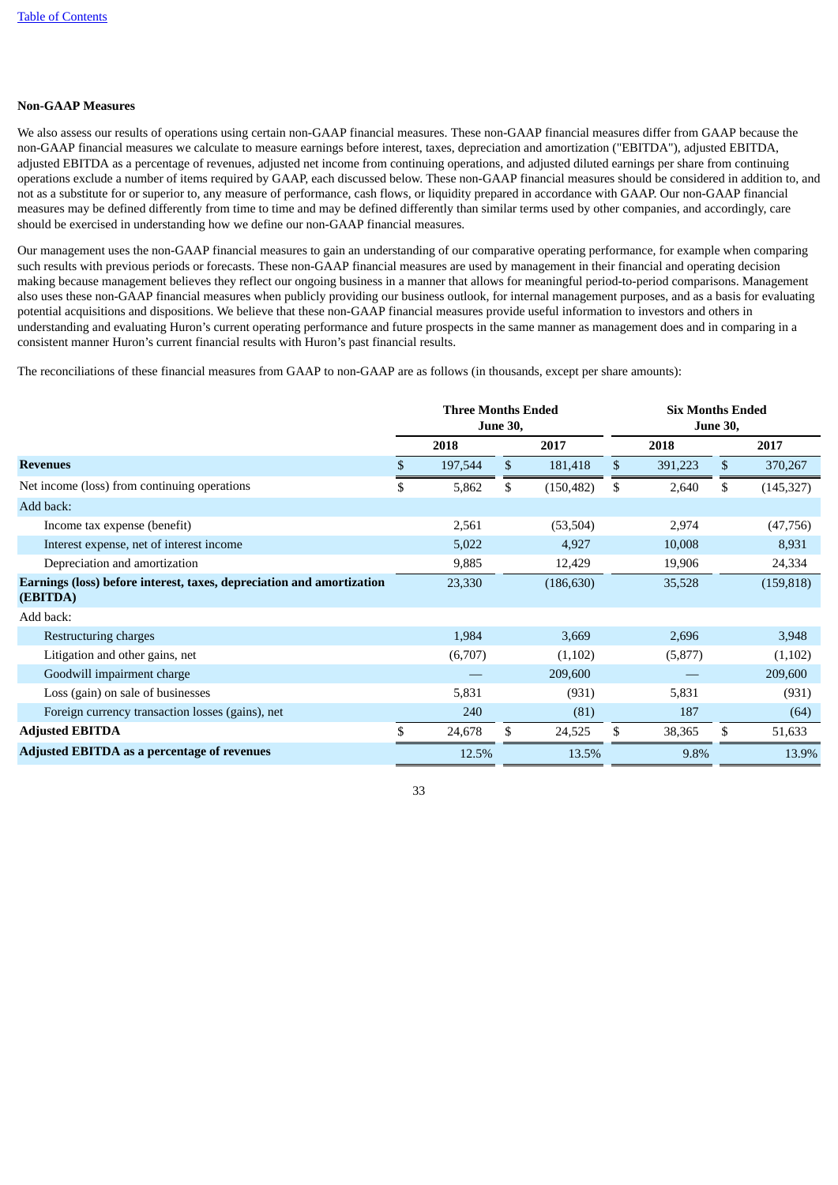# **Non-GAAP Measures**

We also assess our results of operations using certain non-GAAP financial measures. These non-GAAP financial measures differ from GAAP because the non-GAAP financial measures we calculate to measure earnings before interest, taxes, depreciation and amortization ("EBITDA"), adjusted EBITDA, adjusted EBITDA as a percentage of revenues, adjusted net income from continuing operations, and adjusted diluted earnings per share from continuing operations exclude a number of items required by GAAP, each discussed below. These non-GAAP financial measures should be considered in addition to, and not as a substitute for or superior to, any measure of performance, cash flows, or liquidity prepared in accordance with GAAP. Our non-GAAP financial measures may be defined differently from time to time and may be defined differently than similar terms used by other companies, and accordingly, care should be exercised in understanding how we define our non-GAAP financial measures.

Our management uses the non-GAAP financial measures to gain an understanding of our comparative operating performance, for example when comparing such results with previous periods or forecasts. These non-GAAP financial measures are used by management in their financial and operating decision making because management believes they reflect our ongoing business in a manner that allows for meaningful period-to-period comparisons. Management also uses these non-GAAP financial measures when publicly providing our business outlook, for internal management purposes, and as a basis for evaluating potential acquisitions and dispositions. We believe that these non-GAAP financial measures provide useful information to investors and others in understanding and evaluating Huron's current operating performance and future prospects in the same manner as management does and in comparing in a consistent manner Huron's current financial results with Huron's past financial results.

The reconciliations of these financial measures from GAAP to non-GAAP are as follows (in thousands, except per share amounts):

|                                                                                   | <b>Three Months Ended</b><br><b>June 30,</b> |         |      |            |      | <b>Six Months Ended</b><br><b>June 30,</b> |              |            |  |  |
|-----------------------------------------------------------------------------------|----------------------------------------------|---------|------|------------|------|--------------------------------------------|--------------|------------|--|--|
|                                                                                   |                                              | 2018    | 2017 |            | 2018 |                                            |              | 2017       |  |  |
| <b>Revenues</b>                                                                   | \$                                           | 197,544 | \$   | 181,418    | \$   | 391,223                                    | $\mathbb{S}$ | 370,267    |  |  |
| Net income (loss) from continuing operations                                      | \$                                           | 5,862   | \$   | (150, 482) | \$   | 2,640                                      | \$           | (145, 327) |  |  |
| Add back:                                                                         |                                              |         |      |            |      |                                            |              |            |  |  |
| Income tax expense (benefit)                                                      |                                              | 2,561   |      | (53, 504)  |      | 2,974                                      |              | (47, 756)  |  |  |
| Interest expense, net of interest income                                          |                                              | 5,022   |      | 4,927      |      | 10,008                                     |              | 8,931      |  |  |
| Depreciation and amortization                                                     |                                              | 9,885   |      | 12,429     |      | 19,906                                     |              | 24,334     |  |  |
| Earnings (loss) before interest, taxes, depreciation and amortization<br>(EBITDA) |                                              | 23,330  |      | (186, 630) |      | 35,528                                     |              | (159, 818) |  |  |
| Add back:                                                                         |                                              |         |      |            |      |                                            |              |            |  |  |
| Restructuring charges                                                             |                                              | 1,984   |      | 3,669      |      | 2,696                                      |              | 3,948      |  |  |
| Litigation and other gains, net                                                   |                                              | (6,707) |      | (1,102)    |      | (5,877)                                    |              | (1, 102)   |  |  |
| Goodwill impairment charge                                                        |                                              |         |      | 209,600    |      |                                            |              | 209,600    |  |  |
| Loss (gain) on sale of businesses                                                 |                                              | 5,831   |      | (931)      |      | 5,831                                      |              | (931)      |  |  |
| Foreign currency transaction losses (gains), net                                  |                                              | 240     |      | (81)       |      | 187                                        |              | (64)       |  |  |
| <b>Adjusted EBITDA</b>                                                            | \$                                           | 24,678  | \$   | 24,525     | \$   | 38,365                                     | \$           | 51,633     |  |  |
| Adjusted EBITDA as a percentage of revenues                                       |                                              | 12.5%   |      | 13.5%      |      | 9.8%                                       |              | 13.9%      |  |  |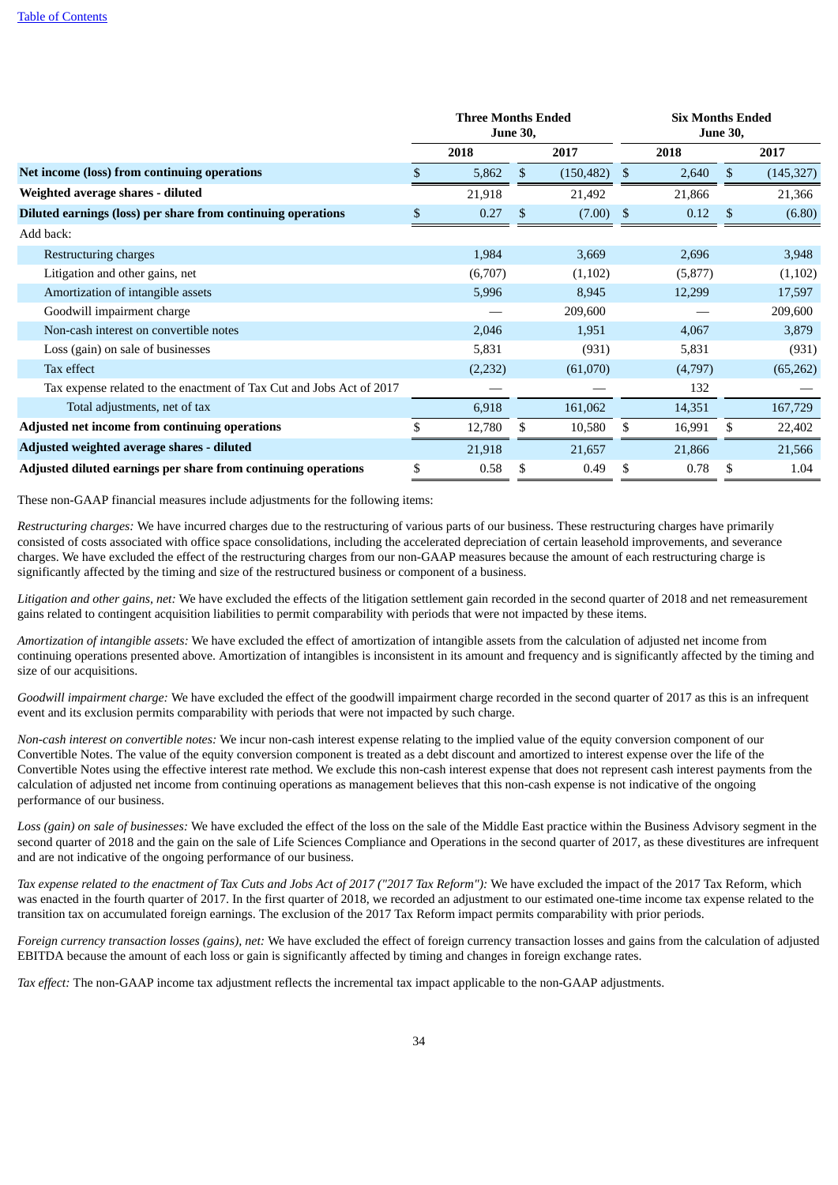|                                                                      | <b>Three Months Ended</b><br><b>June 30,</b> |          |              |             |      | <b>Six Months Ended</b><br><b>June 30,</b> |     |            |  |  |
|----------------------------------------------------------------------|----------------------------------------------|----------|--------------|-------------|------|--------------------------------------------|-----|------------|--|--|
|                                                                      |                                              | 2018     |              | 2017        |      | 2018                                       |     | 2017       |  |  |
| Net income (loss) from continuing operations                         |                                              | 5,862    | $\mathbb{S}$ | (150, 482)  | - \$ | 2,640                                      | \$. | (145, 327) |  |  |
| Weighted average shares - diluted                                    |                                              | 21,918   |              | 21,492      |      | 21,866                                     |     | 21,366     |  |  |
| Diluted earnings (loss) per share from continuing operations         | \$                                           | 0.27     | \$           | $(7.00)$ \$ |      | 0.12                                       | \$  | (6.80)     |  |  |
| Add back:                                                            |                                              |          |              |             |      |                                            |     |            |  |  |
| Restructuring charges                                                |                                              | 1,984    |              | 3,669       |      | 2,696                                      |     | 3,948      |  |  |
| Litigation and other gains, net                                      |                                              | (6,707)  |              | (1,102)     |      | (5,877)                                    |     | (1,102)    |  |  |
| Amortization of intangible assets                                    |                                              | 5,996    |              | 8,945       |      | 12,299                                     |     | 17,597     |  |  |
| Goodwill impairment charge                                           |                                              |          |              | 209,600     |      |                                            |     | 209,600    |  |  |
| Non-cash interest on convertible notes                               |                                              | 2,046    |              | 1,951       |      | 4,067                                      |     | 3,879      |  |  |
| Loss (gain) on sale of businesses                                    |                                              | 5,831    |              | (931)       |      | 5,831                                      |     | (931)      |  |  |
| Tax effect                                                           |                                              | (2, 232) |              | (61,070)    |      | (4,797)                                    |     | (65, 262)  |  |  |
| Tax expense related to the enactment of Tax Cut and Jobs Act of 2017 |                                              |          |              |             |      | 132                                        |     |            |  |  |
| Total adjustments, net of tax                                        |                                              | 6,918    |              | 161,062     |      | 14,351                                     |     | 167,729    |  |  |
| <b>Adjusted net income from continuing operations</b>                |                                              | 12,780   |              | 10,580      |      | 16,991                                     | S   | 22,402     |  |  |
| Adjusted weighted average shares - diluted                           |                                              | 21,918   |              | 21,657      |      | 21,866                                     |     | 21,566     |  |  |
| Adjusted diluted earnings per share from continuing operations       | \$                                           | 0.58     | \$           | 0.49        |      | 0.78                                       | \$  | 1.04       |  |  |

These non-GAAP financial measures include adjustments for the following items:

*Restructuring charges:* We have incurred charges due to the restructuring of various parts of our business. These restructuring charges have primarily consisted of costs associated with office space consolidations, including the accelerated depreciation of certain leasehold improvements, and severance charges. We have excluded the effect of the restructuring charges from our non-GAAP measures because the amount of each restructuring charge is significantly affected by the timing and size of the restructured business or component of a business.

*Litigation and other gains, net:* We have excluded the effects of the litigation settlement gain recorded in the second quarter of 2018 and net remeasurement gains related to contingent acquisition liabilities to permit comparability with periods that were not impacted by these items.

*Amortization of intangible assets:* We have excluded the effect of amortization of intangible assets from the calculation of adjusted net income from continuing operations presented above. Amortization of intangibles is inconsistent in its amount and frequency and is significantly affected by the timing and size of our acquisitions.

*Goodwill impairment charge:* We have excluded the effect of the goodwill impairment charge recorded in the second quarter of 2017 as this is an infrequent event and its exclusion permits comparability with periods that were not impacted by such charge.

*Non-cash interest on convertible notes:* We incur non-cash interest expense relating to the implied value of the equity conversion component of our Convertible Notes. The value of the equity conversion component is treated as a debt discount and amortized to interest expense over the life of the Convertible Notes using the effective interest rate method. We exclude this non-cash interest expense that does not represent cash interest payments from the calculation of adjusted net income from continuing operations as management believes that this non-cash expense is not indicative of the ongoing performance of our business.

*Loss (gain) on sale of businesses:* We have excluded the effect of the loss on the sale of the Middle East practice within the Business Advisory segment in the second quarter of 2018 and the gain on the sale of Life Sciences Compliance and Operations in the second quarter of 2017, as these divestitures are infrequent and are not indicative of the ongoing performance of our business.

Tax expense related to the enactment of Tax Cuts and Jobs Act of 2017 ("2017 Tax Reform"): We have excluded the impact of the 2017 Tax Reform, which was enacted in the fourth quarter of 2017. In the first quarter of 2018, we recorded an adjustment to our estimated one-time income tax expense related to the transition tax on accumulated foreign earnings. The exclusion of the 2017 Tax Reform impact permits comparability with prior periods.

*Foreign currency transaction losses (gains), net:* We have excluded the effect of foreign currency transaction losses and gains from the calculation of adjusted EBITDA because the amount of each loss or gain is significantly affected by timing and changes in foreign exchange rates.

*Tax effect:* The non-GAAP income tax adjustment reflects the incremental tax impact applicable to the non-GAAP adjustments.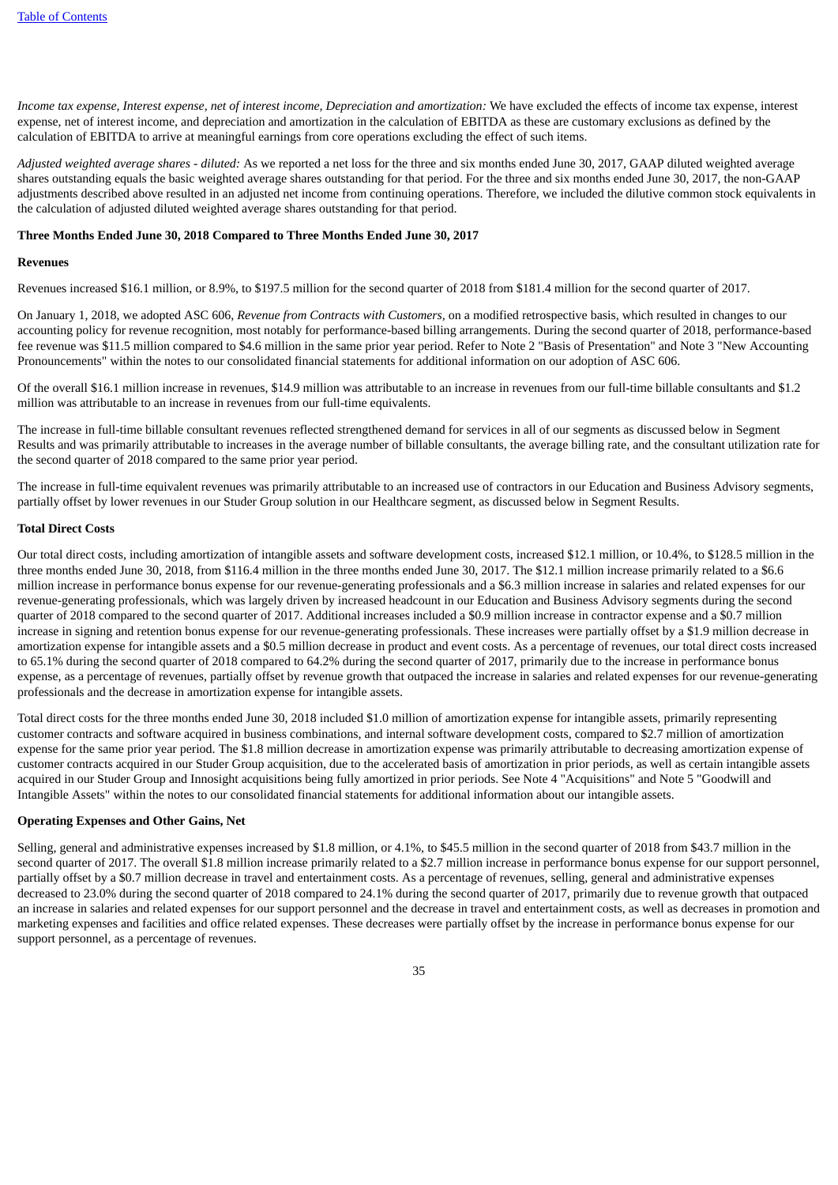Income tax expense, Interest expense, net of interest income, Depreciation and amortization: We have excluded the effects of income tax expense, interest expense, net of interest income, and depreciation and amortization in the calculation of EBITDA as these are customary exclusions as defined by the calculation of EBITDA to arrive at meaningful earnings from core operations excluding the effect of such items.

*Adjusted weighted average shares - diluted:* As we reported a net loss for the three and six months ended June 30, 2017, GAAP diluted weighted average shares outstanding equals the basic weighted average shares outstanding for that period. For the three and six months ended June 30, 2017, the non-GAAP adjustments described above resulted in an adjusted net income from continuing operations. Therefore, we included the dilutive common stock equivalents in the calculation of adjusted diluted weighted average shares outstanding for that period.

#### **Three Months Ended June 30, 2018 Compared to Three Months Ended June 30, 2017**

#### **Revenues**

Revenues increased \$16.1 million, or 8.9%, to \$197.5 million for the second quarter of 2018 from \$181.4 million for the second quarter of 2017.

On January 1, 2018, we adopted ASC 606, *Revenue from Contracts with Customers,* on a modified retrospective basis, which resulted in changes to our accounting policy for revenue recognition, most notably for performance-based billing arrangements. During the second quarter of 2018, performance-based fee revenue was \$11.5 million compared to \$4.6 million in the same prior year period. Refer to Note 2 "Basis of Presentation" and Note 3 "New Accounting Pronouncements" within the notes to our consolidated financial statements for additional information on our adoption of ASC 606.

Of the overall \$16.1 million increase in revenues, \$14.9 million was attributable to an increase in revenues from our full-time billable consultants and \$1.2 million was attributable to an increase in revenues from our full-time equivalents.

The increase in full-time billable consultant revenues reflected strengthened demand for services in all of our segments as discussed below in Segment Results and was primarily attributable to increases in the average number of billable consultants, the average billing rate, and the consultant utilization rate for the second quarter of 2018 compared to the same prior year period.

The increase in full-time equivalent revenues was primarily attributable to an increased use of contractors in our Education and Business Advisory segments, partially offset by lower revenues in our Studer Group solution in our Healthcare segment, as discussed below in Segment Results.

#### **Total Direct Costs**

Our total direct costs, including amortization of intangible assets and software development costs, increased \$12.1 million, or 10.4%, to \$128.5 million in the three months ended June 30, 2018, from \$116.4 million in the three months ended June 30, 2017. The \$12.1 million increase primarily related to a \$6.6 million increase in performance bonus expense for our revenue-generating professionals and a \$6.3 million increase in salaries and related expenses for our revenue-generating professionals, which was largely driven by increased headcount in our Education and Business Advisory segments during the second quarter of 2018 compared to the second quarter of 2017. Additional increases included a \$0.9 million increase in contractor expense and a \$0.7 million increase in signing and retention bonus expense for our revenue-generating professionals. These increases were partially offset by a \$1.9 million decrease in amortization expense for intangible assets and a \$0.5 million decrease in product and event costs. As a percentage of revenues, our total direct costs increased to 65.1% during the second quarter of 2018 compared to 64.2% during the second quarter of 2017, primarily due to the increase in performance bonus expense, as a percentage of revenues, partially offset by revenue growth that outpaced the increase in salaries and related expenses for our revenue-generating professionals and the decrease in amortization expense for intangible assets.

Total direct costs for the three months ended June 30, 2018 included \$1.0 million of amortization expense for intangible assets, primarily representing customer contracts and software acquired in business combinations, and internal software development costs, compared to \$2.7 million of amortization expense for the same prior year period. The \$1.8 million decrease in amortization expense was primarily attributable to decreasing amortization expense of customer contracts acquired in our Studer Group acquisition, due to the accelerated basis of amortization in prior periods, as well as certain intangible assets acquired in our Studer Group and Innosight acquisitions being fully amortized in prior periods. See Note 4 "Acquisitions" and Note 5 "Goodwill and Intangible Assets" within the notes to our consolidated financial statements for additional information about our intangible assets.

# **Operating Expenses and Other Gains, Net**

Selling, general and administrative expenses increased by \$1.8 million, or 4.1%, to \$45.5 million in the second quarter of 2018 from \$43.7 million in the second quarter of 2017. The overall \$1.8 million increase primarily related to a \$2.7 million increase in performance bonus expense for our support personnel, partially offset by a \$0.7 million decrease in travel and entertainment costs. As a percentage of revenues, selling, general and administrative expenses decreased to 23.0% during the second quarter of 2018 compared to 24.1% during the second quarter of 2017, primarily due to revenue growth that outpaced an increase in salaries and related expenses for our support personnel and the decrease in travel and entertainment costs, as well as decreases in promotion and marketing expenses and facilities and office related expenses. These decreases were partially offset by the increase in performance bonus expense for our support personnel, as a percentage of revenues.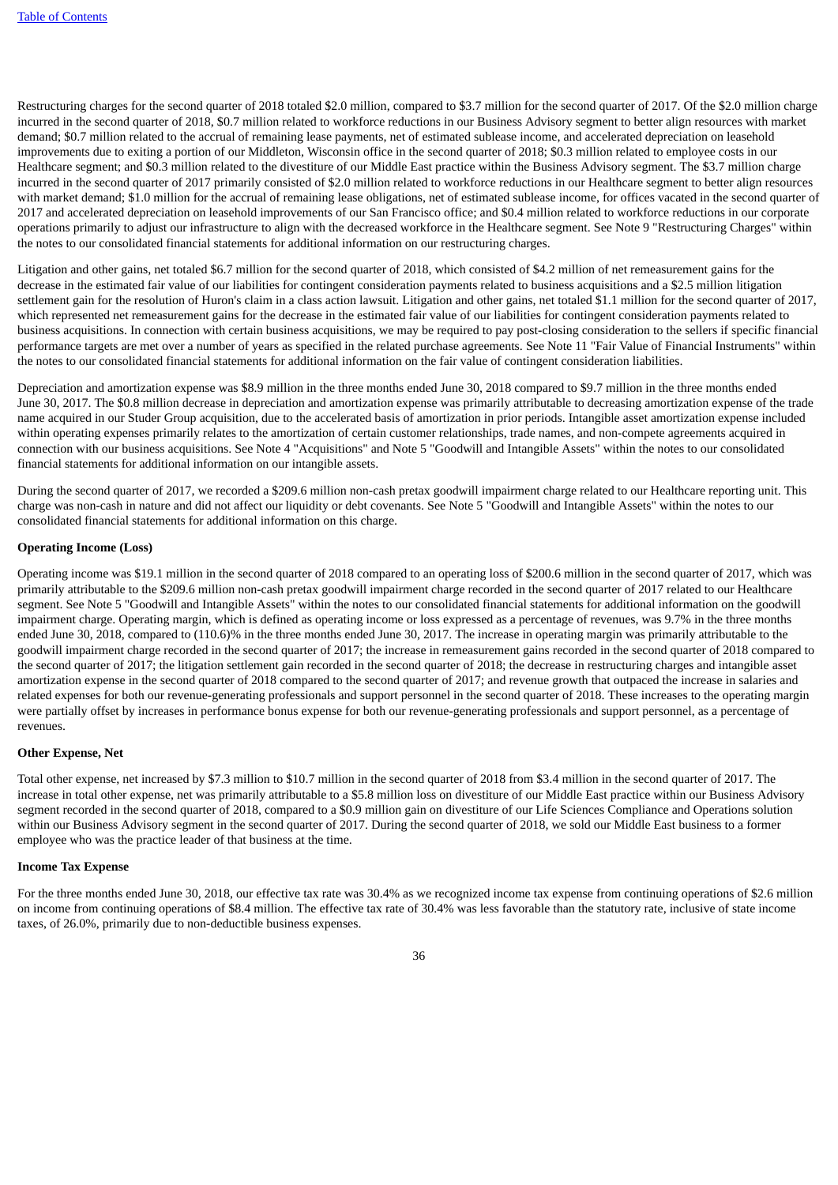Restructuring charges for the second quarter of 2018 totaled \$2.0 million, compared to \$3.7 million for the second quarter of 2017. Of the \$2.0 million charge incurred in the second quarter of 2018, \$0.7 million related to workforce reductions in our Business Advisory segment to better align resources with market demand; \$0.7 million related to the accrual of remaining lease payments, net of estimated sublease income, and accelerated depreciation on leasehold improvements due to exiting a portion of our Middleton, Wisconsin office in the second quarter of 2018; \$0.3 million related to employee costs in our Healthcare segment; and \$0.3 million related to the divestiture of our Middle East practice within the Business Advisory segment. The \$3.7 million charge incurred in the second quarter of 2017 primarily consisted of \$2.0 million related to workforce reductions in our Healthcare segment to better align resources with market demand; \$1.0 million for the accrual of remaining lease obligations, net of estimated sublease income, for offices vacated in the second quarter of 2017 and accelerated depreciation on leasehold improvements of our San Francisco office; and \$0.4 million related to workforce reductions in our corporate operations primarily to adjust our infrastructure to align with the decreased workforce in the Healthcare segment. See Note 9 "Restructuring Charges" within the notes to our consolidated financial statements for additional information on our restructuring charges.

Litigation and other gains, net totaled \$6.7 million for the second quarter of 2018, which consisted of \$4.2 million of net remeasurement gains for the decrease in the estimated fair value of our liabilities for contingent consideration payments related to business acquisitions and a \$2.5 million litigation settlement gain for the resolution of Huron's claim in a class action lawsuit. Litigation and other gains, net totaled \$1.1 million for the second quarter of 2017, which represented net remeasurement gains for the decrease in the estimated fair value of our liabilities for contingent consideration payments related to business acquisitions. In connection with certain business acquisitions, we may be required to pay post-closing consideration to the sellers if specific financial performance targets are met over a number of years as specified in the related purchase agreements. See Note 11 "Fair Value of Financial Instruments" within the notes to our consolidated financial statements for additional information on the fair value of contingent consideration liabilities.

Depreciation and amortization expense was \$8.9 million in the three months ended June 30, 2018 compared to \$9.7 million in the three months ended June 30, 2017. The \$0.8 million decrease in depreciation and amortization expense was primarily attributable to decreasing amortization expense of the trade name acquired in our Studer Group acquisition, due to the accelerated basis of amortization in prior periods. Intangible asset amortization expense included within operating expenses primarily relates to the amortization of certain customer relationships, trade names, and non-compete agreements acquired in connection with our business acquisitions. See Note 4 "Acquisitions" and Note 5 "Goodwill and Intangible Assets" within the notes to our consolidated financial statements for additional information on our intangible assets.

During the second quarter of 2017, we recorded a \$209.6 million non-cash pretax goodwill impairment charge related to our Healthcare reporting unit. This charge was non-cash in nature and did not affect our liquidity or debt covenants. See Note 5 "Goodwill and Intangible Assets" within the notes to our consolidated financial statements for additional information on this charge.

# **Operating Income (Loss)**

Operating income was \$19.1 million in the second quarter of 2018 compared to an operating loss of \$200.6 million in the second quarter of 2017, which was primarily attributable to the \$209.6 million non-cash pretax goodwill impairment charge recorded in the second quarter of 2017 related to our Healthcare segment. See Note 5 "Goodwill and Intangible Assets" within the notes to our consolidated financial statements for additional information on the goodwill impairment charge. Operating margin, which is defined as operating income or loss expressed as a percentage of revenues, was 9.7% in the three months ended June 30, 2018, compared to (110.6)% in the three months ended June 30, 2017. The increase in operating margin was primarily attributable to the goodwill impairment charge recorded in the second quarter of 2017; the increase in remeasurement gains recorded in the second quarter of 2018 compared to the second quarter of 2017; the litigation settlement gain recorded in the second quarter of 2018; the decrease in restructuring charges and intangible asset amortization expense in the second quarter of 2018 compared to the second quarter of 2017; and revenue growth that outpaced the increase in salaries and related expenses for both our revenue-generating professionals and support personnel in the second quarter of 2018. These increases to the operating margin were partially offset by increases in performance bonus expense for both our revenue-generating professionals and support personnel, as a percentage of revenues.

#### **Other Expense, Net**

Total other expense, net increased by \$7.3 million to \$10.7 million in the second quarter of 2018 from \$3.4 million in the second quarter of 2017. The increase in total other expense, net was primarily attributable to a \$5.8 million loss on divestiture of our Middle East practice within our Business Advisory segment recorded in the second quarter of 2018, compared to a \$0.9 million gain on divestiture of our Life Sciences Compliance and Operations solution within our Business Advisory segment in the second quarter of 2017. During the second quarter of 2018, we sold our Middle East business to a former employee who was the practice leader of that business at the time.

#### **Income Tax Expense**

For the three months ended June 30, 2018, our effective tax rate was 30.4% as we recognized income tax expense from continuing operations of \$2.6 million on income from continuing operations of \$8.4 million. The effective tax rate of 30.4% was less favorable than the statutory rate, inclusive of state income taxes, of 26.0%, primarily due to non-deductible business expenses.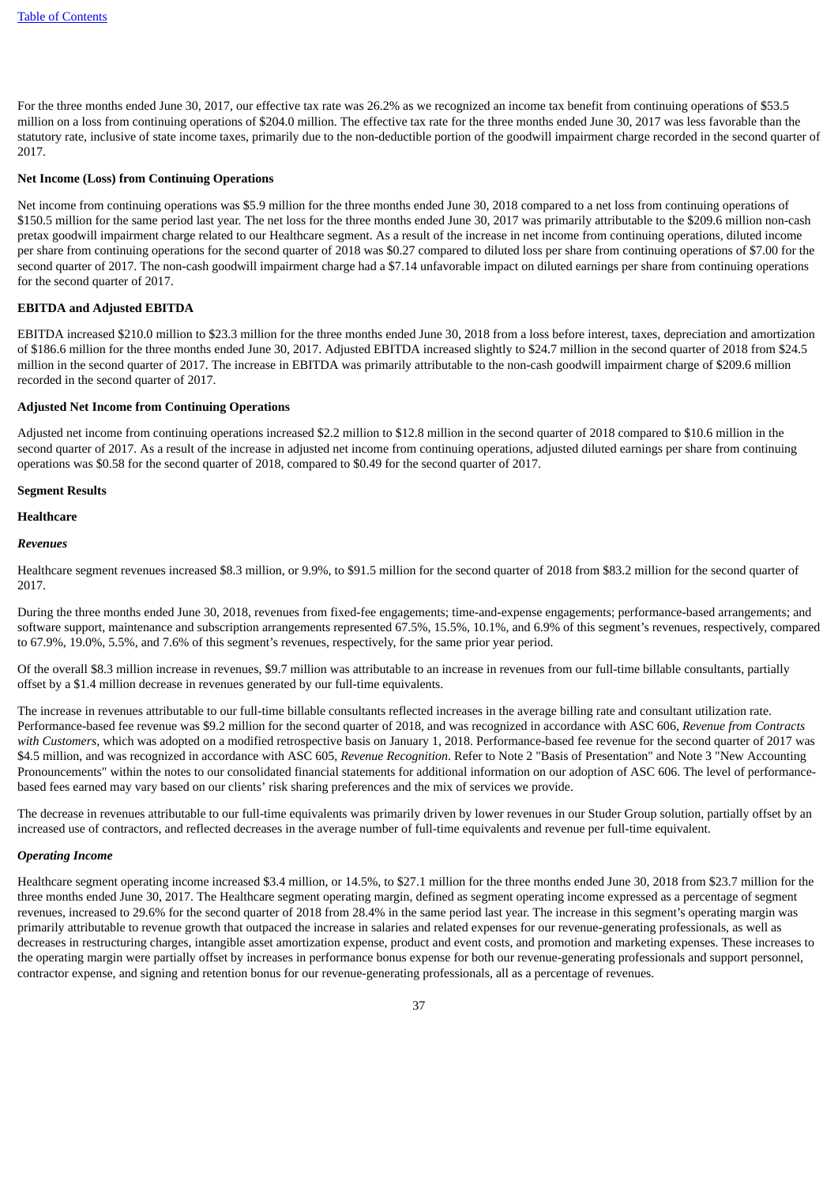For the three months ended June 30, 2017, our effective tax rate was 26.2% as we recognized an income tax benefit from continuing operations of \$53.5 million on a loss from continuing operations of \$204.0 million. The effective tax rate for the three months ended June 30, 2017 was less favorable than the statutory rate, inclusive of state income taxes, primarily due to the non-deductible portion of the goodwill impairment charge recorded in the second quarter of 2017.

#### **Net Income (Loss) from Continuing Operations**

Net income from continuing operations was \$5.9 million for the three months ended June 30, 2018 compared to a net loss from continuing operations of \$150.5 million for the same period last year. The net loss for the three months ended June 30, 2017 was primarily attributable to the \$209.6 million non-cash pretax goodwill impairment charge related to our Healthcare segment. As a result of the increase in net income from continuing operations, diluted income per share from continuing operations for the second quarter of 2018 was \$0.27 compared to diluted loss per share from continuing operations of \$7.00 for the second quarter of 2017. The non-cash goodwill impairment charge had a \$7.14 unfavorable impact on diluted earnings per share from continuing operations for the second quarter of 2017.

#### **EBITDA and Adjusted EBITDA**

EBITDA increased \$210.0 million to \$23.3 million for the three months ended June 30, 2018 from a loss before interest, taxes, depreciation and amortization of \$186.6 million for the three months ended June 30, 2017. Adjusted EBITDA increased slightly to \$24.7 million in the second quarter of 2018 from \$24.5 million in the second quarter of 2017. The increase in EBITDA was primarily attributable to the non-cash goodwill impairment charge of \$209.6 million recorded in the second quarter of 2017.

#### **Adjusted Net Income from Continuing Operations**

Adjusted net income from continuing operations increased \$2.2 million to \$12.8 million in the second quarter of 2018 compared to \$10.6 million in the second quarter of 2017. As a result of the increase in adjusted net income from continuing operations, adjusted diluted earnings per share from continuing operations was \$0.58 for the second quarter of 2018, compared to \$0.49 for the second quarter of 2017.

#### **Segment Results**

#### **Healthcare**

#### *Revenues*

Healthcare segment revenues increased \$8.3 million, or 9.9%, to \$91.5 million for the second quarter of 2018 from \$83.2 million for the second quarter of 2017.

During the three months ended June 30, 2018, revenues from fixed-fee engagements; time-and-expense engagements; performance-based arrangements; and software support, maintenance and subscription arrangements represented 67.5%, 15.5%, 10.1%, and 6.9% of this segment's revenues, respectively, compared to 67.9%, 19.0%, 5.5%, and 7.6% of this segment's revenues, respectively, for the same prior year period.

Of the overall \$8.3 million increase in revenues, \$9.7 million was attributable to an increase in revenues from our full-time billable consultants, partially offset by a \$1.4 million decrease in revenues generated by our full-time equivalents.

The increase in revenues attributable to our full-time billable consultants reflected increases in the average billing rate and consultant utilization rate. Performance-based fee revenue was \$9.2 million for the second quarter of 2018, and was recognized in accordance with ASC 606, *Revenue from Contracts with Customers,* which was adopted on a modified retrospective basis on January 1, 2018. Performance-based fee revenue for the second quarter of 2017 was \$4.5 million, and was recognized in accordance with ASC 605, *Revenue Recognition*. Refer to Note 2 "Basis of Presentation" and Note 3 "New Accounting Pronouncements" within the notes to our consolidated financial statements for additional information on our adoption of ASC 606. The level of performancebased fees earned may vary based on our clients' risk sharing preferences and the mix of services we provide.

The decrease in revenues attributable to our full-time equivalents was primarily driven by lower revenues in our Studer Group solution, partially offset by an increased use of contractors, and reflected decreases in the average number of full-time equivalents and revenue per full-time equivalent.

#### *Operating Income*

Healthcare segment operating income increased \$3.4 million, or 14.5%, to \$27.1 million for the three months ended June 30, 2018 from \$23.7 million for the three months ended June 30, 2017. The Healthcare segment operating margin, defined as segment operating income expressed as a percentage of segment revenues, increased to 29.6% for the second quarter of 2018 from 28.4% in the same period last year. The increase in this segment's operating margin was primarily attributable to revenue growth that outpaced the increase in salaries and related expenses for our revenue-generating professionals, as well as decreases in restructuring charges, intangible asset amortization expense, product and event costs, and promotion and marketing expenses. These increases to the operating margin were partially offset by increases in performance bonus expense for both our revenue-generating professionals and support personnel, contractor expense, and signing and retention bonus for our revenue-generating professionals, all as a percentage of revenues.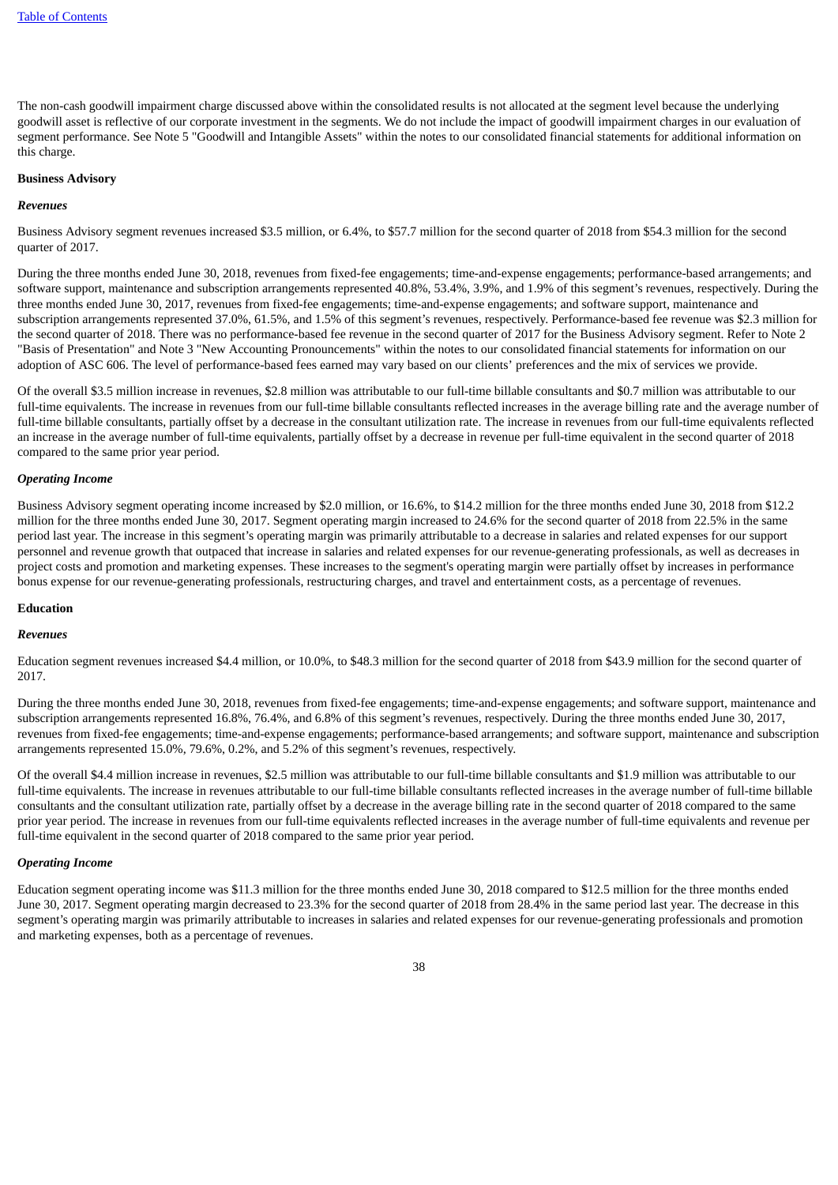The non-cash goodwill impairment charge discussed above within the consolidated results is not allocated at the segment level because the underlying goodwill asset is reflective of our corporate investment in the segments. We do not include the impact of goodwill impairment charges in our evaluation of segment performance. See Note 5 "Goodwill and Intangible Assets" within the notes to our consolidated financial statements for additional information on this charge.

# **Business Advisory**

#### *Revenues*

Business Advisory segment revenues increased \$3.5 million, or 6.4%, to \$57.7 million for the second quarter of 2018 from \$54.3 million for the second quarter of 2017.

During the three months ended June 30, 2018, revenues from fixed-fee engagements; time-and-expense engagements; performance-based arrangements; and software support, maintenance and subscription arrangements represented 40.8%, 53.4%, 3.9%, and 1.9% of this segment's revenues, respectively. During the three months ended June 30, 2017, revenues from fixed-fee engagements; time-and-expense engagements; and software support, maintenance and subscription arrangements represented 37.0%, 61.5%, and 1.5% of this segment's revenues, respectively. Performance-based fee revenue was \$2.3 million for the second quarter of 2018. There was no performance-based fee revenue in the second quarter of 2017 for the Business Advisory segment. Refer to Note 2 "Basis of Presentation" and Note 3 "New Accounting Pronouncements" within the notes to our consolidated financial statements for information on our adoption of ASC 606. The level of performance-based fees earned may vary based on our clients' preferences and the mix of services we provide.

Of the overall \$3.5 million increase in revenues, \$2.8 million was attributable to our full-time billable consultants and \$0.7 million was attributable to our full-time equivalents. The increase in revenues from our full-time billable consultants reflected increases in the average billing rate and the average number of full-time billable consultants, partially offset by a decrease in the consultant utilization rate. The increase in revenues from our full-time equivalents reflected an increase in the average number of full-time equivalents, partially offset by a decrease in revenue per full-time equivalent in the second quarter of 2018 compared to the same prior year period.

#### *Operating Income*

Business Advisory segment operating income increased by \$2.0 million, or 16.6%, to \$14.2 million for the three months ended June 30, 2018 from \$12.2 million for the three months ended June 30, 2017. Segment operating margin increased to 24.6% for the second quarter of 2018 from 22.5% in the same period last year. The increase in this segment's operating margin was primarily attributable to a decrease in salaries and related expenses for our support personnel and revenue growth that outpaced that increase in salaries and related expenses for our revenue-generating professionals, as well as decreases in project costs and promotion and marketing expenses. These increases to the segment's operating margin were partially offset by increases in performance bonus expense for our revenue-generating professionals, restructuring charges, and travel and entertainment costs, as a percentage of revenues.

# **Education**

# *Revenues*

Education segment revenues increased \$4.4 million, or 10.0%, to \$48.3 million for the second quarter of 2018 from \$43.9 million for the second quarter of 2017.

During the three months ended June 30, 2018, revenues from fixed-fee engagements; time-and-expense engagements; and software support, maintenance and subscription arrangements represented 16.8%, 76.4%, and 6.8% of this segment's revenues, respectively. During the three months ended June 30, 2017, revenues from fixed-fee engagements; time-and-expense engagements; performance-based arrangements; and software support, maintenance and subscription arrangements represented 15.0%, 79.6%, 0.2%, and 5.2% of this segment's revenues, respectively.

Of the overall \$4.4 million increase in revenues, \$2.5 million was attributable to our full-time billable consultants and \$1.9 million was attributable to our full-time equivalents. The increase in revenues attributable to our full-time billable consultants reflected increases in the average number of full-time billable consultants and the consultant utilization rate, partially offset by a decrease in the average billing rate in the second quarter of 2018 compared to the same prior year period. The increase in revenues from our full-time equivalents reflected increases in the average number of full-time equivalents and revenue per full-time equivalent in the second quarter of 2018 compared to the same prior year period.

#### *Operating Income*

Education segment operating income was \$11.3 million for the three months ended June 30, 2018 compared to \$12.5 million for the three months ended June 30, 2017. Segment operating margin decreased to 23.3% for the second quarter of 2018 from 28.4% in the same period last year. The decrease in this segment's operating margin was primarily attributable to increases in salaries and related expenses for our revenue-generating professionals and promotion and marketing expenses, both as a percentage of revenues.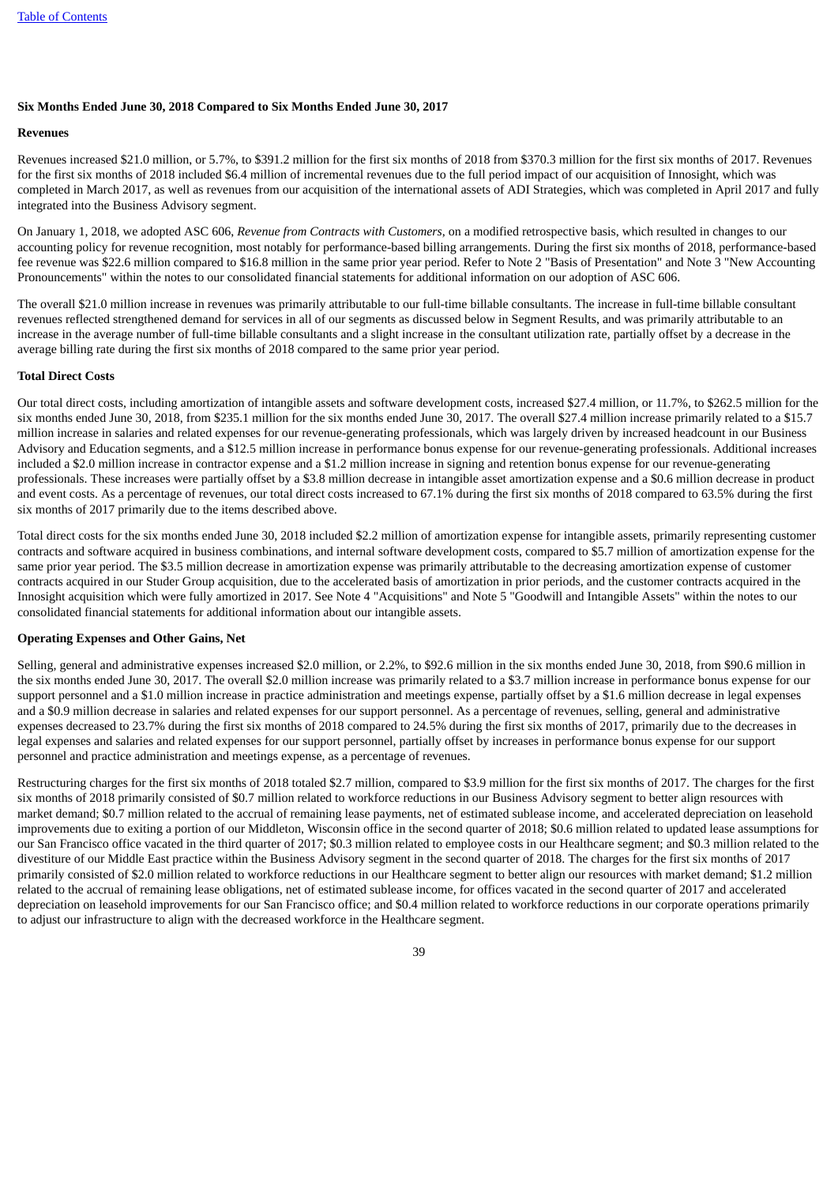#### **Six Months Ended June 30, 2018 Compared to Six Months Ended June 30, 2017**

#### **Revenues**

Revenues increased \$21.0 million, or 5.7%, to \$391.2 million for the first six months of 2018 from \$370.3 million for the first six months of 2017. Revenues for the first six months of 2018 included \$6.4 million of incremental revenues due to the full period impact of our acquisition of Innosight, which was completed in March 2017, as well as revenues from our acquisition of the international assets of ADI Strategies, which was completed in April 2017 and fully integrated into the Business Advisory segment.

On January 1, 2018, we adopted ASC 606, *Revenue from Contracts with Customers*, on a modified retrospective basis, which resulted in changes to our accounting policy for revenue recognition, most notably for performance-based billing arrangements. During the first six months of 2018, performance-based fee revenue was \$22.6 million compared to \$16.8 million in the same prior year period. Refer to Note 2 "Basis of Presentation" and Note 3 "New Accounting Pronouncements" within the notes to our consolidated financial statements for additional information on our adoption of ASC 606.

The overall \$21.0 million increase in revenues was primarily attributable to our full-time billable consultants. The increase in full-time billable consultant revenues reflected strengthened demand for services in all of our segments as discussed below in Segment Results, and was primarily attributable to an increase in the average number of full-time billable consultants and a slight increase in the consultant utilization rate, partially offset by a decrease in the average billing rate during the first six months of 2018 compared to the same prior year period.

# **Total Direct Costs**

Our total direct costs, including amortization of intangible assets and software development costs, increased \$27.4 million, or 11.7%, to \$262.5 million for the six months ended June 30, 2018, from \$235.1 million for the six months ended June 30, 2017. The overall \$27.4 million increase primarily related to a \$15.7 million increase in salaries and related expenses for our revenue-generating professionals, which was largely driven by increased headcount in our Business Advisory and Education segments, and a \$12.5 million increase in performance bonus expense for our revenue-generating professionals. Additional increases included a \$2.0 million increase in contractor expense and a \$1.2 million increase in signing and retention bonus expense for our revenue-generating professionals. These increases were partially offset by a \$3.8 million decrease in intangible asset amortization expense and a \$0.6 million decrease in product and event costs. As a percentage of revenues, our total direct costs increased to 67.1% during the first six months of 2018 compared to 63.5% during the first six months of 2017 primarily due to the items described above.

Total direct costs for the six months ended June 30, 2018 included \$2.2 million of amortization expense for intangible assets, primarily representing customer contracts and software acquired in business combinations, and internal software development costs, compared to \$5.7 million of amortization expense for the same prior year period. The \$3.5 million decrease in amortization expense was primarily attributable to the decreasing amortization expense of customer contracts acquired in our Studer Group acquisition, due to the accelerated basis of amortization in prior periods, and the customer contracts acquired in the Innosight acquisition which were fully amortized in 2017. See Note 4 "Acquisitions" and Note 5 "Goodwill and Intangible Assets" within the notes to our consolidated financial statements for additional information about our intangible assets.

# **Operating Expenses and Other Gains, Net**

Selling, general and administrative expenses increased \$2.0 million, or 2.2%, to \$92.6 million in the six months ended June 30, 2018, from \$90.6 million in the six months ended June 30, 2017. The overall \$2.0 million increase was primarily related to a \$3.7 million increase in performance bonus expense for our support personnel and a \$1.0 million increase in practice administration and meetings expense, partially offset by a \$1.6 million decrease in legal expenses and a \$0.9 million decrease in salaries and related expenses for our support personnel. As a percentage of revenues, selling, general and administrative expenses decreased to 23.7% during the first six months of 2018 compared to 24.5% during the first six months of 2017, primarily due to the decreases in legal expenses and salaries and related expenses for our support personnel, partially offset by increases in performance bonus expense for our support personnel and practice administration and meetings expense, as a percentage of revenues.

Restructuring charges for the first six months of 2018 totaled \$2.7 million, compared to \$3.9 million for the first six months of 2017. The charges for the first six months of 2018 primarily consisted of \$0.7 million related to workforce reductions in our Business Advisory segment to better align resources with market demand; \$0.7 million related to the accrual of remaining lease payments, net of estimated sublease income, and accelerated depreciation on leasehold improvements due to exiting a portion of our Middleton, Wisconsin office in the second quarter of 2018; \$0.6 million related to updated lease assumptions for our San Francisco office vacated in the third quarter of 2017; \$0.3 million related to employee costs in our Healthcare segment; and \$0.3 million related to the divestiture of our Middle East practice within the Business Advisory segment in the second quarter of 2018. The charges for the first six months of 2017 primarily consisted of \$2.0 million related to workforce reductions in our Healthcare segment to better align our resources with market demand; \$1.2 million related to the accrual of remaining lease obligations, net of estimated sublease income, for offices vacated in the second quarter of 2017 and accelerated depreciation on leasehold improvements for our San Francisco office; and \$0.4 million related to workforce reductions in our corporate operations primarily to adjust our infrastructure to align with the decreased workforce in the Healthcare segment.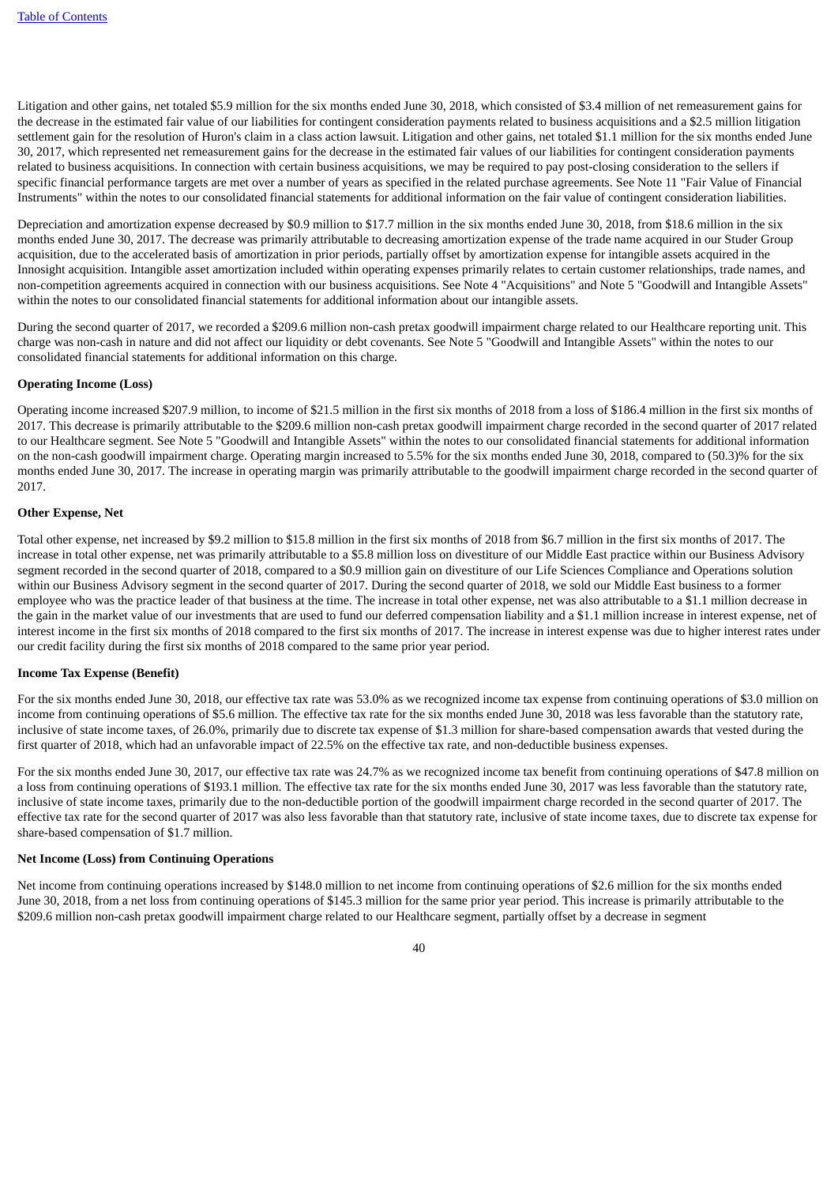Litigation and other gains, net totaled \$5.9 million for the six months ended June 30, 2018, which consisted of \$3.4 million of net remeasurement gains for the decrease in the estimated fair value of our liabilities for contingent consideration payments related to business acquisitions and a \$2.5 million litigation settlement gain for the resolution of Huron's claim in a class action lawsuit. Litigation and other gains, net totaled \$1.1 million for the six months ended June 30, 2017, which represented net remeasurement gains for the decrease in the estimated fair values of our liabilities for contingent consideration payments related to business acquisitions. In connection with certain business acquisitions, we may be required to pay post-closing consideration to the sellers if specific financial performance targets are met over a number of years as specified in the related purchase agreements. See Note 11 "Fair Value of Financial Instruments" within the notes to our consolidated financial statements for additional information on the fair value of contingent consideration liabilities.

Depreciation and amortization expense decreased by \$0.9 million to \$17.7 million in the six months ended June 30, 2018, from \$18.6 million in the six months ended June 30, 2017. The decrease was primarily attributable to decreasing amortization expense of the trade name acquired in our Studer Group acquisition, due to the accelerated basis of amortization in prior periods, partially offset by amortization expense for intangible assets acquired in the Innosight acquisition. Intangible asset amortization included within operating expenses primarily relates to certain customer relationships, trade names, and non-competition agreements acquired in connection with our business acquisitions. See Note 4 "Acquisitions" and Note 5 "Goodwill and Intangible Assets" within the notes to our consolidated financial statements for additional information about our intangible assets.

During the second quarter of 2017, we recorded a \$209.6 million non-cash pretax goodwill impairment charge related to our Healthcare reporting unit. This charge was non-cash in nature and did not affect our liquidity or debt covenants. See Note 5 "Goodwill and Intangible Assets" within the notes to our consolidated financial statements for additional information on this charge.

# **Operating Income (Loss)**

Operating income increased \$207.9 million, to income of \$21.5 million in the first six months of 2018 from a loss of \$186.4 million in the first six months of 2017. This decrease is primarily attributable to the \$209.6 million non-cash pretax goodwill impairment charge recorded in the second quarter of 2017 related to our Healthcare segment. See Note 5 "Goodwill and Intangible Assets" within the notes to our consolidated financial statements for additional information on the non-cash goodwill impairment charge. Operating margin increased to 5.5% for the six months ended June 30, 2018, compared to (50.3)% for the six months ended June 30, 2017. The increase in operating margin was primarily attributable to the goodwill impairment charge recorded in the second quarter of 2017.

#### **Other Expense, Net**

Total other expense, net increased by \$9.2 million to \$15.8 million in the first six months of 2018 from \$6.7 million in the first six months of 2017. The increase in total other expense, net was primarily attributable to a \$5.8 million loss on divestiture of our Middle East practice within our Business Advisory segment recorded in the second quarter of 2018, compared to a \$0.9 million gain on divestiture of our Life Sciences Compliance and Operations solution within our Business Advisory segment in the second quarter of 2017. During the second quarter of 2018, we sold our Middle East business to a former employee who was the practice leader of that business at the time. The increase in total other expense, net was also attributable to a \$1.1 million decrease in the gain in the market value of our investments that are used to fund our deferred compensation liability and a \$1.1 million increase in interest expense, net of interest income in the first six months of 2018 compared to the first six months of 2017. The increase in interest expense was due to higher interest rates under our credit facility during the first six months of 2018 compared to the same prior year period.

# **Income Tax Expense (Benefit)**

For the six months ended June 30, 2018, our effective tax rate was 53.0% as we recognized income tax expense from continuing operations of \$3.0 million on income from continuing operations of \$5.6 million. The effective tax rate for the six months ended June 30, 2018 was less favorable than the statutory rate, inclusive of state income taxes, of 26.0%, primarily due to discrete tax expense of \$1.3 million for share-based compensation awards that vested during the first quarter of 2018, which had an unfavorable impact of 22.5% on the effective tax rate, and non-deductible business expenses.

For the six months ended June 30, 2017, our effective tax rate was 24.7% as we recognized income tax benefit from continuing operations of \$47.8 million on a loss from continuing operations of \$193.1 million. The effective tax rate for the six months ended June 30, 2017 was less favorable than the statutory rate, inclusive of state income taxes, primarily due to the non-deductible portion of the goodwill impairment charge recorded in the second quarter of 2017. The effective tax rate for the second quarter of 2017 was also less favorable than that statutory rate, inclusive of state income taxes, due to discrete tax expense for share-based compensation of \$1.7 million.

# **Net Income (Loss) from Continuing Operations**

Net income from continuing operations increased by \$148.0 million to net income from continuing operations of \$2.6 million for the six months ended June 30, 2018, from a net loss from continuing operations of \$145.3 million for the same prior year period. This increase is primarily attributable to the \$209.6 million non-cash pretax goodwill impairment charge related to our Healthcare segment, partially offset by a decrease in segment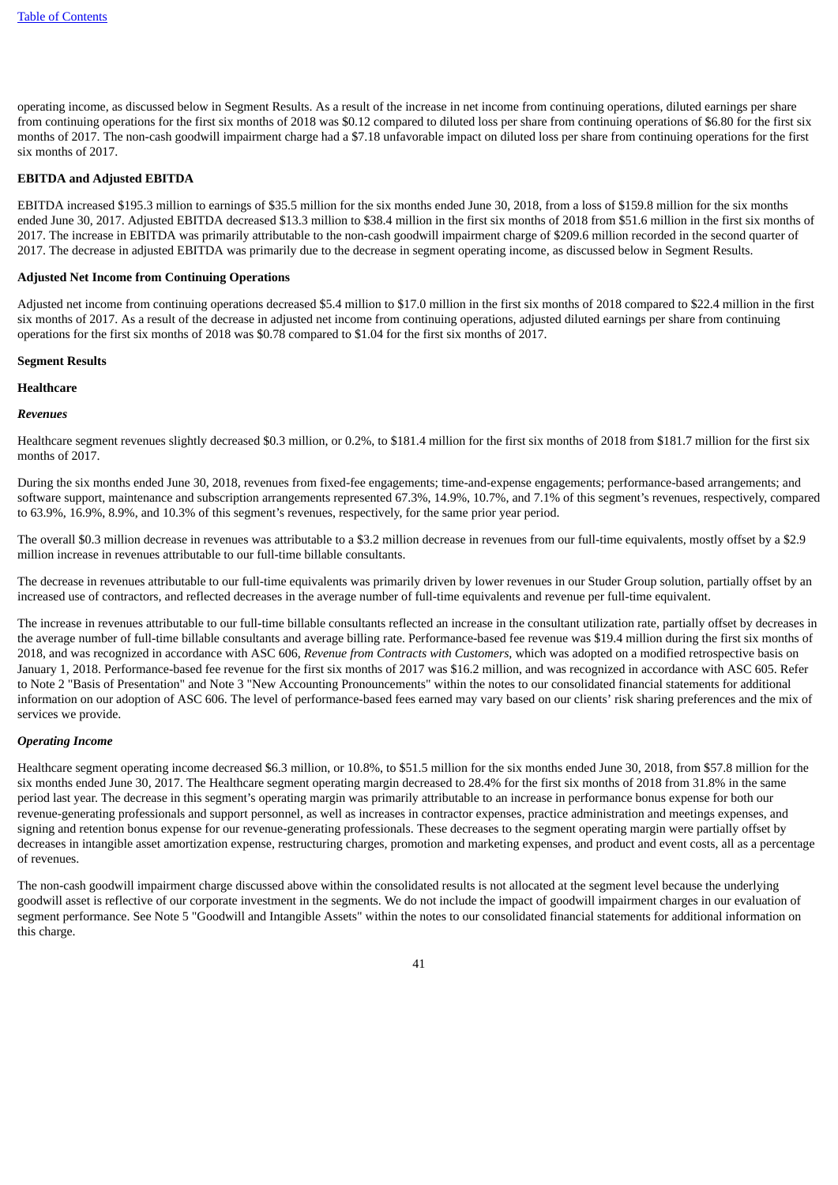operating income, as discussed below in Segment Results. As a result of the increase in net income from continuing operations, diluted earnings per share from continuing operations for the first six months of 2018 was \$0.12 compared to diluted loss per share from continuing operations of \$6.80 for the first six months of 2017. The non-cash goodwill impairment charge had a \$7.18 unfavorable impact on diluted loss per share from continuing operations for the first six months of 2017.

# **EBITDA and Adjusted EBITDA**

EBITDA increased \$195.3 million to earnings of \$35.5 million for the six months ended June 30, 2018, from a loss of \$159.8 million for the six months ended June 30, 2017. Adjusted EBITDA decreased \$13.3 million to \$38.4 million in the first six months of 2018 from \$51.6 million in the first six months of 2017. The increase in EBITDA was primarily attributable to the non-cash goodwill impairment charge of \$209.6 million recorded in the second quarter of 2017. The decrease in adjusted EBITDA was primarily due to the decrease in segment operating income, as discussed below in Segment Results.

#### **Adjusted Net Income from Continuing Operations**

Adjusted net income from continuing operations decreased \$5.4 million to \$17.0 million in the first six months of 2018 compared to \$22.4 million in the first six months of 2017. As a result of the decrease in adjusted net income from continuing operations, adjusted diluted earnings per share from continuing operations for the first six months of 2018 was \$0.78 compared to \$1.04 for the first six months of 2017.

#### **Segment Results**

#### **Healthcare**

#### *Revenues*

Healthcare segment revenues slightly decreased \$0.3 million, or 0.2%, to \$181.4 million for the first six months of 2018 from \$181.7 million for the first six months of 2017.

During the six months ended June 30, 2018, revenues from fixed-fee engagements; time-and-expense engagements; performance-based arrangements; and software support, maintenance and subscription arrangements represented 67.3%, 14.9%, 10.7%, and 7.1% of this segment's revenues, respectively, compared to 63.9%, 16.9%, 8.9%, and 10.3% of this segment's revenues, respectively, for the same prior year period.

The overall \$0.3 million decrease in revenues was attributable to a \$3.2 million decrease in revenues from our full-time equivalents, mostly offset by a \$2.9 million increase in revenues attributable to our full-time billable consultants.

The decrease in revenues attributable to our full-time equivalents was primarily driven by lower revenues in our Studer Group solution, partially offset by an increased use of contractors, and reflected decreases in the average number of full-time equivalents and revenue per full-time equivalent.

The increase in revenues attributable to our full-time billable consultants reflected an increase in the consultant utilization rate, partially offset by decreases in the average number of full-time billable consultants and average billing rate. Performance-based fee revenue was \$19.4 million during the first six months of 2018, and was recognized in accordance with ASC 606, *Revenue from Contracts with Customers,* which was adopted on a modified retrospective basis on January 1, 2018. Performance-based fee revenue for the first six months of 2017 was \$16.2 million, and was recognized in accordance with ASC 605. Refer to Note 2 "Basis of Presentation" and Note 3 "New Accounting Pronouncements" within the notes to our consolidated financial statements for additional information on our adoption of ASC 606. The level of performance-based fees earned may vary based on our clients' risk sharing preferences and the mix of services we provide.

#### *Operating Income*

Healthcare segment operating income decreased \$6.3 million, or 10.8%, to \$51.5 million for the six months ended June 30, 2018, from \$57.8 million for the six months ended June 30, 2017. The Healthcare segment operating margin decreased to 28.4% for the first six months of 2018 from 31.8% in the same period last year. The decrease in this segment's operating margin was primarily attributable to an increase in performance bonus expense for both our revenue-generating professionals and support personnel, as well as increases in contractor expenses, practice administration and meetings expenses, and signing and retention bonus expense for our revenue-generating professionals. These decreases to the segment operating margin were partially offset by decreases in intangible asset amortization expense, restructuring charges, promotion and marketing expenses, and product and event costs, all as a percentage of revenues.

The non-cash goodwill impairment charge discussed above within the consolidated results is not allocated at the segment level because the underlying goodwill asset is reflective of our corporate investment in the segments. We do not include the impact of goodwill impairment charges in our evaluation of segment performance. See Note 5 "Goodwill and Intangible Assets" within the notes to our consolidated financial statements for additional information on this charge.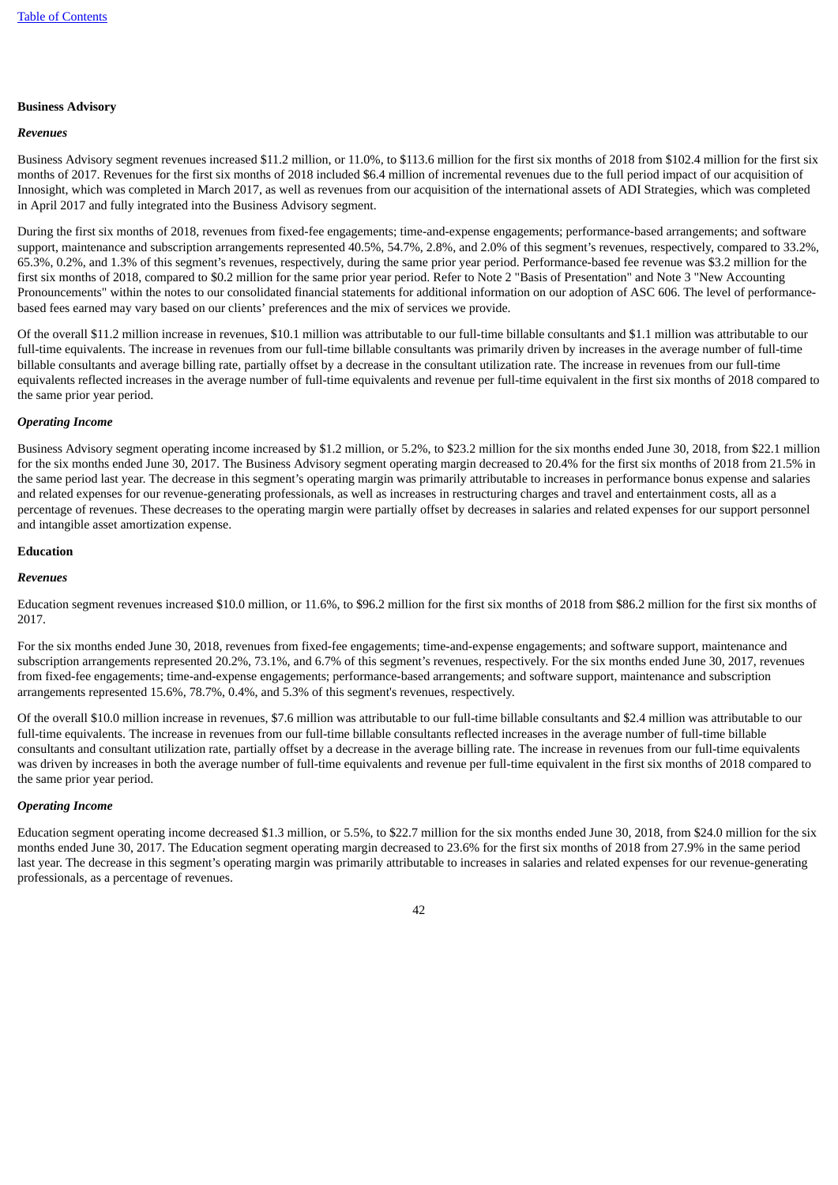#### **Business Advisory**

#### *Revenues*

Business Advisory segment revenues increased \$11.2 million, or 11.0%, to \$113.6 million for the first six months of 2018 from \$102.4 million for the first six months of 2017. Revenues for the first six months of 2018 included \$6.4 million of incremental revenues due to the full period impact of our acquisition of Innosight, which was completed in March 2017, as well as revenues from our acquisition of the international assets of ADI Strategies, which was completed in April 2017 and fully integrated into the Business Advisory segment.

During the first six months of 2018, revenues from fixed-fee engagements; time-and-expense engagements; performance-based arrangements; and software support, maintenance and subscription arrangements represented 40.5%, 54.7%, 2.8%, and 2.0% of this segment's revenues, respectively, compared to 33.2%, 65.3%, 0.2%, and 1.3% of this segment's revenues, respectively, during the same prior year period. Performance-based fee revenue was \$3.2 million for the first six months of 2018, compared to \$0.2 million for the same prior year period. Refer to Note 2 "Basis of Presentation" and Note 3 "New Accounting Pronouncements" within the notes to our consolidated financial statements for additional information on our adoption of ASC 606. The level of performancebased fees earned may vary based on our clients' preferences and the mix of services we provide.

Of the overall \$11.2 million increase in revenues, \$10.1 million was attributable to our full-time billable consultants and \$1.1 million was attributable to our full-time equivalents. The increase in revenues from our full-time billable consultants was primarily driven by increases in the average number of full-time billable consultants and average billing rate, partially offset by a decrease in the consultant utilization rate. The increase in revenues from our full-time equivalents reflected increases in the average number of full-time equivalents and revenue per full-time equivalent in the first six months of 2018 compared to the same prior year period.

#### *Operating Income*

Business Advisory segment operating income increased by \$1.2 million, or 5.2%, to \$23.2 million for the six months ended June 30, 2018, from \$22.1 million for the six months ended June 30, 2017. The Business Advisory segment operating margin decreased to 20.4% for the first six months of 2018 from 21.5% in the same period last year. The decrease in this segment's operating margin was primarily attributable to increases in performance bonus expense and salaries and related expenses for our revenue-generating professionals, as well as increases in restructuring charges and travel and entertainment costs, all as a percentage of revenues. These decreases to the operating margin were partially offset by decreases in salaries and related expenses for our support personnel and intangible asset amortization expense.

# **Education**

# *Revenues*

Education segment revenues increased \$10.0 million, or 11.6%, to \$96.2 million for the first six months of 2018 from \$86.2 million for the first six months of 2017.

For the six months ended June 30, 2018, revenues from fixed-fee engagements; time-and-expense engagements; and software support, maintenance and subscription arrangements represented 20.2%, 73.1%, and 6.7% of this segment's revenues, respectively. For the six months ended June 30, 2017, revenues from fixed-fee engagements; time-and-expense engagements; performance-based arrangements; and software support, maintenance and subscription arrangements represented 15.6%, 78.7%, 0.4%, and 5.3% of this segment's revenues, respectively.

Of the overall \$10.0 million increase in revenues, \$7.6 million was attributable to our full-time billable consultants and \$2.4 million was attributable to our full-time equivalents. The increase in revenues from our full-time billable consultants reflected increases in the average number of full-time billable consultants and consultant utilization rate, partially offset by a decrease in the average billing rate. The increase in revenues from our full-time equivalents was driven by increases in both the average number of full-time equivalents and revenue per full-time equivalent in the first six months of 2018 compared to the same prior year period.

#### *Operating Income*

Education segment operating income decreased \$1.3 million, or 5.5%, to \$22.7 million for the six months ended June 30, 2018, from \$24.0 million for the six months ended June 30, 2017. The Education segment operating margin decreased to 23.6% for the first six months of 2018 from 27.9% in the same period last year. The decrease in this segment's operating margin was primarily attributable to increases in salaries and related expenses for our revenue-generating professionals, as a percentage of revenues.

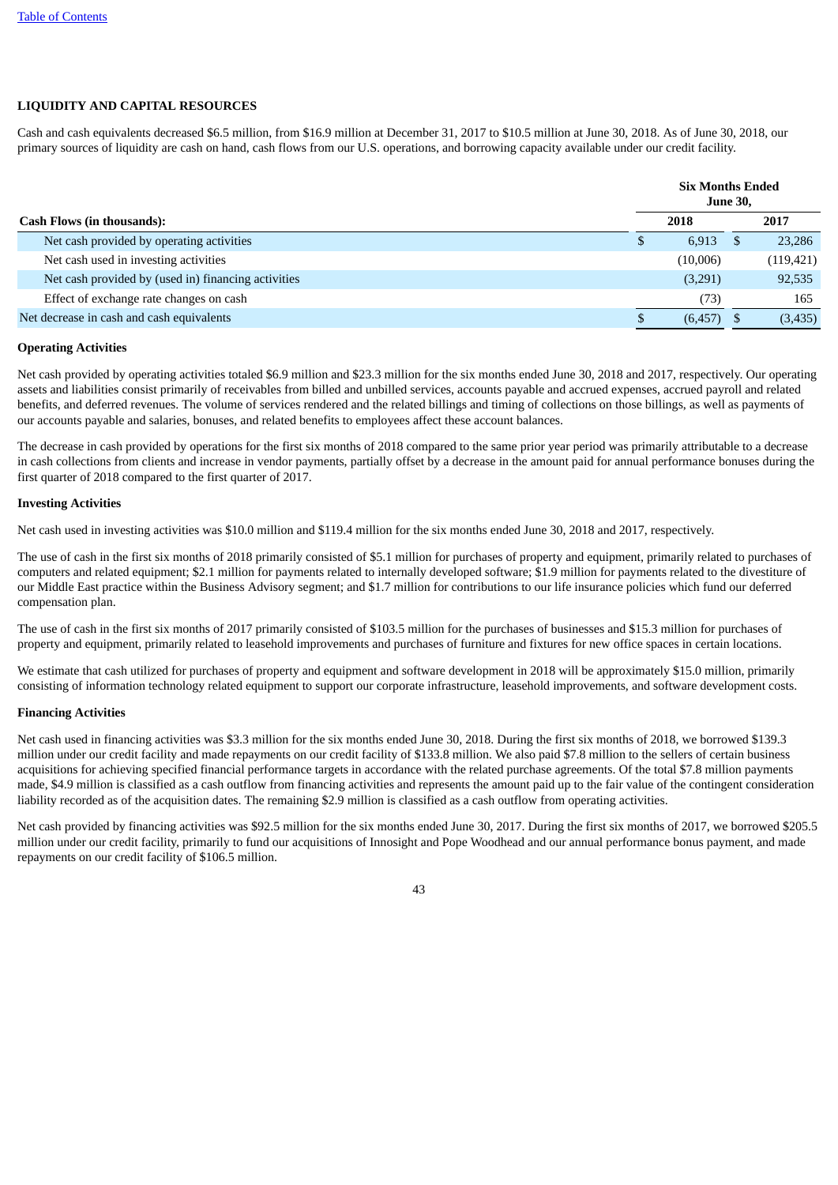# **LIQUIDITY AND CAPITAL RESOURCES**

Cash and cash equivalents decreased \$6.5 million, from \$16.9 million at December 31, 2017 to \$10.5 million at June 30, 2018. As of June 30, 2018, our primary sources of liquidity are cash on hand, cash flows from our U.S. operations, and borrowing capacity available under our credit facility.

|                                                     | <b>Six Months Ended</b><br><b>June 30,</b> |          |  |            |  |
|-----------------------------------------------------|--------------------------------------------|----------|--|------------|--|
| <b>Cash Flows (in thousands):</b>                   |                                            | 2018     |  | 2017       |  |
| Net cash provided by operating activities           | D                                          | 6,913    |  | 23,286     |  |
| Net cash used in investing activities               |                                            | (10,006) |  | (119, 421) |  |
| Net cash provided by (used in) financing activities |                                            | (3,291)  |  | 92,535     |  |
| Effect of exchange rate changes on cash             |                                            | (73)     |  | 165        |  |
| Net decrease in cash and cash equivalents           |                                            | (6, 457) |  | (3,435)    |  |

#### **Operating Activities**

Net cash provided by operating activities totaled \$6.9 million and \$23.3 million for the six months ended June 30, 2018 and 2017, respectively. Our operating assets and liabilities consist primarily of receivables from billed and unbilled services, accounts payable and accrued expenses, accrued payroll and related benefits, and deferred revenues. The volume of services rendered and the related billings and timing of collections on those billings, as well as payments of our accounts payable and salaries, bonuses, and related benefits to employees affect these account balances.

The decrease in cash provided by operations for the first six months of 2018 compared to the same prior year period was primarily attributable to a decrease in cash collections from clients and increase in vendor payments, partially offset by a decrease in the amount paid for annual performance bonuses during the first quarter of 2018 compared to the first quarter of 2017.

#### **Investing Activities**

Net cash used in investing activities was \$10.0 million and \$119.4 million for the six months ended June 30, 2018 and 2017, respectively.

The use of cash in the first six months of 2018 primarily consisted of \$5.1 million for purchases of property and equipment, primarily related to purchases of computers and related equipment; \$2.1 million for payments related to internally developed software; \$1.9 million for payments related to the divestiture of our Middle East practice within the Business Advisory segment; and \$1.7 million for contributions to our life insurance policies which fund our deferred compensation plan.

The use of cash in the first six months of 2017 primarily consisted of \$103.5 million for the purchases of businesses and \$15.3 million for purchases of property and equipment, primarily related to leasehold improvements and purchases of furniture and fixtures for new office spaces in certain locations.

We estimate that cash utilized for purchases of property and equipment and software development in 2018 will be approximately \$15.0 million, primarily consisting of information technology related equipment to support our corporate infrastructure, leasehold improvements, and software development costs.

#### **Financing Activities**

Net cash used in financing activities was \$3.3 million for the six months ended June 30, 2018. During the first six months of 2018, we borrowed \$139.3 million under our credit facility and made repayments on our credit facility of \$133.8 million. We also paid \$7.8 million to the sellers of certain business acquisitions for achieving specified financial performance targets in accordance with the related purchase agreements. Of the total \$7.8 million payments made, \$4.9 million is classified as a cash outflow from financing activities and represents the amount paid up to the fair value of the contingent consideration liability recorded as of the acquisition dates. The remaining \$2.9 million is classified as a cash outflow from operating activities.

Net cash provided by financing activities was \$92.5 million for the six months ended June 30, 2017. During the first six months of 2017, we borrowed \$205.5 million under our credit facility, primarily to fund our acquisitions of Innosight and Pope Woodhead and our annual performance bonus payment, and made repayments on our credit facility of \$106.5 million.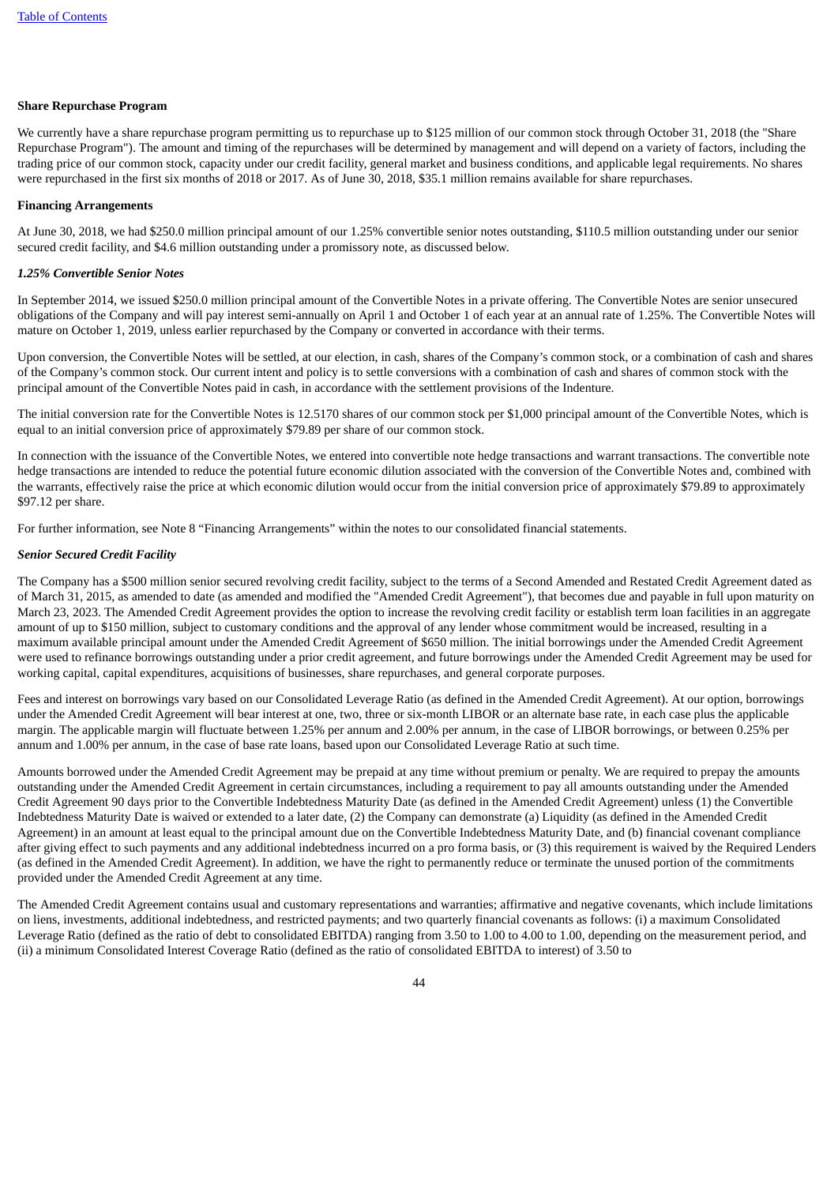#### **Share Repurchase Program**

We currently have a share repurchase program permitting us to repurchase up to \$125 million of our common stock through October 31, 2018 (the "Share Repurchase Program"). The amount and timing of the repurchases will be determined by management and will depend on a variety of factors, including the trading price of our common stock, capacity under our credit facility, general market and business conditions, and applicable legal requirements. No shares were repurchased in the first six months of 2018 or 2017. As of June 30, 2018, \$35.1 million remains available for share repurchases.

#### **Financing Arrangements**

At June 30, 2018, we had \$250.0 million principal amount of our 1.25% convertible senior notes outstanding, \$110.5 million outstanding under our senior secured credit facility, and \$4.6 million outstanding under a promissory note, as discussed below.

#### *1.25% Convertible Senior Notes*

In September 2014, we issued \$250.0 million principal amount of the Convertible Notes in a private offering. The Convertible Notes are senior unsecured obligations of the Company and will pay interest semi-annually on April 1 and October 1 of each year at an annual rate of 1.25%. The Convertible Notes will mature on October 1, 2019, unless earlier repurchased by the Company or converted in accordance with their terms.

Upon conversion, the Convertible Notes will be settled, at our election, in cash, shares of the Company's common stock, or a combination of cash and shares of the Company's common stock. Our current intent and policy is to settle conversions with a combination of cash and shares of common stock with the principal amount of the Convertible Notes paid in cash, in accordance with the settlement provisions of the Indenture.

The initial conversion rate for the Convertible Notes is 12.5170 shares of our common stock per \$1,000 principal amount of the Convertible Notes, which is equal to an initial conversion price of approximately \$79.89 per share of our common stock.

In connection with the issuance of the Convertible Notes, we entered into convertible note hedge transactions and warrant transactions. The convertible note hedge transactions are intended to reduce the potential future economic dilution associated with the conversion of the Convertible Notes and, combined with the warrants, effectively raise the price at which economic dilution would occur from the initial conversion price of approximately \$79.89 to approximately \$97.12 per share.

For further information, see Note 8 "Financing Arrangements" within the notes to our consolidated financial statements.

#### *Senior Secured Credit Facility*

The Company has a \$500 million senior secured revolving credit facility, subject to the terms of a Second Amended and Restated Credit Agreement dated as of March 31, 2015, as amended to date (as amended and modified the "Amended Credit Agreement"), that becomes due and payable in full upon maturity on March 23, 2023. The Amended Credit Agreement provides the option to increase the revolving credit facility or establish term loan facilities in an aggregate amount of up to \$150 million, subject to customary conditions and the approval of any lender whose commitment would be increased, resulting in a maximum available principal amount under the Amended Credit Agreement of \$650 million. The initial borrowings under the Amended Credit Agreement were used to refinance borrowings outstanding under a prior credit agreement, and future borrowings under the Amended Credit Agreement may be used for working capital, capital expenditures, acquisitions of businesses, share repurchases, and general corporate purposes.

Fees and interest on borrowings vary based on our Consolidated Leverage Ratio (as defined in the Amended Credit Agreement). At our option, borrowings under the Amended Credit Agreement will bear interest at one, two, three or six-month LIBOR or an alternate base rate, in each case plus the applicable margin. The applicable margin will fluctuate between 1.25% per annum and 2.00% per annum, in the case of LIBOR borrowings, or between 0.25% per annum and 1.00% per annum, in the case of base rate loans, based upon our Consolidated Leverage Ratio at such time.

Amounts borrowed under the Amended Credit Agreement may be prepaid at any time without premium or penalty. We are required to prepay the amounts outstanding under the Amended Credit Agreement in certain circumstances, including a requirement to pay all amounts outstanding under the Amended Credit Agreement 90 days prior to the Convertible Indebtedness Maturity Date (as defined in the Amended Credit Agreement) unless (1) the Convertible Indebtedness Maturity Date is waived or extended to a later date, (2) the Company can demonstrate (a) Liquidity (as defined in the Amended Credit Agreement) in an amount at least equal to the principal amount due on the Convertible Indebtedness Maturity Date, and (b) financial covenant compliance after giving effect to such payments and any additional indebtedness incurred on a pro forma basis, or (3) this requirement is waived by the Required Lenders (as defined in the Amended Credit Agreement). In addition, we have the right to permanently reduce or terminate the unused portion of the commitments provided under the Amended Credit Agreement at any time.

The Amended Credit Agreement contains usual and customary representations and warranties; affirmative and negative covenants, which include limitations on liens, investments, additional indebtedness, and restricted payments; and two quarterly financial covenants as follows: (i) a maximum Consolidated Leverage Ratio (defined as the ratio of debt to consolidated EBITDA) ranging from 3.50 to 1.00 to 4.00 to 1.00, depending on the measurement period, and (ii) a minimum Consolidated Interest Coverage Ratio (defined as the ratio of consolidated EBITDA to interest) of 3.50 to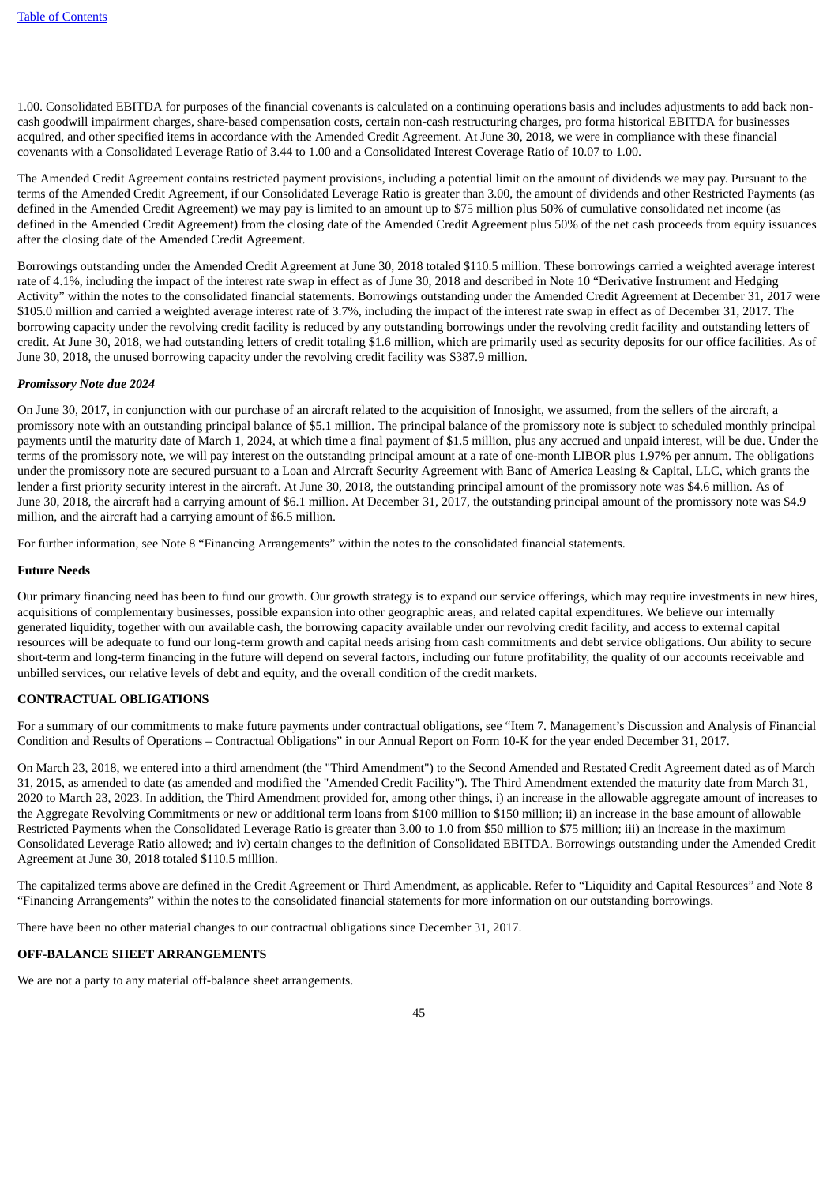1.00. Consolidated EBITDA for purposes of the financial covenants is calculated on a continuing operations basis and includes adjustments to add back noncash goodwill impairment charges, share-based compensation costs, certain non-cash restructuring charges, pro forma historical EBITDA for businesses acquired, and other specified items in accordance with the Amended Credit Agreement. At June 30, 2018, we were in compliance with these financial covenants with a Consolidated Leverage Ratio of 3.44 to 1.00 and a Consolidated Interest Coverage Ratio of 10.07 to 1.00.

The Amended Credit Agreement contains restricted payment provisions, including a potential limit on the amount of dividends we may pay. Pursuant to the terms of the Amended Credit Agreement, if our Consolidated Leverage Ratio is greater than 3.00, the amount of dividends and other Restricted Payments (as defined in the Amended Credit Agreement) we may pay is limited to an amount up to \$75 million plus 50% of cumulative consolidated net income (as defined in the Amended Credit Agreement) from the closing date of the Amended Credit Agreement plus 50% of the net cash proceeds from equity issuances after the closing date of the Amended Credit Agreement.

Borrowings outstanding under the Amended Credit Agreement at June 30, 2018 totaled \$110.5 million. These borrowings carried a weighted average interest rate of 4.1%, including the impact of the interest rate swap in effect as of June 30, 2018 and described in Note 10 "Derivative Instrument and Hedging Activity" within the notes to the consolidated financial statements. Borrowings outstanding under the Amended Credit Agreement at December 31, 2017 were \$105.0 million and carried a weighted average interest rate of 3.7%, including the impact of the interest rate swap in effect as of December 31, 2017. The borrowing capacity under the revolving credit facility is reduced by any outstanding borrowings under the revolving credit facility and outstanding letters of credit. At June 30, 2018, we had outstanding letters of credit totaling \$1.6 million, which are primarily used as security deposits for our office facilities. As of June 30, 2018, the unused borrowing capacity under the revolving credit facility was \$387.9 million.

#### *Promissory Note due 2024*

On June 30, 2017, in conjunction with our purchase of an aircraft related to the acquisition of Innosight, we assumed, from the sellers of the aircraft, a promissory note with an outstanding principal balance of \$5.1 million. The principal balance of the promissory note is subject to scheduled monthly principal payments until the maturity date of March 1, 2024, at which time a final payment of \$1.5 million, plus any accrued and unpaid interest, will be due. Under the terms of the promissory note, we will pay interest on the outstanding principal amount at a rate of one-month LIBOR plus 1.97% per annum. The obligations under the promissory note are secured pursuant to a Loan and Aircraft Security Agreement with Banc of America Leasing & Capital, LLC, which grants the lender a first priority security interest in the aircraft. At June 30, 2018, the outstanding principal amount of the promissory note was \$4.6 million. As of June 30, 2018, the aircraft had a carrying amount of \$6.1 million. At December 31, 2017, the outstanding principal amount of the promissory note was \$4.9 million, and the aircraft had a carrying amount of \$6.5 million.

For further information, see Note 8 "Financing Arrangements" within the notes to the consolidated financial statements.

#### **Future Needs**

Our primary financing need has been to fund our growth. Our growth strategy is to expand our service offerings, which may require investments in new hires, acquisitions of complementary businesses, possible expansion into other geographic areas, and related capital expenditures. We believe our internally generated liquidity, together with our available cash, the borrowing capacity available under our revolving credit facility, and access to external capital resources will be adequate to fund our long-term growth and capital needs arising from cash commitments and debt service obligations. Our ability to secure short-term and long-term financing in the future will depend on several factors, including our future profitability, the quality of our accounts receivable and unbilled services, our relative levels of debt and equity, and the overall condition of the credit markets.

# **CONTRACTUAL OBLIGATIONS**

For a summary of our commitments to make future payments under contractual obligations, see "Item 7. Management's Discussion and Analysis of Financial Condition and Results of Operations – Contractual Obligations" in our Annual Report on Form 10-K for the year ended December 31, 2017.

On March 23, 2018, we entered into a third amendment (the "Third Amendment") to the Second Amended and Restated Credit Agreement dated as of March 31, 2015, as amended to date (as amended and modified the "Amended Credit Facility"). The Third Amendment extended the maturity date from March 31, 2020 to March 23, 2023. In addition, the Third Amendment provided for, among other things, i) an increase in the allowable aggregate amount of increases to the Aggregate Revolving Commitments or new or additional term loans from \$100 million to \$150 million; ii) an increase in the base amount of allowable Restricted Payments when the Consolidated Leverage Ratio is greater than 3.00 to 1.0 from \$50 million to \$75 million; iii) an increase in the maximum Consolidated Leverage Ratio allowed; and iv) certain changes to the definition of Consolidated EBITDA. Borrowings outstanding under the Amended Credit Agreement at June 30, 2018 totaled \$110.5 million.

The capitalized terms above are defined in the Credit Agreement or Third Amendment, as applicable. Refer to "Liquidity and Capital Resources" and Note 8 "Financing Arrangements" within the notes to the consolidated financial statements for more information on our outstanding borrowings.

There have been no other material changes to our contractual obligations since December 31, 2017.

#### **OFF-BALANCE SHEET ARRANGEMENTS**

We are not a party to any material off-balance sheet arrangements.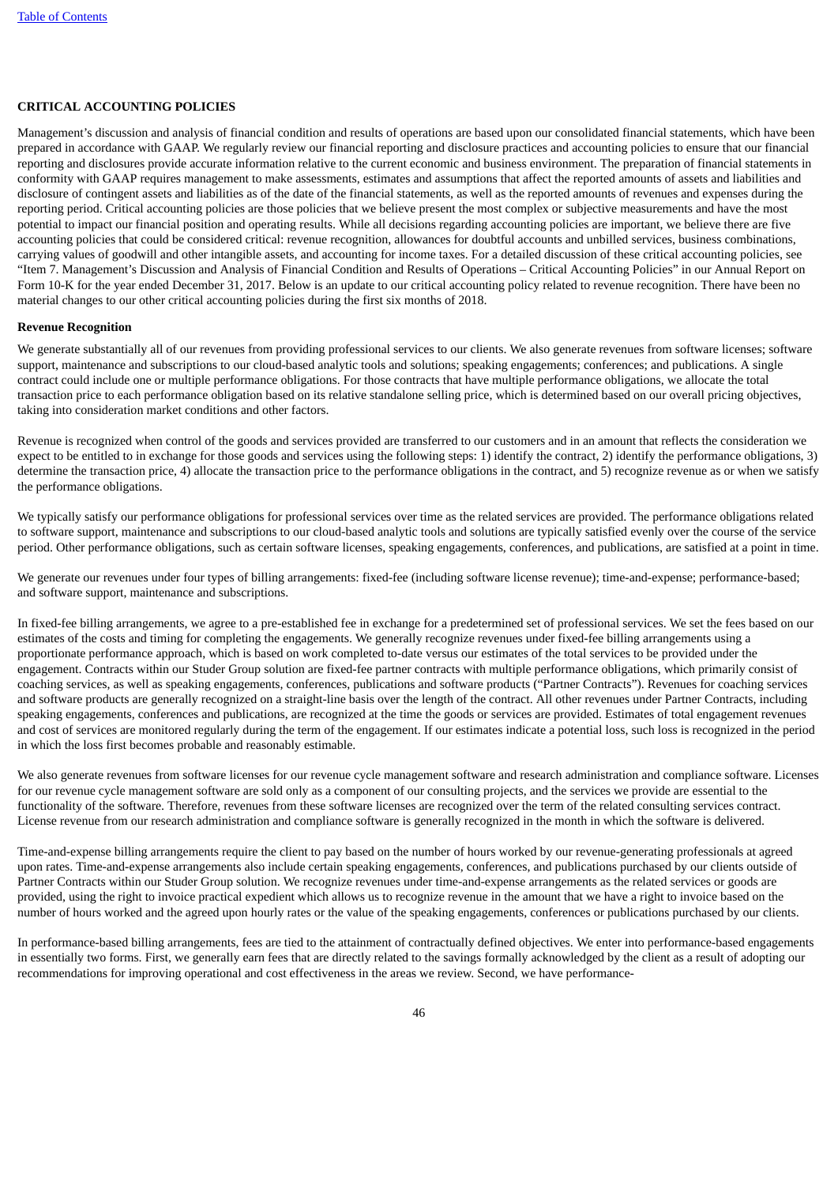#### **CRITICAL ACCOUNTING POLICIES**

Management's discussion and analysis of financial condition and results of operations are based upon our consolidated financial statements, which have been prepared in accordance with GAAP. We regularly review our financial reporting and disclosure practices and accounting policies to ensure that our financial reporting and disclosures provide accurate information relative to the current economic and business environment. The preparation of financial statements in conformity with GAAP requires management to make assessments, estimates and assumptions that affect the reported amounts of assets and liabilities and disclosure of contingent assets and liabilities as of the date of the financial statements, as well as the reported amounts of revenues and expenses during the reporting period. Critical accounting policies are those policies that we believe present the most complex or subjective measurements and have the most potential to impact our financial position and operating results. While all decisions regarding accounting policies are important, we believe there are five accounting policies that could be considered critical: revenue recognition, allowances for doubtful accounts and unbilled services, business combinations, carrying values of goodwill and other intangible assets, and accounting for income taxes. For a detailed discussion of these critical accounting policies, see "Item 7. Management's Discussion and Analysis of Financial Condition and Results of Operations – Critical Accounting Policies" in our Annual Report on Form 10-K for the year ended December 31, 2017. Below is an update to our critical accounting policy related to revenue recognition. There have been no material changes to our other critical accounting policies during the first six months of 2018.

#### **Revenue Recognition**

We generate substantially all of our revenues from providing professional services to our clients. We also generate revenues from software licenses; software support, maintenance and subscriptions to our cloud-based analytic tools and solutions; speaking engagements; conferences; and publications. A single contract could include one or multiple performance obligations. For those contracts that have multiple performance obligations, we allocate the total transaction price to each performance obligation based on its relative standalone selling price, which is determined based on our overall pricing objectives, taking into consideration market conditions and other factors.

Revenue is recognized when control of the goods and services provided are transferred to our customers and in an amount that reflects the consideration we expect to be entitled to in exchange for those goods and services using the following steps: 1) identify the contract, 2) identify the performance obligations, 3) determine the transaction price, 4) allocate the transaction price to the performance obligations in the contract, and 5) recognize revenue as or when we satisfy the performance obligations.

We typically satisfy our performance obligations for professional services over time as the related services are provided. The performance obligations related to software support, maintenance and subscriptions to our cloud-based analytic tools and solutions are typically satisfied evenly over the course of the service period. Other performance obligations, such as certain software licenses, speaking engagements, conferences, and publications, are satisfied at a point in time.

We generate our revenues under four types of billing arrangements: fixed-fee (including software license revenue); time-and-expense; performance-based; and software support, maintenance and subscriptions.

In fixed-fee billing arrangements, we agree to a pre-established fee in exchange for a predetermined set of professional services. We set the fees based on our estimates of the costs and timing for completing the engagements. We generally recognize revenues under fixed-fee billing arrangements using a proportionate performance approach, which is based on work completed to-date versus our estimates of the total services to be provided under the engagement. Contracts within our Studer Group solution are fixed-fee partner contracts with multiple performance obligations, which primarily consist of coaching services, as well as speaking engagements, conferences, publications and software products ("Partner Contracts"). Revenues for coaching services and software products are generally recognized on a straight-line basis over the length of the contract. All other revenues under Partner Contracts, including speaking engagements, conferences and publications, are recognized at the time the goods or services are provided. Estimates of total engagement revenues and cost of services are monitored regularly during the term of the engagement. If our estimates indicate a potential loss, such loss is recognized in the period in which the loss first becomes probable and reasonably estimable.

We also generate revenues from software licenses for our revenue cycle management software and research administration and compliance software. Licenses for our revenue cycle management software are sold only as a component of our consulting projects, and the services we provide are essential to the functionality of the software. Therefore, revenues from these software licenses are recognized over the term of the related consulting services contract. License revenue from our research administration and compliance software is generally recognized in the month in which the software is delivered.

Time-and-expense billing arrangements require the client to pay based on the number of hours worked by our revenue-generating professionals at agreed upon rates. Time-and-expense arrangements also include certain speaking engagements, conferences, and publications purchased by our clients outside of Partner Contracts within our Studer Group solution. We recognize revenues under time-and-expense arrangements as the related services or goods are provided, using the right to invoice practical expedient which allows us to recognize revenue in the amount that we have a right to invoice based on the number of hours worked and the agreed upon hourly rates or the value of the speaking engagements, conferences or publications purchased by our clients.

In performance-based billing arrangements, fees are tied to the attainment of contractually defined objectives. We enter into performance-based engagements in essentially two forms. First, we generally earn fees that are directly related to the savings formally acknowledged by the client as a result of adopting our recommendations for improving operational and cost effectiveness in the areas we review. Second, we have performance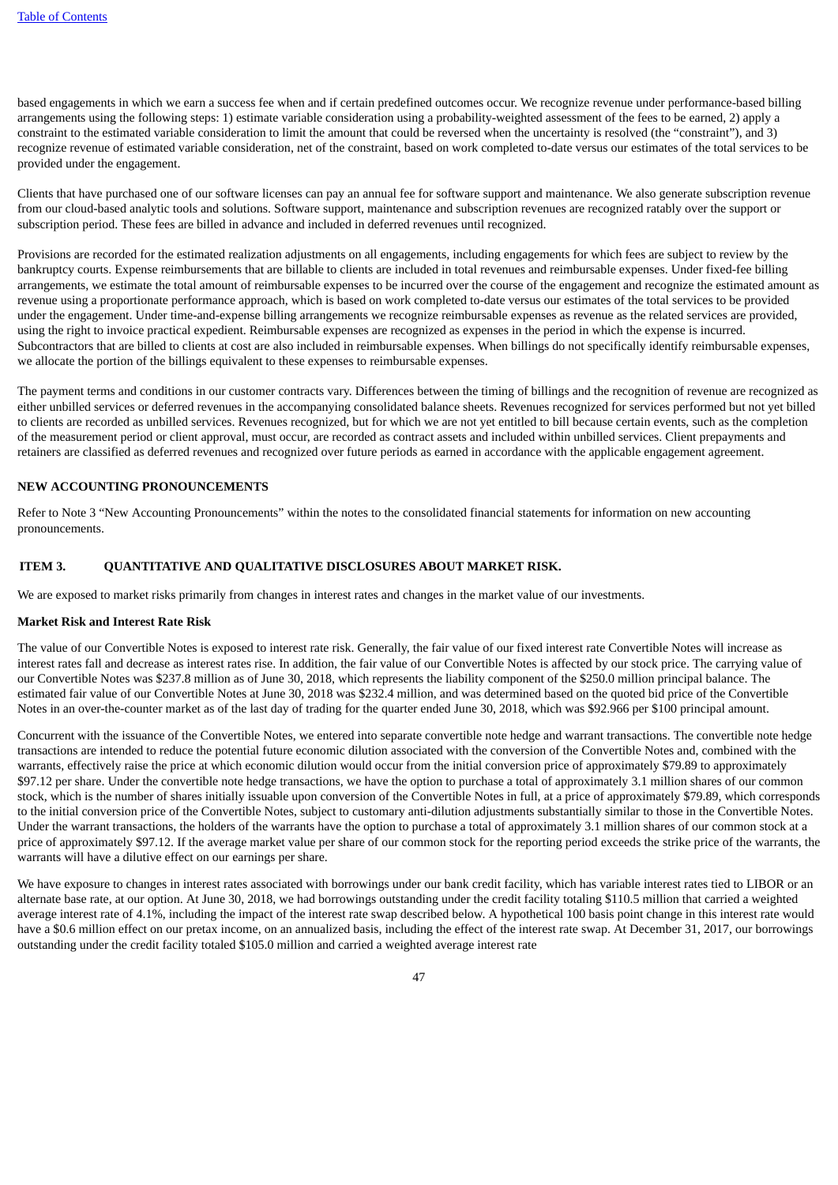based engagements in which we earn a success fee when and if certain predefined outcomes occur. We recognize revenue under performance-based billing arrangements using the following steps: 1) estimate variable consideration using a probability-weighted assessment of the fees to be earned, 2) apply a constraint to the estimated variable consideration to limit the amount that could be reversed when the uncertainty is resolved (the "constraint"), and 3) recognize revenue of estimated variable consideration, net of the constraint, based on work completed to-date versus our estimates of the total services to be provided under the engagement.

Clients that have purchased one of our software licenses can pay an annual fee for software support and maintenance. We also generate subscription revenue from our cloud-based analytic tools and solutions. Software support, maintenance and subscription revenues are recognized ratably over the support or subscription period. These fees are billed in advance and included in deferred revenues until recognized.

Provisions are recorded for the estimated realization adjustments on all engagements, including engagements for which fees are subject to review by the bankruptcy courts. Expense reimbursements that are billable to clients are included in total revenues and reimbursable expenses. Under fixed-fee billing arrangements, we estimate the total amount of reimbursable expenses to be incurred over the course of the engagement and recognize the estimated amount as revenue using a proportionate performance approach, which is based on work completed to-date versus our estimates of the total services to be provided under the engagement. Under time-and-expense billing arrangements we recognize reimbursable expenses as revenue as the related services are provided, using the right to invoice practical expedient. Reimbursable expenses are recognized as expenses in the period in which the expense is incurred. Subcontractors that are billed to clients at cost are also included in reimbursable expenses. When billings do not specifically identify reimbursable expenses, we allocate the portion of the billings equivalent to these expenses to reimbursable expenses.

The payment terms and conditions in our customer contracts vary. Differences between the timing of billings and the recognition of revenue are recognized as either unbilled services or deferred revenues in the accompanying consolidated balance sheets. Revenues recognized for services performed but not yet billed to clients are recorded as unbilled services. Revenues recognized, but for which we are not yet entitled to bill because certain events, such as the completion of the measurement period or client approval, must occur, are recorded as contract assets and included within unbilled services. Client prepayments and retainers are classified as deferred revenues and recognized over future periods as earned in accordance with the applicable engagement agreement.

# **NEW ACCOUNTING PRONOUNCEMENTS**

Refer to Note 3 "New Accounting Pronouncements" within the notes to the consolidated financial statements for information on new accounting pronouncements.

# <span id="page-48-0"></span>**ITEM 3. QUANTITATIVE AND QUALITATIVE DISCLOSURES ABOUT MARKET RISK.**

We are exposed to market risks primarily from changes in interest rates and changes in the market value of our investments.

#### **Market Risk and Interest Rate Risk**

The value of our Convertible Notes is exposed to interest rate risk. Generally, the fair value of our fixed interest rate Convertible Notes will increase as interest rates fall and decrease as interest rates rise. In addition, the fair value of our Convertible Notes is affected by our stock price. The carrying value of our Convertible Notes was \$237.8 million as of June 30, 2018, which represents the liability component of the \$250.0 million principal balance. The estimated fair value of our Convertible Notes at June 30, 2018 was \$232.4 million, and was determined based on the quoted bid price of the Convertible Notes in an over-the-counter market as of the last day of trading for the quarter ended June 30, 2018, which was \$92.966 per \$100 principal amount.

Concurrent with the issuance of the Convertible Notes, we entered into separate convertible note hedge and warrant transactions. The convertible note hedge transactions are intended to reduce the potential future economic dilution associated with the conversion of the Convertible Notes and, combined with the warrants, effectively raise the price at which economic dilution would occur from the initial conversion price of approximately \$79.89 to approximately \$97.12 per share. Under the convertible note hedge transactions, we have the option to purchase a total of approximately 3.1 million shares of our common stock, which is the number of shares initially issuable upon conversion of the Convertible Notes in full, at a price of approximately \$79.89, which corresponds to the initial conversion price of the Convertible Notes, subject to customary anti-dilution adjustments substantially similar to those in the Convertible Notes. Under the warrant transactions, the holders of the warrants have the option to purchase a total of approximately 3.1 million shares of our common stock at a price of approximately \$97.12. If the average market value per share of our common stock for the reporting period exceeds the strike price of the warrants, the warrants will have a dilutive effect on our earnings per share.

We have exposure to changes in interest rates associated with borrowings under our bank credit facility, which has variable interest rates tied to LIBOR or an alternate base rate, at our option. At June 30, 2018, we had borrowings outstanding under the credit facility totaling \$110.5 million that carried a weighted average interest rate of 4.1%, including the impact of the interest rate swap described below. A hypothetical 100 basis point change in this interest rate would have a \$0.6 million effect on our pretax income, on an annualized basis, including the effect of the interest rate swap. At December 31, 2017, our borrowings outstanding under the credit facility totaled \$105.0 million and carried a weighted average interest rate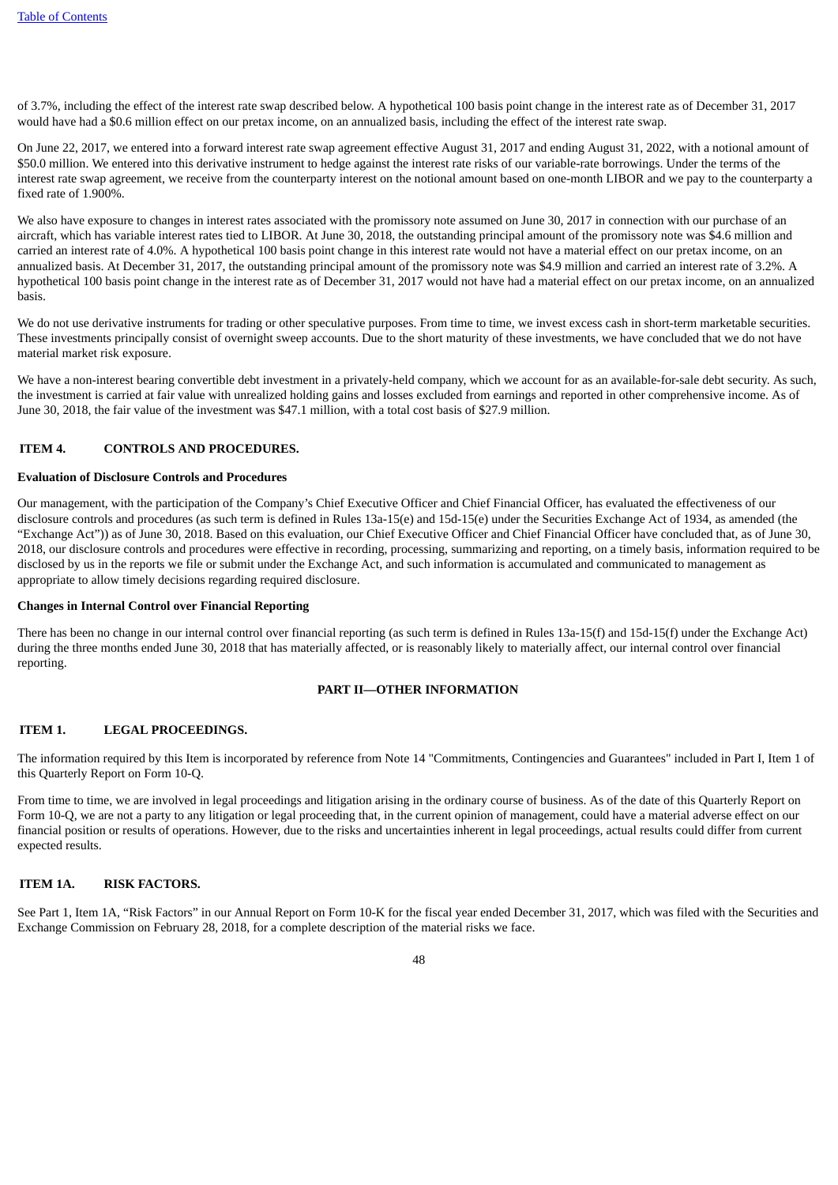of 3.7%, including the effect of the interest rate swap described below. A hypothetical 100 basis point change in the interest rate as of December 31, 2017 would have had a \$0.6 million effect on our pretax income, on an annualized basis, including the effect of the interest rate swap.

On June 22, 2017, we entered into a forward interest rate swap agreement effective August 31, 2017 and ending August 31, 2022, with a notional amount of \$50.0 million. We entered into this derivative instrument to hedge against the interest rate risks of our variable-rate borrowings. Under the terms of the interest rate swap agreement, we receive from the counterparty interest on the notional amount based on one-month LIBOR and we pay to the counterparty a fixed rate of 1.900%.

We also have exposure to changes in interest rates associated with the promissory note assumed on June 30, 2017 in connection with our purchase of an aircraft, which has variable interest rates tied to LIBOR. At June 30, 2018, the outstanding principal amount of the promissory note was \$4.6 million and carried an interest rate of 4.0%. A hypothetical 100 basis point change in this interest rate would not have a material effect on our pretax income, on an annualized basis. At December 31, 2017, the outstanding principal amount of the promissory note was \$4.9 million and carried an interest rate of 3.2%. A hypothetical 100 basis point change in the interest rate as of December 31, 2017 would not have had a material effect on our pretax income, on an annualized basis.

We do not use derivative instruments for trading or other speculative purposes. From time to time, we invest excess cash in short-term marketable securities. These investments principally consist of overnight sweep accounts. Due to the short maturity of these investments, we have concluded that we do not have material market risk exposure.

We have a non-interest bearing convertible debt investment in a privately-held company, which we account for as an available-for-sale debt security. As such, the investment is carried at fair value with unrealized holding gains and losses excluded from earnings and reported in other comprehensive income. As of June 30, 2018, the fair value of the investment was \$47.1 million, with a total cost basis of \$27.9 million.

#### <span id="page-49-0"></span>**ITEM 4. CONTROLS AND PROCEDURES.**

#### **Evaluation of Disclosure Controls and Procedures**

Our management, with the participation of the Company's Chief Executive Officer and Chief Financial Officer, has evaluated the effectiveness of our disclosure controls and procedures (as such term is defined in Rules 13a-15(e) and 15d-15(e) under the Securities Exchange Act of 1934, as amended (the "Exchange Act")) as of June 30, 2018. Based on this evaluation, our Chief Executive Officer and Chief Financial Officer have concluded that, as of June 30, 2018, our disclosure controls and procedures were effective in recording, processing, summarizing and reporting, on a timely basis, information required to be disclosed by us in the reports we file or submit under the Exchange Act, and such information is accumulated and communicated to management as appropriate to allow timely decisions regarding required disclosure.

#### **Changes in Internal Control over Financial Reporting**

<span id="page-49-1"></span>There has been no change in our internal control over financial reporting (as such term is defined in Rules 13a-15(f) and 15d-15(f) under the Exchange Act) during the three months ended June 30, 2018 that has materially affected, or is reasonably likely to materially affect, our internal control over financial reporting.

# **PART II—OTHER INFORMATION**

# <span id="page-49-2"></span>**ITEM 1. LEGAL PROCEEDINGS.**

The information required by this Item is incorporated by reference from Note 14 "Commitments, Contingencies and Guarantees" included in Part I, Item 1 of this Quarterly Report on Form 10-Q.

From time to time, we are involved in legal proceedings and litigation arising in the ordinary course of business. As of the date of this Quarterly Report on Form 10-Q, we are not a party to any litigation or legal proceeding that, in the current opinion of management, could have a material adverse effect on our financial position or results of operations. However, due to the risks and uncertainties inherent in legal proceedings, actual results could differ from current expected results.

#### <span id="page-49-3"></span>**ITEM 1A. RISK FACTORS.**

See Part 1, Item 1A, "Risk Factors" in our Annual Report on Form 10-K for the fiscal year ended December 31, 2017, which was filed with the Securities and Exchange Commission on February 28, 2018, for a complete description of the material risks we face.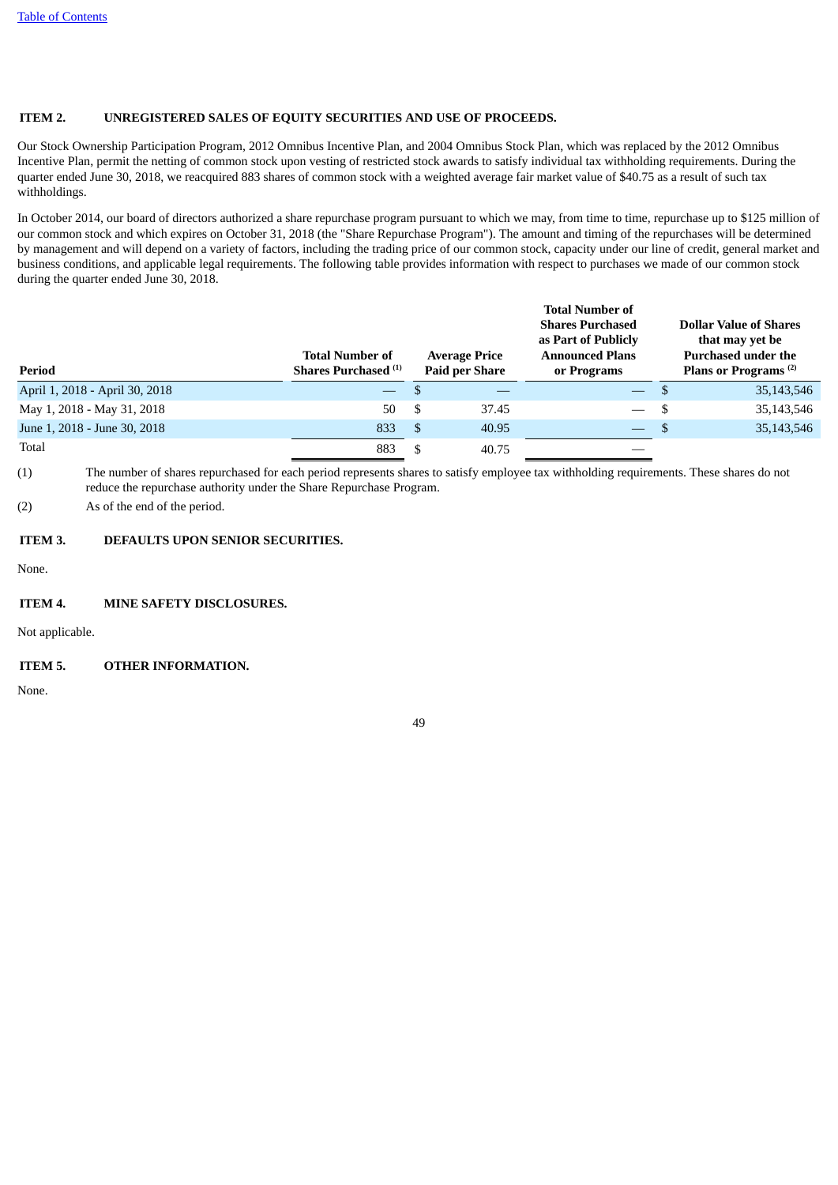# <span id="page-50-0"></span>**ITEM 2. UNREGISTERED SALES OF EQUITY SECURITIES AND USE OF PROCEEDS.**

Our Stock Ownership Participation Program, 2012 Omnibus Incentive Plan, and 2004 Omnibus Stock Plan, which was replaced by the 2012 Omnibus Incentive Plan, permit the netting of common stock upon vesting of restricted stock awards to satisfy individual tax withholding requirements. During the quarter ended June 30, 2018, we reacquired 883 shares of common stock with a weighted average fair market value of \$40.75 as a result of such tax withholdings.

In October 2014, our board of directors authorized a share repurchase program pursuant to which we may, from time to time, repurchase up to \$125 million of our common stock and which expires on October 31, 2018 (the "Share Repurchase Program"). The amount and timing of the repurchases will be determined by management and will depend on a variety of factors, including the trading price of our common stock, capacity under our line of credit, general market and business conditions, and applicable legal requirements. The following table provides information with respect to purchases we made of our common stock during the quarter ended June 30, 2018.

| Period                         | <b>Total Number of</b><br><b>Shares Purchased</b> <sup>(1)</sup> |      | <b>Total Number of</b><br><b>Shares Purchased</b><br>as Part of Publicly<br><b>Announced Plans</b><br><b>Average Price</b><br><b>Paid per Share</b><br>or Programs |                          |      | <b>Dollar Value of Shares</b><br>that may yet be<br><b>Purchased under the</b><br>Plans or Programs <sup>(2)</sup> |
|--------------------------------|------------------------------------------------------------------|------|--------------------------------------------------------------------------------------------------------------------------------------------------------------------|--------------------------|------|--------------------------------------------------------------------------------------------------------------------|
| April 1, 2018 - April 30, 2018 | $\overline{\phantom{m}}$                                         |      |                                                                                                                                                                    |                          |      | 35,143,546                                                                                                         |
| May 1, 2018 - May 31, 2018     | 50                                                               | - \$ | 37.45                                                                                                                                                              | $\overline{\phantom{0}}$ | - \$ | 35,143,546                                                                                                         |
| June 1, 2018 - June 30, 2018   | 833                                                              | -S   | 40.95                                                                                                                                                              | $\overline{\phantom{a}}$ |      | 35,143,546                                                                                                         |
| Total                          | 883                                                              | £.   | 40.75                                                                                                                                                              |                          |      |                                                                                                                    |

(1) The number of shares repurchased for each period represents shares to satisfy employee tax withholding requirements. These shares do not reduce the repurchase authority under the Share Repurchase Program.

<span id="page-50-1"></span>(2) As of the end of the period.

# **ITEM 3. DEFAULTS UPON SENIOR SECURITIES.**

<span id="page-50-2"></span>None.

#### **ITEM 4. MINE SAFETY DISCLOSURES.**

<span id="page-50-3"></span>Not applicable.

# **ITEM 5. OTHER INFORMATION.**

None.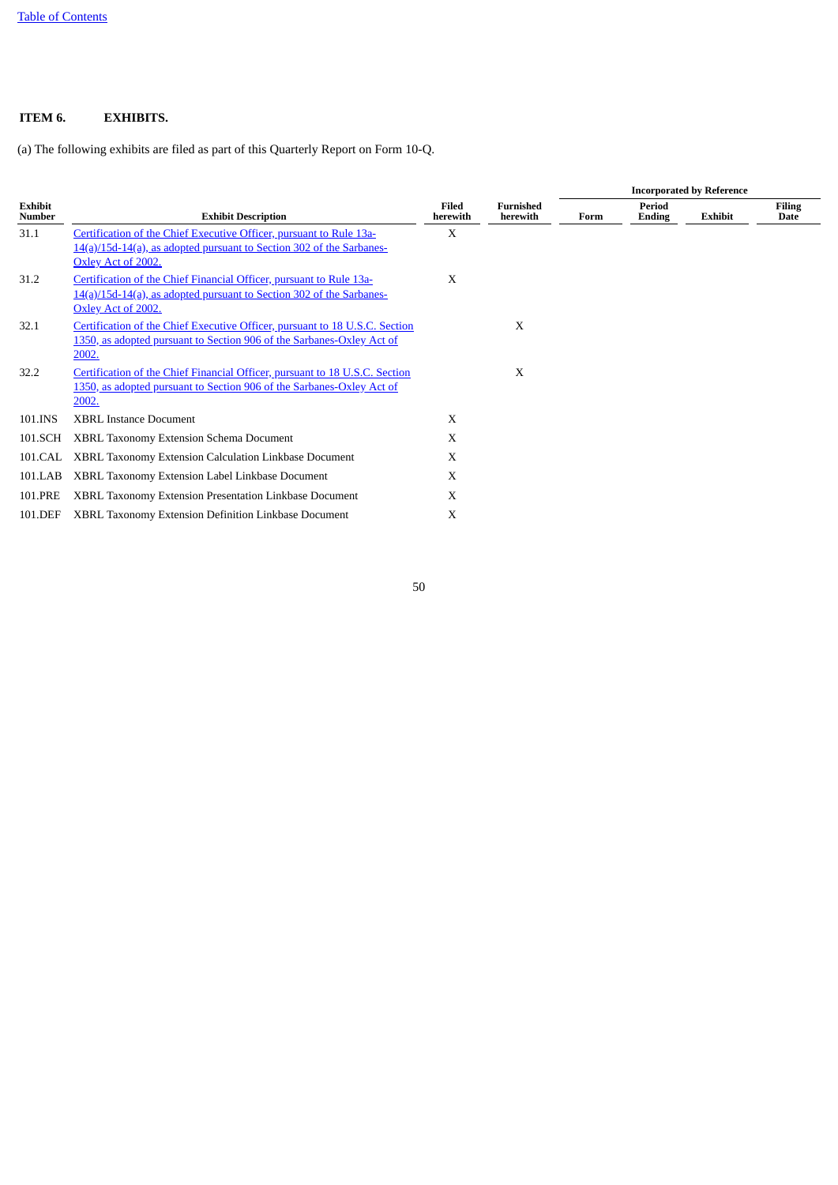# <span id="page-51-0"></span>**ITEM 6. EXHIBITS.**

(a) The following exhibits are filed as part of this Quarterly Report on Form 10-Q.

|                          |                                                                                                                                                                   |                          |                              | <b>Incorporated by Reference</b> |                         |                |                       |  |  |  |  |
|--------------------------|-------------------------------------------------------------------------------------------------------------------------------------------------------------------|--------------------------|------------------------------|----------------------------------|-------------------------|----------------|-----------------------|--|--|--|--|
| Exhibit<br><b>Number</b> | <b>Exhibit Description</b>                                                                                                                                        | <b>Filed</b><br>herewith | <b>Furnished</b><br>herewith | Form                             | <b>Period</b><br>Ending | <b>Exhibit</b> | <b>Filing</b><br>Date |  |  |  |  |
| 31.1                     | Certification of the Chief Executive Officer, pursuant to Rule 13a-<br>14(a)/15d-14(a), as adopted pursuant to Section 302 of the Sarbanes-<br>Oxley Act of 2002. | X                        |                              |                                  |                         |                |                       |  |  |  |  |
| 31.2                     | Certification of the Chief Financial Officer, pursuant to Rule 13a-<br>14(a)/15d-14(a), as adopted pursuant to Section 302 of the Sarbanes-<br>Oxley Act of 2002. | X                        |                              |                                  |                         |                |                       |  |  |  |  |
| 32.1                     | Certification of the Chief Executive Officer, pursuant to 18 U.S.C. Section<br>1350, as adopted pursuant to Section 906 of the Sarbanes-Oxley Act of<br>2002.     |                          | X                            |                                  |                         |                |                       |  |  |  |  |
| 32.2                     | Certification of the Chief Financial Officer, pursuant to 18 U.S.C. Section<br>1350, as adopted pursuant to Section 906 of the Sarbanes-Oxley Act of<br>2002.     |                          | X                            |                                  |                         |                |                       |  |  |  |  |
| 101.INS                  | <b>XBRL Instance Document</b>                                                                                                                                     | X                        |                              |                                  |                         |                |                       |  |  |  |  |
| 101.SCH                  | XBRL Taxonomy Extension Schema Document                                                                                                                           | X                        |                              |                                  |                         |                |                       |  |  |  |  |
| 101.CAL                  | XBRL Taxonomy Extension Calculation Linkbase Document                                                                                                             | X                        |                              |                                  |                         |                |                       |  |  |  |  |
| 101.LAB                  | XBRL Taxonomy Extension Label Linkbase Document                                                                                                                   | X                        |                              |                                  |                         |                |                       |  |  |  |  |
| 101.PRE                  | XBRL Taxonomy Extension Presentation Linkbase Document                                                                                                            | X                        |                              |                                  |                         |                |                       |  |  |  |  |
| 101.DEF                  | XBRL Taxonomy Extension Definition Linkbase Document                                                                                                              | X                        |                              |                                  |                         |                |                       |  |  |  |  |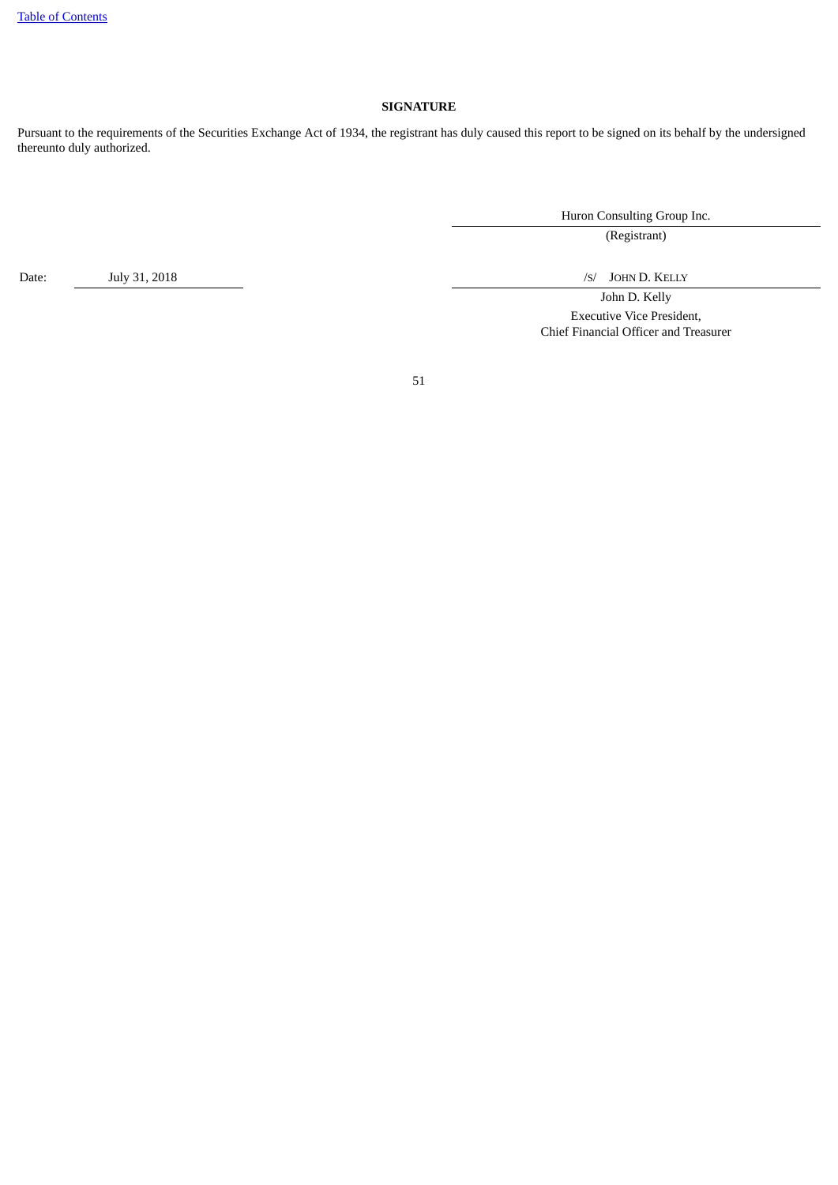# **SIGNATURE**

<span id="page-52-0"></span>Pursuant to the requirements of the Securities Exchange Act of 1934, the registrant has duly caused this report to be signed on its behalf by the undersigned thereunto duly authorized.

Huron Consulting Group Inc.

(Registrant)

John D. Kelly Executive Vice President, Chief Financial Officer and Treasurer

51

Date: July 31, 2018 *July 31, 2018 July 31, 2018*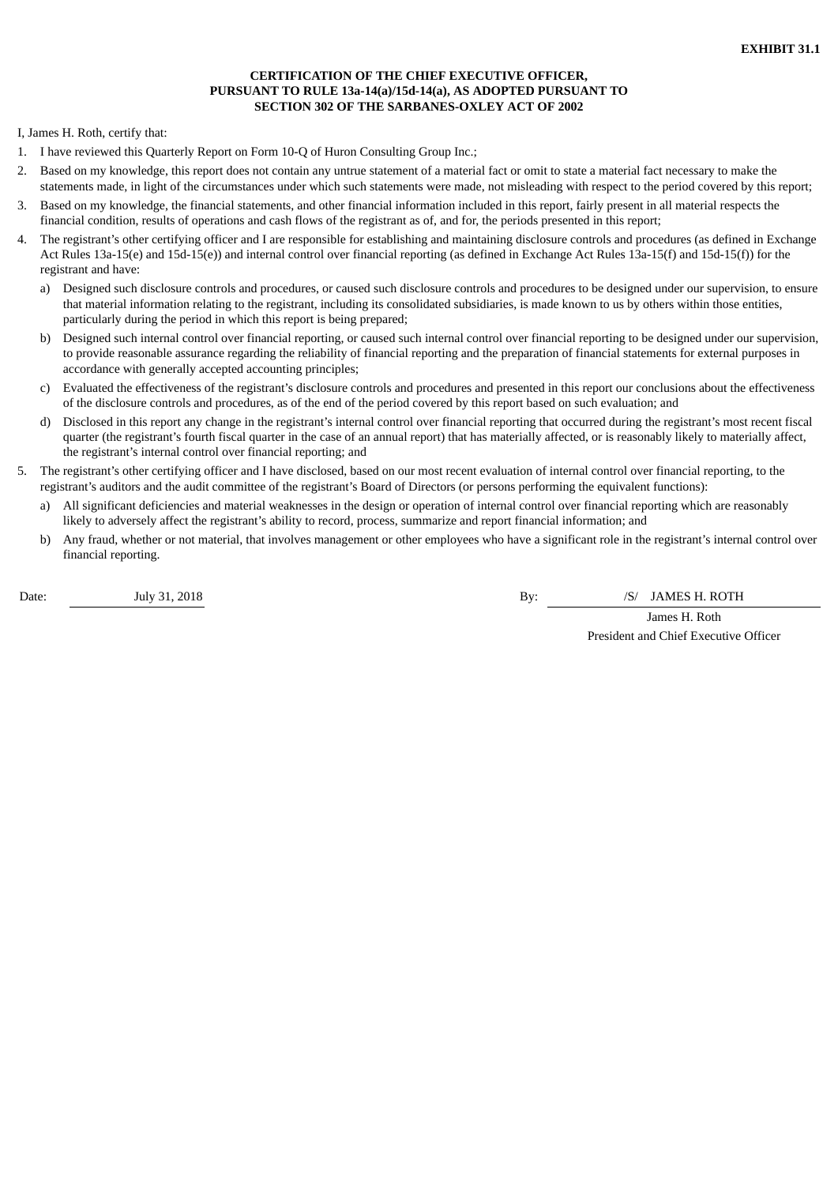# **CERTIFICATION OF THE CHIEF EXECUTIVE OFFICER, PURSUANT TO RULE 13a-14(a)/15d-14(a), AS ADOPTED PURSUANT TO SECTION 302 OF THE SARBANES-OXLEY ACT OF 2002**

<span id="page-53-0"></span>I, James H. Roth, certify that:

- 1. I have reviewed this Quarterly Report on Form 10-Q of Huron Consulting Group Inc.;
- 2. Based on my knowledge, this report does not contain any untrue statement of a material fact or omit to state a material fact necessary to make the statements made, in light of the circumstances under which such statements were made, not misleading with respect to the period covered by this report;
- 3. Based on my knowledge, the financial statements, and other financial information included in this report, fairly present in all material respects the financial condition, results of operations and cash flows of the registrant as of, and for, the periods presented in this report;
- 4. The registrant's other certifying officer and I are responsible for establishing and maintaining disclosure controls and procedures (as defined in Exchange Act Rules 13a-15(e) and 15d-15(e)) and internal control over financial reporting (as defined in Exchange Act Rules 13a-15(f) and 15d-15(f)) for the registrant and have:
	- a) Designed such disclosure controls and procedures, or caused such disclosure controls and procedures to be designed under our supervision, to ensure that material information relating to the registrant, including its consolidated subsidiaries, is made known to us by others within those entities, particularly during the period in which this report is being prepared;
	- b) Designed such internal control over financial reporting, or caused such internal control over financial reporting to be designed under our supervision, to provide reasonable assurance regarding the reliability of financial reporting and the preparation of financial statements for external purposes in accordance with generally accepted accounting principles;
	- c) Evaluated the effectiveness of the registrant's disclosure controls and procedures and presented in this report our conclusions about the effectiveness of the disclosure controls and procedures, as of the end of the period covered by this report based on such evaluation; and
	- d) Disclosed in this report any change in the registrant's internal control over financial reporting that occurred during the registrant's most recent fiscal quarter (the registrant's fourth fiscal quarter in the case of an annual report) that has materially affected, or is reasonably likely to materially affect, the registrant's internal control over financial reporting; and
- 5. The registrant's other certifying officer and I have disclosed, based on our most recent evaluation of internal control over financial reporting, to the registrant's auditors and the audit committee of the registrant's Board of Directors (or persons performing the equivalent functions):
	- a) All significant deficiencies and material weaknesses in the design or operation of internal control over financial reporting which are reasonably likely to adversely affect the registrant's ability to record, process, summarize and report financial information; and
	- b) Any fraud, whether or not material, that involves management or other employees who have a significant role in the registrant's internal control over financial reporting.

Date: July 31, 2018 July 31, 2018

James H. Roth President and Chief Executive Officer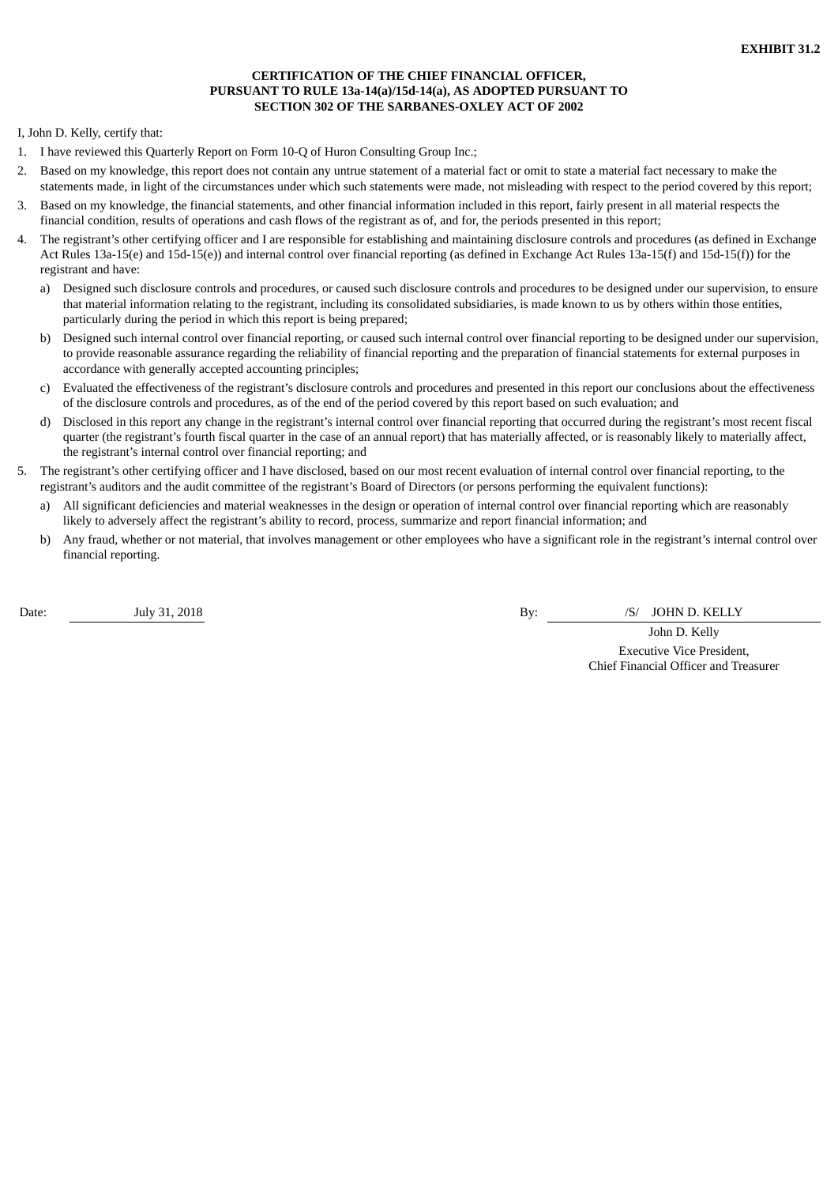# **CERTIFICATION OF THE CHIEF FINANCIAL OFFICER, PURSUANT TO RULE 13a-14(a)/15d-14(a), AS ADOPTED PURSUANT TO SECTION 302 OF THE SARBANES-OXLEY ACT OF 2002**

<span id="page-54-0"></span>I, John D. Kelly, certify that:

- 1. I have reviewed this Quarterly Report on Form 10-Q of Huron Consulting Group Inc.;
- 2. Based on my knowledge, this report does not contain any untrue statement of a material fact or omit to state a material fact necessary to make the statements made, in light of the circumstances under which such statements were made, not misleading with respect to the period covered by this report;
- 3. Based on my knowledge, the financial statements, and other financial information included in this report, fairly present in all material respects the financial condition, results of operations and cash flows of the registrant as of, and for, the periods presented in this report;
- 4. The registrant's other certifying officer and I are responsible for establishing and maintaining disclosure controls and procedures (as defined in Exchange Act Rules 13a-15(e) and 15d-15(e)) and internal control over financial reporting (as defined in Exchange Act Rules 13a-15(f) and 15d-15(f)) for the registrant and have:
	- a) Designed such disclosure controls and procedures, or caused such disclosure controls and procedures to be designed under our supervision, to ensure that material information relating to the registrant, including its consolidated subsidiaries, is made known to us by others within those entities, particularly during the period in which this report is being prepared;
	- b) Designed such internal control over financial reporting, or caused such internal control over financial reporting to be designed under our supervision, to provide reasonable assurance regarding the reliability of financial reporting and the preparation of financial statements for external purposes in accordance with generally accepted accounting principles;
	- c) Evaluated the effectiveness of the registrant's disclosure controls and procedures and presented in this report our conclusions about the effectiveness of the disclosure controls and procedures, as of the end of the period covered by this report based on such evaluation; and
	- d) Disclosed in this report any change in the registrant's internal control over financial reporting that occurred during the registrant's most recent fiscal quarter (the registrant's fourth fiscal quarter in the case of an annual report) that has materially affected, or is reasonably likely to materially affect, the registrant's internal control over financial reporting; and
- 5. The registrant's other certifying officer and I have disclosed, based on our most recent evaluation of internal control over financial reporting, to the registrant's auditors and the audit committee of the registrant's Board of Directors (or persons performing the equivalent functions):
	- a) All significant deficiencies and material weaknesses in the design or operation of internal control over financial reporting which are reasonably likely to adversely affect the registrant's ability to record, process, summarize and report financial information; and
	- b) Any fraud, whether or not material, that involves management or other employees who have a significant role in the registrant's internal control over financial reporting.

Date: July 31, 2018 **By:** /S/ JOHN D. KELLY

John D. Kelly Executive Vice President, Chief Financial Officer and Treasurer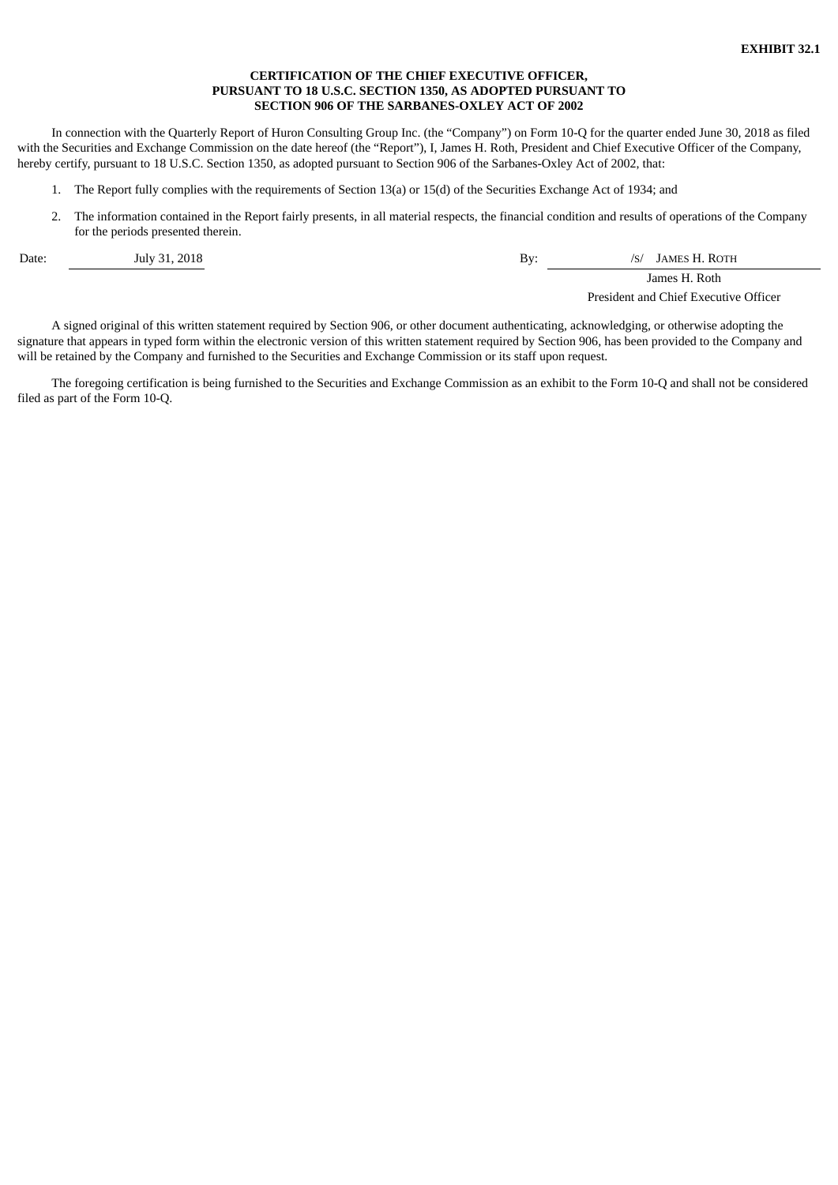# **CERTIFICATION OF THE CHIEF EXECUTIVE OFFICER, PURSUANT TO 18 U.S.C. SECTION 1350, AS ADOPTED PURSUANT TO SECTION 906 OF THE SARBANES-OXLEY ACT OF 2002**

<span id="page-55-0"></span>In connection with the Quarterly Report of Huron Consulting Group Inc. (the "Company") on Form 10-Q for the quarter ended June 30, 2018 as filed with the Securities and Exchange Commission on the date hereof (the "Report"), I, James H. Roth, President and Chief Executive Officer of the Company, hereby certify, pursuant to 18 U.S.C. Section 1350, as adopted pursuant to Section 906 of the Sarbanes-Oxley Act of 2002, that:

- 1. The Report fully complies with the requirements of Section 13(a) or 15(d) of the Securities Exchange Act of 1934; and
- 2. The information contained in the Report fairly presents, in all material respects, the financial condition and results of operations of the Company for the periods presented therein.

Date: July 31, 2018 July 31, 2018

James H. Roth

President and Chief Executive Officer

A signed original of this written statement required by Section 906, or other document authenticating, acknowledging, or otherwise adopting the signature that appears in typed form within the electronic version of this written statement required by Section 906, has been provided to the Company and will be retained by the Company and furnished to the Securities and Exchange Commission or its staff upon request.

The foregoing certification is being furnished to the Securities and Exchange Commission as an exhibit to the Form 10-Q and shall not be considered filed as part of the Form 10-Q.